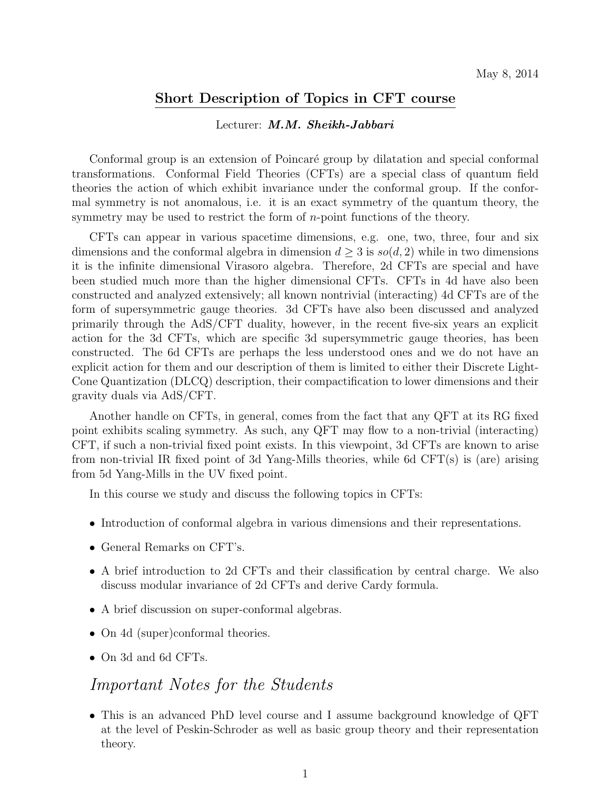## **Short Description of Topics in CFT course**

#### Lecturer: *M.M. Sheikh-Jabbari*

Conformal group is an extension of Poincaré group by dilatation and special conformal transformations. Conformal Field Theories (CFTs) are a special class of quantum field theories the action of which exhibit invariance under the conformal group. If the conformal symmetry is not anomalous, i.e. it is an exact symmetry of the quantum theory, the symmetry may be used to restrict the form of *n*-point functions of the theory.

CFTs can appear in various spacetime dimensions, e.g. one, two, three, four and six dimensions and the conformal algebra in dimension  $d \geq 3$  is  $so(d, 2)$  while in two dimensions it is the infinite dimensional Virasoro algebra. Therefore, 2d CFTs are special and have been studied much more than the higher dimensional CFTs. CFTs in 4d have also been constructed and analyzed extensively; all known nontrivial (interacting) 4d CFTs are of the form of supersymmetric gauge theories. 3d CFTs have also been discussed and analyzed primarily through the AdS/CFT duality, however, in the recent five-six years an explicit action for the 3d CFTs, which are specific 3d supersymmetric gauge theories, has been constructed. The 6d CFTs are perhaps the less understood ones and we do not have an explicit action for them and our description of them is limited to either their Discrete Light-Cone Quantization (DLCQ) description, their compactification to lower dimensions and their gravity duals via AdS/CFT.

Another handle on CFTs, in general, comes from the fact that any QFT at its RG fixed point exhibits scaling symmetry. As such, any QFT may flow to a non-trivial (interacting) CFT, if such a non-trivial fixed point exists. In this viewpoint, 3d CFTs are known to arise from non-trivial IR fixed point of 3d Yang-Mills theories, while 6d CFT(s) is (are) arising from 5d Yang-Mills in the UV fixed point.

In this course we study and discuss the following topics in CFTs:

- Introduction of conformal algebra in various dimensions and their representations.
- General Remarks on CFT's.
- A brief introduction to 2d CFTs and their classification by central charge. We also discuss modular invariance of 2d CFTs and derive Cardy formula.
- A brief discussion on super-conformal algebras.
- On 4d (super)conformal theories.
- On 3d and 6d CFTs.

# *Important Notes for the Students*

• This is an advanced PhD level course and I assume background knowledge of QFT at the level of Peskin-Schroder as well as basic group theory and their representation theory.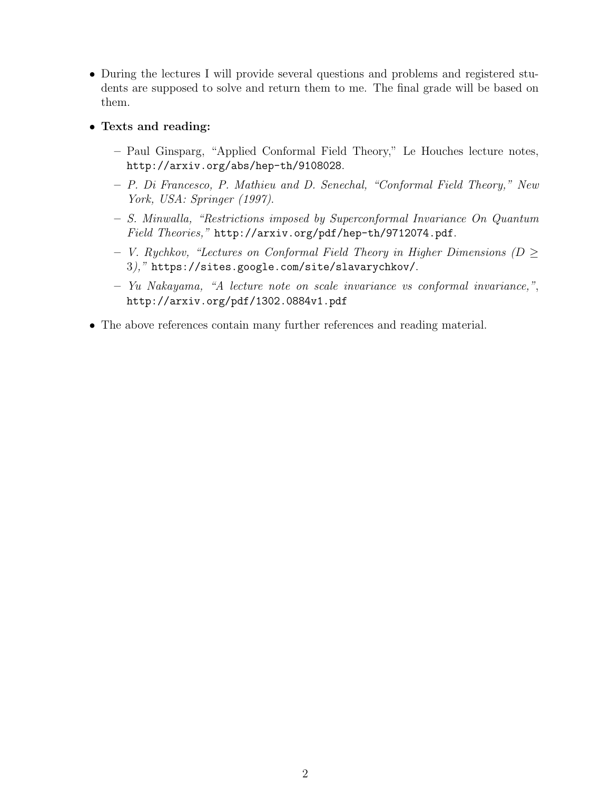- During the lectures I will provide several questions and problems and registered students are supposed to solve and return them to me. The final grade will be based on them.
- **Texts and reading:**
	- **–** Paul Ginsparg, "Applied Conformal Field Theory," Le Houches lecture notes, http://arxiv.org/abs/hep-th/9108028.
	- **–** *P. Di Francesco, P. Mathieu and D. Senechal, "Conformal Field Theory," New York, USA: Springer (1997)*.
	- **–** *S. Minwalla, "Restrictions imposed by Superconformal Invariance On Quantum Field Theories,"* http://arxiv.org/pdf/hep-th/9712074.pdf.
	- **–** *V. Rychkov, "Lectures on Conformal Field Theory in Higher Dimensions (D ≥* 3*),"* https://sites.google.com/site/slavarychkov/.
	- **–** *Yu Nakayama, "A lecture note on scale invariance vs conformal invariance,"*, http://arxiv.org/pdf/1302.0884v1.pdf
- The above references contain many further references and reading material.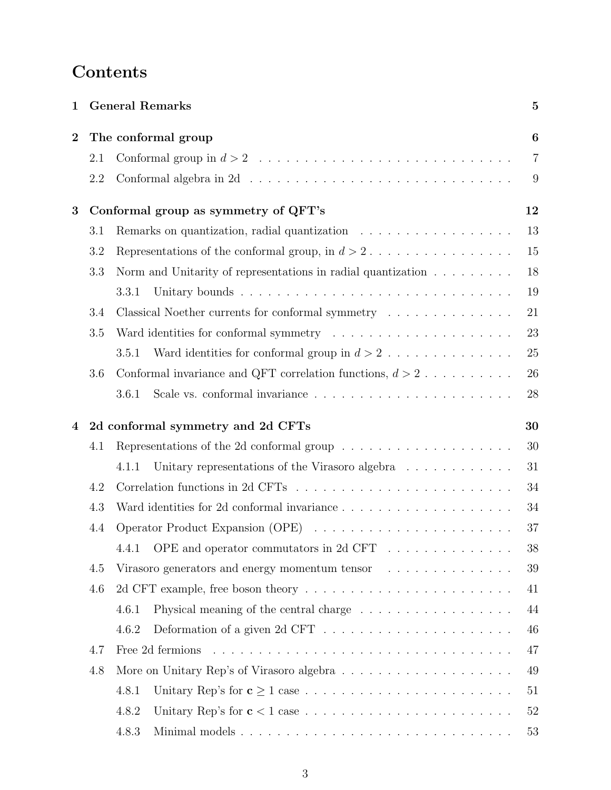# **Contents**

| $\mathbf 1$      | <b>General Remarks</b>                  |                                                                                       |                |  |  |
|------------------|-----------------------------------------|---------------------------------------------------------------------------------------|----------------|--|--|
| $\boldsymbol{2}$ | The conformal group                     |                                                                                       |                |  |  |
|                  | 2.1                                     |                                                                                       | $\overline{7}$ |  |  |
|                  | 2.2                                     |                                                                                       | 9              |  |  |
| 3                | Conformal group as symmetry of QFT's    |                                                                                       |                |  |  |
|                  | 3.1                                     | Remarks on quantization, radial quantization                                          | 13             |  |  |
|                  | 3.2                                     | Representations of the conformal group, in $d > 2$                                    | 15             |  |  |
|                  | 3.3                                     | Norm and Unitarity of representations in radial quantization $\ldots \ldots \ldots$   | 18             |  |  |
|                  |                                         | 3.3.1                                                                                 | 19             |  |  |
|                  | 3.4                                     | Classical Noether currents for conformal symmetry                                     | 21             |  |  |
|                  | 3.5                                     |                                                                                       | 23             |  |  |
|                  |                                         | Ward identities for conformal group in $d > 2$<br>3.5.1                               | 25             |  |  |
|                  | 3.6                                     | Conformal invariance and QFT correlation functions, $d > 2$                           | 26             |  |  |
|                  |                                         | 3.6.1                                                                                 | 28             |  |  |
| 4                | 2d conformal symmetry and 2d CFTs<br>30 |                                                                                       |                |  |  |
|                  | 4.1                                     | Representations of the 2d conformal group $\dots \dots \dots \dots \dots \dots \dots$ | 30             |  |  |
|                  |                                         | Unitary representations of the Virasoro algebra<br>4.1.1                              | 31             |  |  |
|                  | 4.2                                     |                                                                                       | 34             |  |  |
|                  | 4.3                                     |                                                                                       | 34             |  |  |
|                  | 4.4                                     |                                                                                       | 37             |  |  |
|                  |                                         | 4.4.1 OPE and operator commutators in 2d CFT                                          | 38             |  |  |
|                  | 4.5                                     | Virasoro generators and energy momentum tensor $\ldots \ldots \ldots \ldots$          | 39             |  |  |
|                  | 4.6                                     |                                                                                       | 41             |  |  |
|                  |                                         | Physical meaning of the central charge $\dots \dots \dots \dots \dots \dots$<br>4.6.1 | 44             |  |  |
|                  |                                         | 4.6.2                                                                                 | 46             |  |  |
|                  | 4.7                                     |                                                                                       | 47             |  |  |
|                  | 4.8                                     |                                                                                       | 49             |  |  |
|                  |                                         | 4.8.1                                                                                 | 51             |  |  |
|                  |                                         | 4.8.2                                                                                 | 52             |  |  |
|                  |                                         | 4.8.3                                                                                 | 53             |  |  |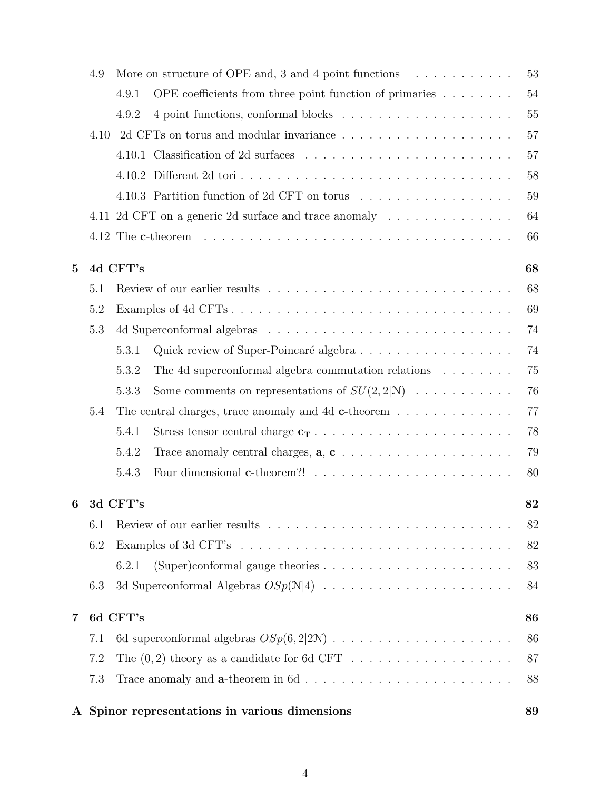|                | 4.9            |          | More on structure of OPE and, 3 and 4 point functions $\dots \dots \dots$                       | 53 |  |  |  |
|----------------|----------------|----------|-------------------------------------------------------------------------------------------------|----|--|--|--|
|                |                | 4.9.1    | OPE coefficients from three point function of primaries $\dots \dots$                           | 54 |  |  |  |
|                |                | 4.9.2    |                                                                                                 | 55 |  |  |  |
|                | 4.10           |          |                                                                                                 | 57 |  |  |  |
|                |                | 4.10.1   |                                                                                                 | 57 |  |  |  |
|                |                |          |                                                                                                 | 58 |  |  |  |
|                |                |          | 4.10.3 Partition function of 2d CFT on torus                                                    | 59 |  |  |  |
|                |                |          | 4.11 2d CFT on a generic 2d surface and trace anomaly                                           | 64 |  |  |  |
|                |                |          |                                                                                                 | 66 |  |  |  |
| $\overline{5}$ |                | 4d CFT's |                                                                                                 | 68 |  |  |  |
|                | 5.1            |          |                                                                                                 | 68 |  |  |  |
|                | 5.2            | 69       |                                                                                                 |    |  |  |  |
|                | 5.3            |          |                                                                                                 | 74 |  |  |  |
|                |                | 5.3.1    | Quick review of Super-Poincaré algebra                                                          | 74 |  |  |  |
|                |                | 5.3.2    | The 4d superconformal algebra commutation relations $\dots \dots$                               | 75 |  |  |  |
|                |                | 5.3.3    | Some comments on representations of $SU(2,2 \mathcal{N})$                                       | 76 |  |  |  |
|                | 5.4            |          | The central charges, trace anomaly and 4d $c$ -theorem                                          | 77 |  |  |  |
|                |                | 5.4.1    |                                                                                                 | 78 |  |  |  |
|                |                | 5.4.2    | Trace anomaly central charges, $\mathbf{a}, \mathbf{c}, \ldots, \ldots, \ldots, \ldots, \ldots$ | 79 |  |  |  |
|                |                | 5.4.3    |                                                                                                 | 80 |  |  |  |
| 6              | 3d CFT's<br>82 |          |                                                                                                 |    |  |  |  |
|                | 6.1            |          |                                                                                                 | 82 |  |  |  |
|                | 6.2            |          |                                                                                                 | 82 |  |  |  |
|                |                | 6.2.1    | (Super)conformal gauge theories $\ldots \ldots \ldots \ldots \ldots \ldots \ldots$              | 83 |  |  |  |
|                | 6.3            |          |                                                                                                 | 84 |  |  |  |
| $\overline{7}$ | 6d CFT's<br>86 |          |                                                                                                 |    |  |  |  |
|                | 7.1            |          |                                                                                                 | 86 |  |  |  |
|                | 7.2            |          |                                                                                                 | 87 |  |  |  |
|                | 7.3            |          |                                                                                                 | 88 |  |  |  |
|                |                |          |                                                                                                 |    |  |  |  |

# **A Spinor representations in various dimensions 89**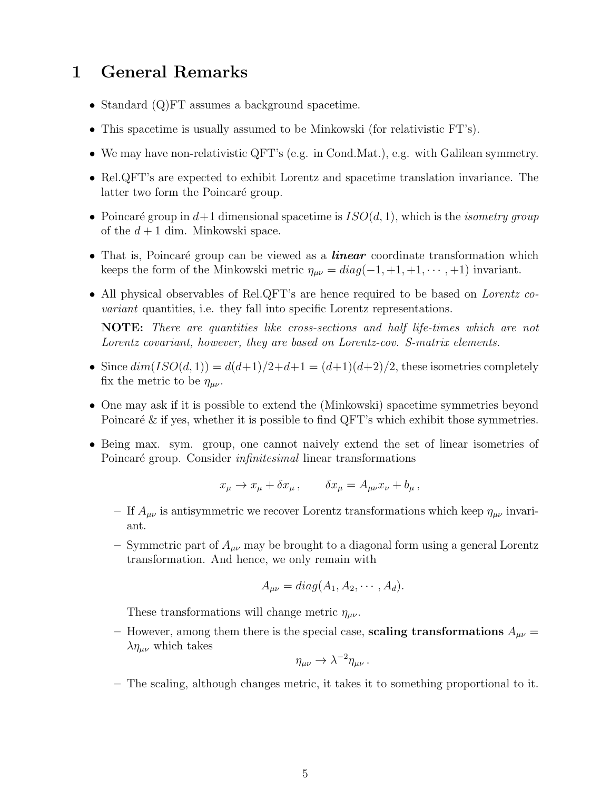# **1 General Remarks**

- Standard (Q)FT assumes a background spacetime.
- This spacetime is usually assumed to be Minkowski (for relativistic FT's).
- We may have non-relativistic QFT's (e.g. in Cond.Mat.), e.g. with Galilean symmetry.
- Rel.QFT's are expected to exhibit Lorentz and spacetime translation invariance. The latter two form the Poincaré group.
- Poincaré group in  $d+1$  dimensional spacetime is  $ISO(d, 1)$ , which is the *isometry group* of the  $d+1$  dim. Minkowski space.
- That is, Poincaré group can be viewed as a *linear* coordinate transformation which keeps the form of the Minkowski metric  $\eta_{\mu\nu} = diag(-1, +1, +1, \dots, +1)$  invariant.
- All physical observables of Rel.QFT's are hence required to be based on *Lorentz covariant* quantities, i.e. they fall into specific Lorentz representations.

**NOTE:** *There are quantities like cross-sections and half life-times which are not Lorentz covariant, however, they are based on Lorentz-cov. S-matrix elements.*

- Since  $dim(ISO(d,1)) = d(d+1)/2+d+1 = (d+1)(d+2)/2$ , these isometries completely fix the metric to be  $\eta_{\mu\nu}$ .
- One may ask if it is possible to extend the (Minkowski) spacetime symmetries beyond Poincaré  $\&$  if yes, whether it is possible to find QFT's which exhibit those symmetries.
- Being max. sym. group, one cannot naively extend the set of linear isometries of Poincaré group. Consider *infinitesimal* linear transformations

$$
x_{\mu} \to x_{\mu} + \delta x_{\mu} , \qquad \delta x_{\mu} = A_{\mu\nu} x_{\nu} + b_{\mu} ,
$$

- **–** If *Aµν* is antisymmetric we recover Lorentz transformations which keep *ηµν* invariant.
- **–** Symmetric part of *Aµν* may be brought to a diagonal form using a general Lorentz transformation. And hence, we only remain with

$$
A_{\mu\nu} = diag(A_1, A_2, \cdots, A_d).
$$

These transformations will change metric  $\eta_{\mu\nu}$ .

– However, among them there is the special case, **scaling transformations**  $A_{\mu\nu}$  =  $\lambda \eta_{\mu\nu}$  which takes

$$
\eta_{\mu\nu} \to \lambda^{-2} \eta_{\mu\nu} \, .
$$

**–** The scaling, although changes metric, it takes it to something proportional to it.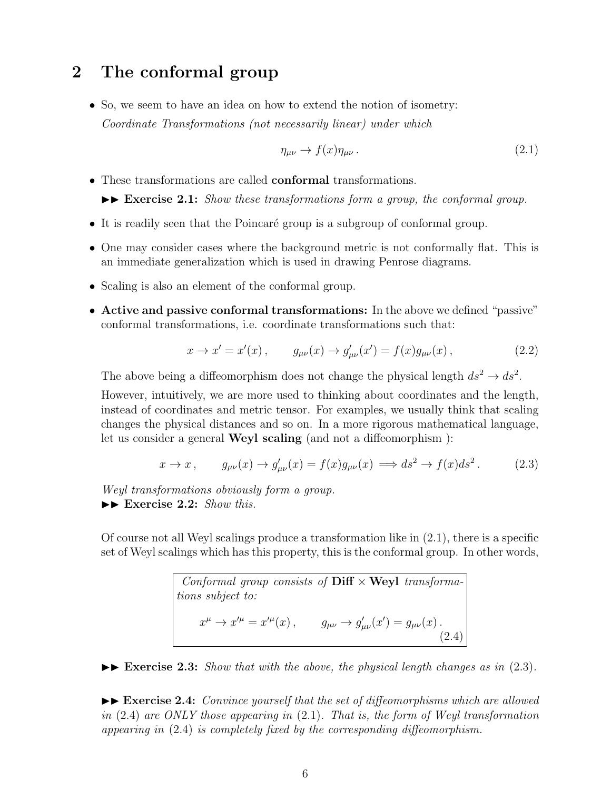# **2 The conformal group**

• So, we seem to have an idea on how to extend the notion of isometry: *Coordinate Transformations (not necessarily linear) under which*

$$
\eta_{\mu\nu} \to f(x)\eta_{\mu\nu} \,. \tag{2.1}
$$

• These transformations are called **conformal** transformations.

 $\blacktriangleright\blacktriangleright$  **Exercise 2.1:** *Show these transformations form a group, the conformal group.* 

- It is readily seen that the Poincaré group is a subgroup of conformal group.
- One may consider cases where the background metric is not conformally flat. This is an immediate generalization which is used in drawing Penrose diagrams.
- Scaling is also an element of the conformal group.
- **Active and passive conformal transformations:** In the above we defined "passive" conformal transformations, i.e. coordinate transformations such that:

$$
x \to x' = x'(x), \qquad g_{\mu\nu}(x) \to g'_{\mu\nu}(x') = f(x)g_{\mu\nu}(x), \tag{2.2}
$$

The above being a diffeomorphism does not change the physical length  $ds^2 \to ds^2$ .

However, intuitively, we are more used to thinking about coordinates and the length, instead of coordinates and metric tensor. For examples, we usually think that scaling changes the physical distances and so on. In a more rigorous mathematical language, let us consider a general **Weyl scaling** (and not a diffeomorphism ):

$$
x \to x, \qquad g_{\mu\nu}(x) \to g'_{\mu\nu}(x) = f(x)g_{\mu\nu}(x) \implies ds^2 \to f(x)ds^2. \tag{2.3}
$$

*Weyl transformations obviously form a group.* ▶▶ Exercise 2.2: *Show this.* 

Of course not all Weyl scalings produce a transformation like in (2.1), there is a specific set of Weyl scalings which has this property, this is the conformal group. In other words,

> *Conformal group consists of* **Diff** *×* **Weyl** *transformations subject to:*  $x^{\mu} \to x'^{\mu} = x'^{\mu}(x)$ ,  $g_{\mu\nu} \to g'_{\mu\nu}(x') = g_{\mu\nu}(x)$ . (2.4)

 $\blacktriangleright\blacktriangleright$  **Exercise 2.3:** *Show that with the above, the physical length changes as in* (2.3).

 $\blacktriangleright$  **Exercise 2.4:** *Convince yourself that the set of diffeomorphisms which are allowed in* (2.4) *are ONLY those appearing in* (2.1)*. That is, the form of Weyl transformation appearing in* (2.4) *is completely fixed by the corresponding diffeomorphism.*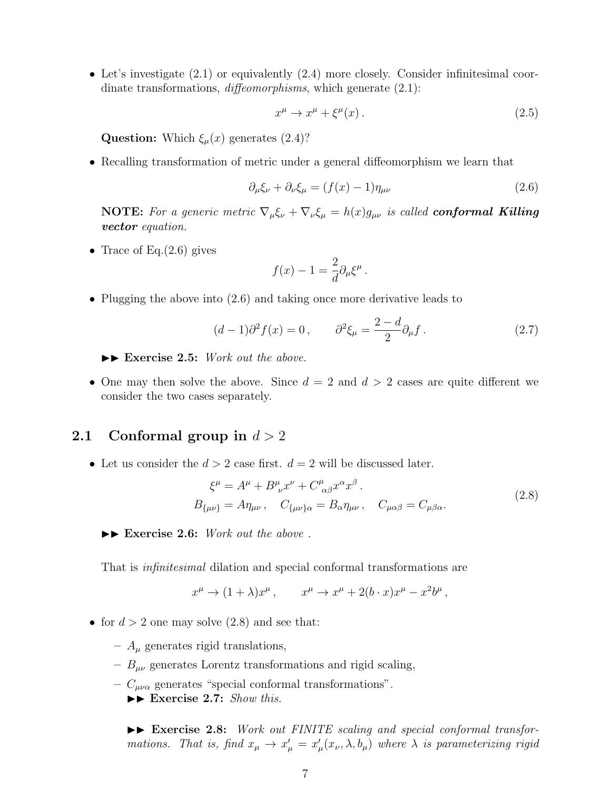• Let's investigate (2.1) or equivalently (2.4) more closely. Consider infinitesimal coordinate transformations, *diffeomorphisms*, which generate (2.1):

$$
x^{\mu} \to x^{\mu} + \xi^{\mu}(x) \,. \tag{2.5}
$$

**Question:** Which  $\xi_\mu(x)$  generates (2.4)?

• Recalling transformation of metric under a general diffeomorphism we learn that

$$
\partial_{\mu}\xi_{\nu} + \partial_{\nu}\xi_{\mu} = (f(x) - 1)\eta_{\mu\nu} \tag{2.6}
$$

**NOTE:** For a generic metric  $\nabla_{\mu} \xi_{\nu} + \nabla_{\nu} \xi_{\mu} = h(x) g_{\mu\nu}$  is called **conformal Killing** *vector equation.*

• Trace of Eq. $(2.6)$  gives

$$
f(x) - 1 = \frac{2}{d} \partial_{\mu} \xi^{\mu}
$$

• Plugging the above into  $(2.6)$  and taking once more derivative leads to

$$
(d-1)\partial^2 f(x) = 0, \qquad \partial^2 \xi_\mu = \frac{2-d}{2} \partial_\mu f. \tag{2.7}
$$

*.*

▶▶ Exercise 2.5: *Work out the above.* 

• One may then solve the above. Since  $d = 2$  and  $d > 2$  cases are quite different we consider the two cases separately.

# **2.1 Conformal group in** *d >* 2

• Let us consider the  $d > 2$  case first.  $d = 2$  will be discussed later.

$$
\xi^{\mu} = A^{\mu} + B^{\mu}_{\ \nu} x^{\nu} + C^{\mu}_{\ \alpha\beta} x^{\alpha} x^{\beta}.
$$
  
\n
$$
B_{\{\mu\nu\}} = A \eta_{\mu\nu}, \quad C_{\{\mu\nu\}\alpha} = B_{\alpha} \eta_{\mu\nu}, \quad C_{\mu\alpha\beta} = C_{\mu\beta\alpha}.
$$
\n(2.8)

▶▶ Exercise 2.6: *Work out the above*.

That is *infinitesimal* dilation and special conformal transformations are

$$
x^{\mu} \to (1+\lambda)x^{\mu}, \qquad x^{\mu} \to x^{\mu} + 2(b \cdot x)x^{\mu} - x^2b^{\mu},
$$

- for  $d > 2$  one may solve  $(2.8)$  and see that:
	- **–** *A<sup>µ</sup>* generates rigid translations,
	- **–** *Bµν* generates Lorentz transformations and rigid scaling,
	- **–** *Cµνα* generates "special conformal transformations".

▶▶ Exercise 2.7: *Show this.* 

II **Exercise 2.8:** *Work out FINITE scaling and special conformal transformations. That is, find*  $x_{\mu} \to x'_{\mu} = x'_{\mu}(x_{\nu}, \lambda, b_{\mu})$  where  $\lambda$  *is parameterizing rigid*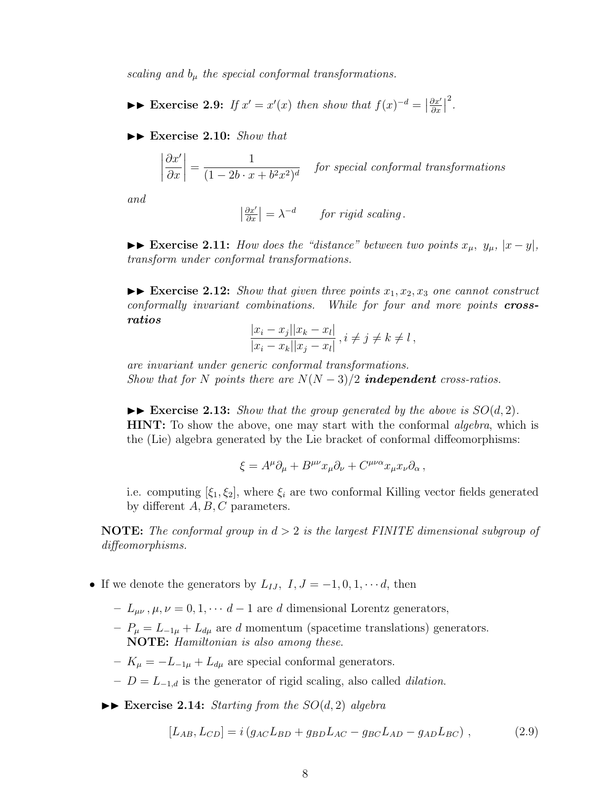*scaling and*  $b_{\mu}$  *the special conformal transformations.* 

►► Exercise 2.9: If  $x' = x'(x)$  then show that  $f(x)^{-d} = \left| \frac{\partial x'}{\partial x} \right|$ *∂x* 2 *.*

II **Exercise 2.10:** *Show that*

$$
\left|\frac{\partial x'}{\partial x}\right| = \frac{1}{(1 - 2b \cdot x + b^2 x^2)^d}
$$
 for special conformal transformations

*and*

$$
\left|\frac{\partial x'}{\partial x}\right| = \lambda^{-d} \quad \text{for rigid scaling.}
$$

►► Exercise 2.11: *How does the "distance" between two points*  $x_{\mu}$ ,  $y_{\mu}$ ,  $|x-y|$ , *transform under conformal transformations.*

 $\blacktriangleright\blacktriangleright$  **Exercise 2.12:** *Show that given three points*  $x_1, x_2, x_3$  *one cannot construct conformally invariant combinations. While for four and more points crossratios*

$$
\frac{|x_i - x_j||x_k - x_l|}{|x_i - x_k||x_j - x_l|}, i \neq j \neq k \neq l,
$$

*are invariant under generic conformal transformations. Show that for N points there are*  $N(N-3)/2$  *independent cross-ratios.* 

 $\blacktriangleright$  **Exercise 2.13:** *Show that the group generated by the above is*  $SO(d, 2)$ *.* **HINT:** To show the above, one may start with the conformal *algebra*, which is the (Lie) algebra generated by the Lie bracket of conformal diffeomorphisms:

$$
\xi = A^{\mu} \partial_{\mu} + B^{\mu \nu} x_{\mu} \partial_{\nu} + C^{\mu \nu \alpha} x_{\mu} x_{\nu} \partial_{\alpha} ,
$$

i.e. computing  $[\xi_1, \xi_2]$ , where  $\xi_i$  are two conformal Killing vector fields generated by different *A, B, C* parameters.

**NOTE:** *The conformal group in d >* 2 *is the largest FINITE dimensional subgroup of diffeomorphisms.*

- If we denote the generators by  $L_{IJ}$ ,  $I, J = -1, 0, 1, \cdots d$ , then
	- **–** *Lµν , µ, ν* = 0*,* 1*, · · · d −* 1 are *d* dimensional Lorentz generators,
	- **–** *P<sup>µ</sup>* = *L−*1*<sup>µ</sup>* + *Ldµ* are *d* momentum (spacetime translations) generators. **NOTE:** *Hamiltonian is also among these*.
	- **–** *K<sup>µ</sup>* = *−L−*1*<sup>µ</sup>* + *Ldµ* are special conformal generators.
	- **–** *D* = *L−*1*,d* is the generator of rigid scaling, also called *dilation*.
	- $\triangleright$  **Exercise 2.14:** *Starting from the*  $SO(d, 2)$  *algebra*

$$
[L_{AB}, L_{CD}] = i(g_{AC}L_{BD} + g_{BD}L_{AC} - g_{BC}L_{AD} - g_{AD}L_{BC}), \qquad (2.9)
$$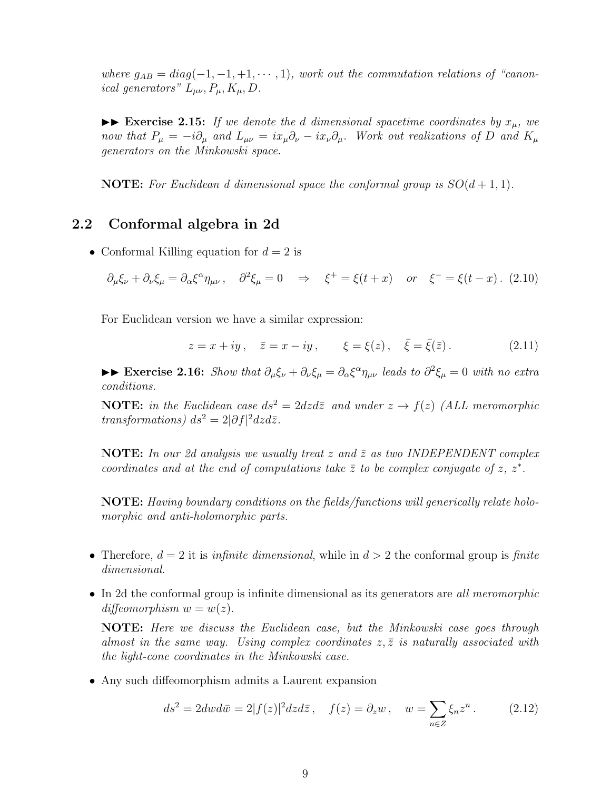*where*  $g_{AB} = diag(-1, -1, +1, \cdots, 1)$ *, work out the commutation relations of "canonical generators*"  $L_{\mu\nu}$ ,  $P_{\mu}$ ,  $K_{\mu}$ ,  $D$ .

 $\blacktriangleright\blacktriangleright$  **Exercise 2.15:** *If we denote the d dimensional spacetime coordinates by*  $x_{\mu}$ *, we* now that  $P_{\mu} = -i\partial_{\mu}$  and  $L_{\mu\nu} = ix_{\mu}\partial_{\nu} - ix_{\nu}\partial_{\mu}$ . Work out realizations of D and  $K_{\mu}$ *generators on the Minkowski space.*

**NOTE:** For Euclidean d dimensional space the conformal group is  $SO(d+1,1)$ .

# **2.2 Conformal algebra in 2d**

• Conformal Killing equation for  $d = 2$  is

$$
\partial_{\mu}\xi_{\nu} + \partial_{\nu}\xi_{\mu} = \partial_{\alpha}\xi^{\alpha}\eta_{\mu\nu}, \quad \partial^2\xi_{\mu} = 0 \quad \Rightarrow \quad \xi^+ = \xi(t+x) \quad \text{or} \quad \xi^- = \xi(t-x). \tag{2.10}
$$

For Euclidean version we have a similar expression:

$$
z = x + iy
$$
,  $\bar{z} = x - iy$ ,  $\xi = \xi(z)$ ,  $\bar{\xi} = \bar{\xi}(\bar{z})$ . (2.11)

 $\blacktriangleright\blacktriangleright$  Exercise 2.16: Show that  $\partial_\mu \xi_\nu + \partial_\nu \xi_\mu = \partial_\alpha \xi^\alpha \eta_{\mu\nu}$  leads to  $\partial^2 \xi_\mu = 0$  with no extra *conditions.*

**NOTE:** *in the Euclidean case*  $ds^2 = 2dzd\overline{z}$  *and under*  $z \rightarrow f(z)$  *(ALL meromorphic transformations*)  $ds^2 = 2|\partial f|^2 dz d\bar{z}$ .

**NOTE:** In our 2d analysis we usually treat  $z$  and  $\overline{z}$  as two INDEPENDENT complex *coordinates and at the end of computations take*  $\bar{z}$  to be complex conjugate of  $z$ ,  $z^*$ .

**NOTE:** *Having boundary conditions on the fields/functions will generically relate holomorphic and anti-holomorphic parts.*

- Therefore,  $d = 2$  it is *infinite dimensional*, while in  $d > 2$  the conformal group is *finite dimensional*.
- In 2d the conformal group is infinite dimensional as its generators are *all meromorphic diffeomorphism*  $w = w(z)$ .

**NOTE:** *Here we discuss the Euclidean case, but the Minkowski case goes through almost in the same way. Using complex coordinates*  $z, \bar{z}$  *is naturally associated with the light-cone coordinates in the Minkowski case.*

• Any such diffeomorphism admits a Laurent expansion

$$
ds2 = 2dw d\overline{w} = 2|f(z)|2 dz d\overline{z}, \quad f(z) = \partial_z w, \quad w = \sum_{n \in \mathbb{Z}} \xi_n z^n. \tag{2.12}
$$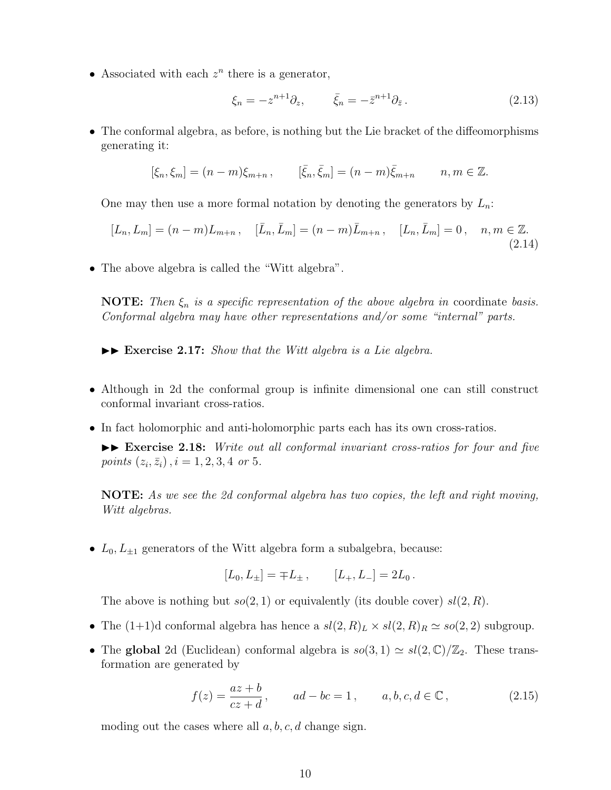• Associated with each  $z^n$  there is a generator,

$$
\xi_n = -z^{n+1}\partial_z, \qquad \bar{\xi}_n = -\bar{z}^{n+1}\partial_{\bar{z}}.
$$
\n(2.13)

• The conformal algebra, as before, is nothing but the Lie bracket of the diffeomorphisms generating it:

$$
[\xi_n, \xi_m] = (n - m)\xi_{m+n}, \qquad [\bar{\xi}_n, \bar{\xi}_m] = (n - m)\bar{\xi}_{m+n} \qquad n, m \in \mathbb{Z}.
$$

One may then use a more formal notation by denoting the generators by *Ln*:

$$
[L_n, L_m] = (n - m)L_{m+n}, \quad [\bar{L}_n, \bar{L}_m] = (n - m)\bar{L}_{m+n}, \quad [L_n, \bar{L}_m] = 0, \quad n, m \in \mathbb{Z}.
$$
\n(2.14)

• The above algebra is called the "Witt algebra".

**NOTE:** *Then ξ<sup>n</sup> is a specific representation of the above algebra in* coordinate *basis. Conformal algebra may have other representations and/or some "internal" parts.*

 $\blacktriangleright\blacktriangleright$  **Exercise 2.17:** *Show that the Witt algebra is a Lie algebra.* 

- Although in 2d the conformal group is infinite dimensional one can still construct conformal invariant cross-ratios.
- In fact holomorphic and anti-holomorphic parts each has its own cross-ratios.

 $\blacktriangleright$  **Exercise 2.18:** *Write out all conformal invariant cross-ratios for four and five points*  $(z_i, \bar{z}_i)$ ,  $i = 1, 2, 3, 4$  *or* 5*.* 

**NOTE:** *As we see the 2d conformal algebra has two copies, the left and right moving, Witt algebras.*

•  $L_0, L_{\pm 1}$  generators of the Witt algebra form a subalgebra, because:

$$
[L_0, L_{\pm}] = \mp L_{\pm} , \qquad [L_+, L_-] = 2L_0 .
$$

The above is nothing but  $so(2, 1)$  or equivalently (its double cover)  $sl(2, R)$ .

- The  $(1+1)d$  conformal algebra has hence a  $sl(2, R)<sub>L</sub> \times sl(2, R)<sub>R</sub> \simeq so(2, 2)$  subgroup.
- The **global** 2d (Euclidean) conformal algebra is  $so(3, 1) \simeq sl(2, \mathbb{C})/\mathbb{Z}_2$ . These transformation are generated by

$$
f(z) = \frac{az+b}{cz+d}, \qquad ad - bc = 1, \qquad a, b, c, d \in \mathbb{C}, \tag{2.15}
$$

moding out the cases where all *a, b, c, d* change sign.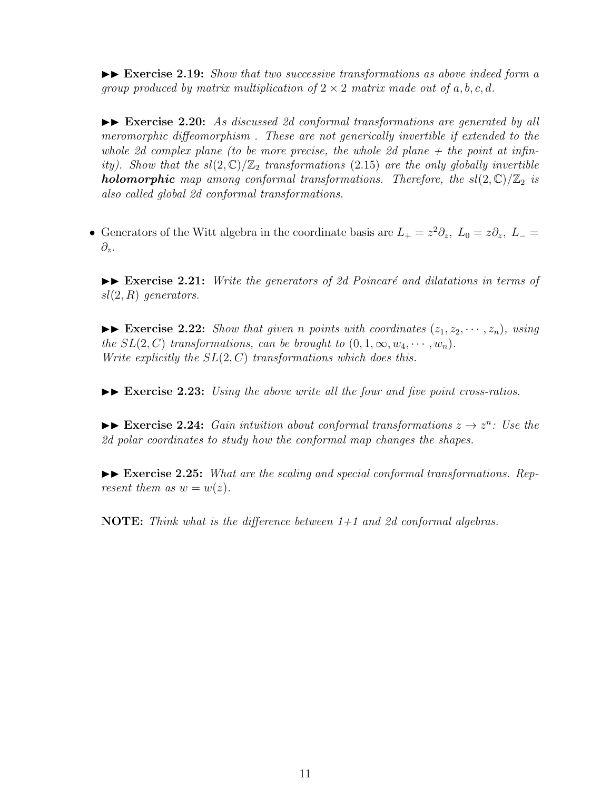II **Exercise 2.19:** *Show that two successive transformations as above indeed form a group produced by matrix multiplication of*  $2 \times 2$  *matrix made out of*  $a, b, c, d$ *.* 

 $\blacktriangleright\blacktriangleright$  **Exercise 2.20:** As discussed 2d conformal transformations are generated by all *meromorphic diffeomorphism . These are not generically invertible if extended to the whole 2d complex plane (to be more precise, the whole 2d plane + the point at infinity). Show that the*  $sl(2,\mathbb{C})/\mathbb{Z}_2$  *transformations* (2.15) *are the only globally invertible holomorphic* map among conformal transformations. Therefore, the  $sl(2,\mathbb{C})/\mathbb{Z}_2$  is *also called global 2d conformal transformations.*

• Generators of the Witt algebra in the coordinate basis are  $L_{+} = z^{2} \partial_{z}$ ,  $L_{0} = z \partial_{z}$ ,  $L_{-} =$ *∂z*.

 $\blacktriangleright\blacktriangleright$  **Exercise 2.21:** *Write the generators of 2d Poincaré and dilatations in terms of sl*(2*, R*) *generators.*

 $\blacktriangleright\blacktriangleright$  **Exercise 2.22:** *Show that given n points with coordinates*  $(z_1, z_2, \dots, z_n)$ *, using the*  $SL(2, C)$  *transformations, can be brought to*  $(0, 1, \infty, w_4, \cdots, w_n)$ *. Write explicitly the SL*(2*, C*) *transformations which does this.*

 $\blacktriangleright\blacktriangleright$  **Exercise 2.23:** *Using the above write all the four and five point cross-ratios.* 

 $\blacktriangleright$  **Exercise 2.24:** *Gain intuition about conformal transformations*  $z \to z^n$ : *Use the 2d polar coordinates to study how the conformal map changes the shapes.*

►► Exercise 2.25: What are the scaling and special conformal transformations. Rep*resent them as*  $w = w(z)$ *.* 

**NOTE:** *Think what is the difference between 1+1 and 2d conformal algebras.*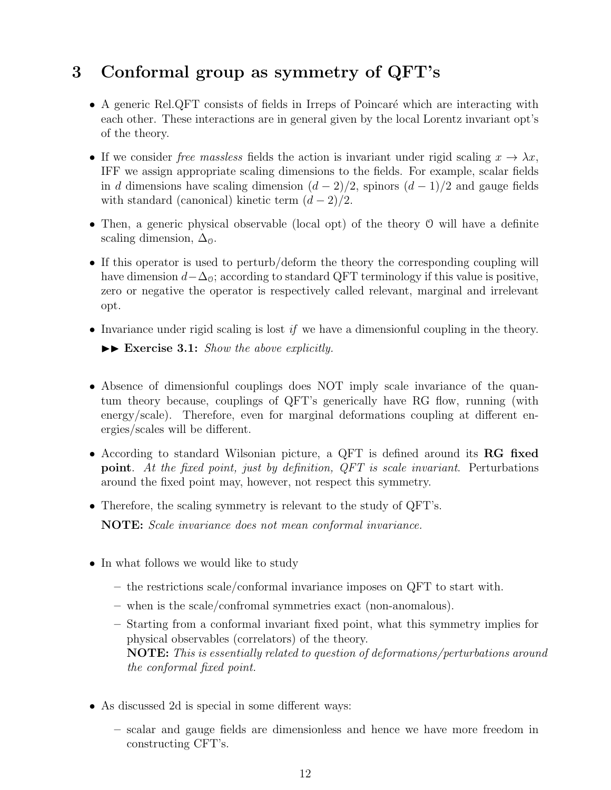# **3 Conformal group as symmetry of QFT's**

- A generic Rel.QFT consists of fields in Irreps of Poincaré which are interacting with each other. These interactions are in general given by the local Lorentz invariant opt's of the theory.
- If we consider *free massless* fields the action is invariant under rigid scaling  $x \to \lambda x$ , IFF we assign appropriate scaling dimensions to the fields. For example, scalar fields in *d* dimensions have scaling dimension  $(d-2)/2$ , spinors  $(d-1)/2$  and gauge fields with standard (canonical) kinetic term  $(d-2)/2$ .
- Then, a generic physical observable (local opt) of the theory O will have a definite scaling dimension,  $\Delta_0$ .
- If this operator is used to perturb/deform the theory the corresponding coupling will have dimension  $d-\Delta_0$ ; according to standard QFT terminology if this value is positive, zero or negative the operator is respectively called relevant, marginal and irrelevant opt.
- Invariance under rigid scaling is lost *if* we have a dimensionful coupling in the theory.  $\blacktriangleright\blacktriangleright$  **Exercise 3.1:** *Show the above explicitly.*
- Absence of dimensionful couplings does NOT imply scale invariance of the quantum theory because, couplings of QFT's generically have RG flow, running (with energy/scale). Therefore, even for marginal deformations coupling at different energies/scales will be different.
- According to standard Wilsonian picture, a QFT is defined around its **RG fixed point**. *At the fixed point, just by definition, QFT is scale invariant*. Perturbations around the fixed point may, however, not respect this symmetry.
- Therefore, the scaling symmetry is relevant to the study of QFT's.

**NOTE:** *Scale invariance does not mean conformal invariance.*

- In what follows we would like to study
	- **–** the restrictions scale/conformal invariance imposes on QFT to start with.
	- **–** when is the scale/confromal symmetries exact (non-anomalous).
	- **–** Starting from a conformal invariant fixed point, what this symmetry implies for physical observables (correlators) of the theory. **NOTE:** *This is essentially related to question of deformations/perturbations around the conformal fixed point.*
- As discussed 2d is special in some different ways:
	- **–** scalar and gauge fields are dimensionless and hence we have more freedom in constructing CFT's.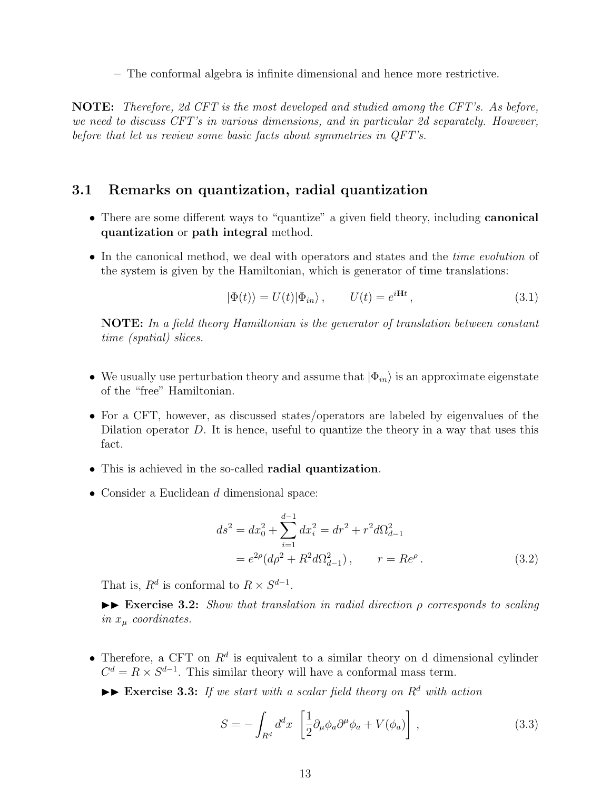**–** The conformal algebra is infinite dimensional and hence more restrictive.

**NOTE:** *Therefore, 2d CFT is the most developed and studied among the CFT's. As before, we need to discuss CFT's in various dimensions, and in particular 2d separately. However, before that let us review some basic facts about symmetries in QFT's.*

### **3.1 Remarks on quantization, radial quantization**

- There are some different ways to "quantize" a given field theory, including **canonical quantization** or **path integral** method.
- In the canonical method, we deal with operators and states and the *time evolution* of the system is given by the Hamiltonian, which is generator of time translations:

$$
|\Phi(t)\rangle = U(t)|\Phi_{in}\rangle, \qquad U(t) = e^{i\mathbf{H}t}, \qquad (3.1)
$$

**NOTE:** *In a field theory Hamiltonian is the generator of translation between constant time (spatial) slices.*

- We usually use perturbation theory and assume that *|*Φ*in⟩* is an approximate eigenstate of the "free" Hamiltonian.
- For a CFT, however, as discussed states/operators are labeled by eigenvalues of the Dilation operator D. It is hence, useful to quantize the theory in a way that uses this fact.
- This is achieved in the so-called **radial quantization**.
- Consider a Euclidean *d* dimensional space:

$$
ds^{2} = dx_{0}^{2} + \sum_{i=1}^{d-1} dx_{i}^{2} = dr^{2} + r^{2} d\Omega_{d-1}^{2}
$$
  
=  $e^{2\rho} (d\rho^{2} + R^{2} d\Omega_{d-1}^{2}), \qquad r = Re^{\rho}.$  (3.2)

That is,  $R^d$  is conformal to  $R \times S^{d-1}$ .

II **Exercise 3.2:** *Show that translation in radial direction ρ corresponds to scaling in x<sup>µ</sup> coordinates.*

• Therefore, a CFT on  $R^d$  is equivalent to a similar theory on d dimensional cylinder  $C^d = R \times S^{d-1}$ . This similar theory will have a conformal mass term.

 $\triangleright$  **Exercise 3.3:** *If we start with a scalar field theory on*  $R^d$  *with action* 

$$
S = -\int_{R^d} d^d x \left[ \frac{1}{2} \partial_\mu \phi_a \partial^\mu \phi_a + V(\phi_a) \right], \qquad (3.3)
$$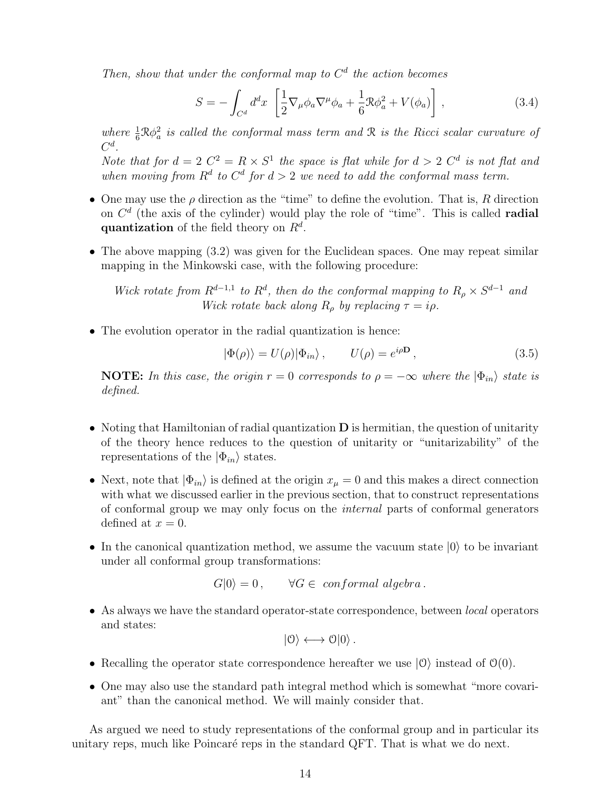*Then, show that under the conformal map to*  $C<sup>d</sup>$  *the action becomes* 

$$
S = -\int_{C^d} d^d x \left[ \frac{1}{2} \nabla_\mu \phi_a \nabla^\mu \phi_a + \frac{1}{6} \mathcal{R} \phi_a^2 + V(\phi_a) \right],\tag{3.4}
$$

where  $\frac{1}{6}R\phi_a^2$  is called the conformal mass term and R is the Ricci scalar curvature of *C d .*

*Note that for*  $d = 2$   $C^2 = R \times S^1$  *the space is flat while for*  $d > 2$   $C^d$  *is not flat and* when moving from  $R^d$  to  $C^d$  for  $d > 2$  we need to add the conformal mass term.

- One may use the *ρ* direction as the "time" to define the evolution. That is, *R* direction on *C d* (the axis of the cylinder) would play the role of "time". This is called **radial quantization** of the field theory on *R<sup>d</sup>* .
- The above mapping  $(3.2)$  was given for the Euclidean spaces. One may repeat similar mapping in the Minkowski case, with the following procedure:

*Wick rotate from*  $R^{d-1,1}$  *to*  $R^d$ , *then do the conformal mapping to*  $R_\rho \times S^{d-1}$  *and Wick rotate back along*  $R_\rho$  *by replacing*  $\tau = i\rho$ *.* 

• The evolution operator in the radial quantization is hence:

$$
|\Phi(\rho)\rangle = U(\rho)|\Phi_{in}\rangle, \qquad U(\rho) = e^{i\rho \mathbf{D}}, \tag{3.5}
$$

**NOTE:** In this case, the origin  $r = 0$  corresponds to  $\rho = -\infty$  where the  $|\Phi_{in}\rangle$  state is *defined.*

- Noting that Hamiltonian of radial quantization **D** is hermitian, the question of unitarity of the theory hence reduces to the question of unitarity or "unitarizability" of the representations of the  $|\Phi_{in}\rangle$  states.
- Next, note that  $|\Phi_{in}\rangle$  is defined at the origin  $x_\mu = 0$  and this makes a direct connection with what we discussed earlier in the previous section, that to construct representations of conformal group we may only focus on the *internal* parts of conformal generators defined at  $x = 0$ .
- In the canonical quantization method, we assume the vacuum state *|*0*⟩* to be invariant under all conformal group transformations:

 $G|0\rangle = 0$ ,  $\forall G \in \text{conformal algebra}.$ 

• As always we have the standard operator-state correspondence, between *local* operators and states:

$$
|0\rangle \longleftrightarrow 0|0\rangle .
$$

- Recalling the operator state correspondence hereafter we use  $|0\rangle$  instead of  $\mathcal{O}(0)$ .
- One may also use the standard path integral method which is somewhat "more covariant" than the canonical method. We will mainly consider that.

As argued we need to study representations of the conformal group and in particular its unitary reps, much like Poincaré reps in the standard QFT. That is what we do next.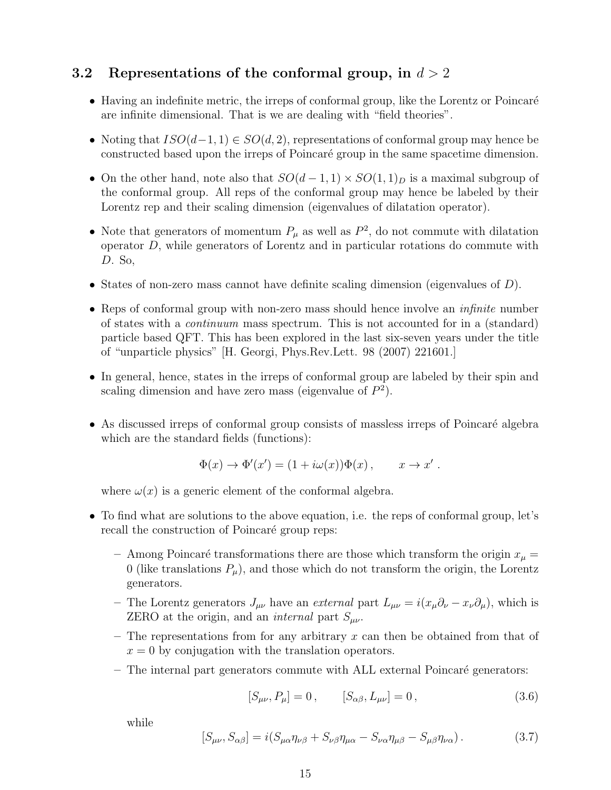# **3.2 Representations of the conformal group, in** *d >* 2

- Having an indefinite metric, the irreps of conformal group, like the Lorentz or Poincaré are infinite dimensional. That is we are dealing with "field theories".
- Noting that *ISO*(*d−*1*,* 1) *∈ SO*(*d,* 2), representations of conformal group may hence be constructed based upon the irreps of Poincar´e group in the same spacetime dimension.
- On the other hand, note also that  $SO(d-1,1) \times SO(1,1)_D$  is a maximal subgroup of the conformal group. All reps of the conformal group may hence be labeled by their Lorentz rep and their scaling dimension (eigenvalues of dilatation operator).
- Note that generators of momentum  $P_\mu$  as well as  $P^2$ , do not commute with dilatation operator *D*, while generators of Lorentz and in particular rotations do commute with *D*. So,
- States of non-zero mass cannot have definite scaling dimension (eigenvalues of *D*).
- Reps of conformal group with non-zero mass should hence involve an *infinite* number of states with a *continuum* mass spectrum. This is not accounted for in a (standard) particle based QFT. This has been explored in the last six-seven years under the title of "unparticle physics" [H. Georgi, Phys.Rev.Lett. 98 (2007) 221601.]
- In general, hence, states in the irreps of conformal group are labeled by their spin and scaling dimension and have zero mass (eigenvalue of  $P^2$ ).
- As discussed irreps of conformal group consists of massless irreps of Poincaré algebra which are the standard fields (functions):

$$
\Phi(x) \to \Phi'(x') = (1 + i\omega(x))\Phi(x), \qquad x \to x'.
$$

where  $\omega(x)$  is a generic element of the conformal algebra.

- To find what are solutions to the above equation, i.e. the reps of conformal group, let's recall the construction of Poincaré group reps:
	- Among Poincaré transformations there are those which transform the origin  $x_\mu$  = 0 (like translations  $P_\mu$ ), and those which do not transform the origin, the Lorentz generators.
	- $−$  The Lorentz generators  $J_{\mu\nu}$  have an *external* part  $L_{\mu\nu} = i(x_{\mu}\partial_{\nu} x_{\nu}\partial_{\mu})$ , which is ZERO at the origin, and an *internal* part  $S_{\mu\nu}$ .
	- **–** The representations from for any arbitrary *x* can then be obtained from that of  $x = 0$  by conjugation with the translation operators.
	- **–** The internal part generators commute with ALL external Poincar´e generators:

$$
[S_{\mu\nu}, P_{\mu}] = 0, \qquad [S_{\alpha\beta}, L_{\mu\nu}] = 0, \qquad (3.6)
$$

while

$$
[S_{\mu\nu}, S_{\alpha\beta}] = i(S_{\mu\alpha}\eta_{\nu\beta} + S_{\nu\beta}\eta_{\mu\alpha} - S_{\nu\alpha}\eta_{\mu\beta} - S_{\mu\beta}\eta_{\nu\alpha}). \tag{3.7}
$$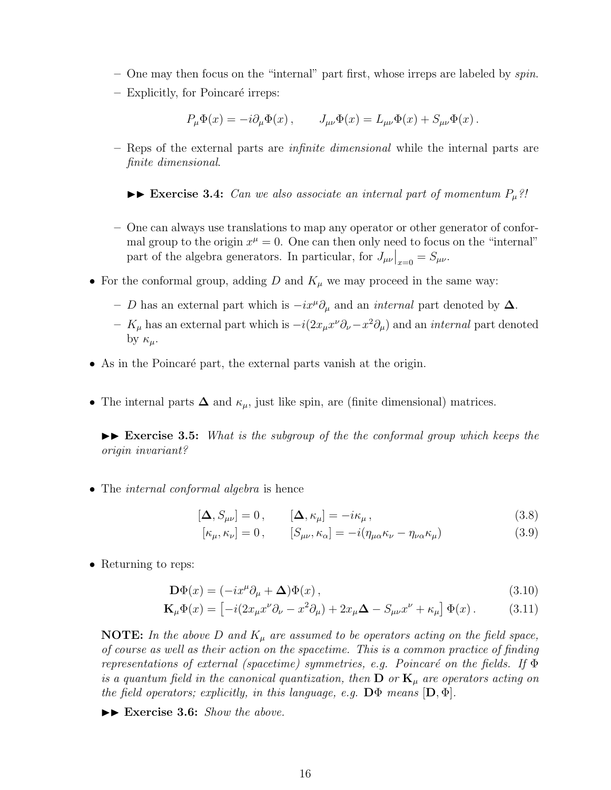- **–** One may then focus on the "internal" part first, whose irreps are labeled by *spin*.
- $-$  Explicitly, for Poincaré irreps:

$$
P_{\mu}\Phi(x) = -i\partial_{\mu}\Phi(x), \qquad J_{\mu\nu}\Phi(x) = L_{\mu\nu}\Phi(x) + S_{\mu\nu}\Phi(x).
$$

**–** Reps of the external parts are *infinite dimensional* while the internal parts are *finite dimensional*.

 $\triangleright$  **Exercise 3.4:** *Can we also associate an internal part of momentum*  $P_\mu$ ?!

- **–** One can always use translations to map any operator or other generator of conformal group to the origin  $x^{\mu} = 0$ . One can then only need to focus on the "internal" part of the algebra generators. In particular, for  $J_{\mu\nu}|_{x=0} = S_{\mu\nu}$ .
- For the conformal group, adding  $D$  and  $K_\mu$  we may proceed in the same way:
	- **–** *D* has an external part which is *−ix<sup>µ</sup>∂<sup>µ</sup>* and an *internal* part denoted by **∆**.
	- **–** *K<sup>µ</sup>* has an external part which is *−i*(2*xµx <sup>ν</sup>∂ν−x* <sup>2</sup>*∂µ*) and an *internal* part denoted by *κµ*.
- As in the Poincaré part, the external parts vanish at the origin.
- The internal parts  $\Delta$  and  $\kappa_{\mu}$ , just like spin, are (finite dimensional) matrices.

 $\triangleright$  **Exercise 3.5:** *What is the subgroup of the the conformal group which keeps the origin invariant?*

• The *internal conformal algebra* is hence

$$
[\Delta, S_{\mu\nu}] = 0, \qquad [\Delta, \kappa_{\mu}] = -i\kappa_{\mu}, \qquad (3.8)
$$

$$
[\kappa_{\mu}, \kappa_{\nu}] = 0, \qquad [S_{\mu\nu}, \kappa_{\alpha}] = -i(\eta_{\mu\alpha}\kappa_{\nu} - \eta_{\nu\alpha}\kappa_{\mu})
$$
(3.9)

• Returning to reps:

$$
\mathbf{D}\Phi(x) = (-ix^{\mu}\partial_{\mu} + \mathbf{\Delta})\Phi(x),\tag{3.10}
$$

$$
\mathbf{K}_{\mu}\Phi(x) = \left[ -i(2x_{\mu}x^{\nu}\partial_{\nu} - x^2\partial_{\mu}) + 2x_{\mu}\Delta - S_{\mu\nu}x^{\nu} + \kappa_{\mu} \right] \Phi(x). \quad (3.11)
$$

**NOTE:** *In the above D and K<sup>µ</sup> are assumed to be operators acting on the field space, of course as well as their action on the spacetime. This is a common practice of finding representations of external (spacetime) symmetries, e.g. Poincaré on the fields. If* Φ *is a quantum field in the canonical quantization, then* **D** *or* **K***<sup>µ</sup> are operators acting on the field operators; explicitly, in this language, e.g.* **D**Φ *means* [**D***,* Φ]*.*

▶▶ Exercise 3.6: *Show the above.*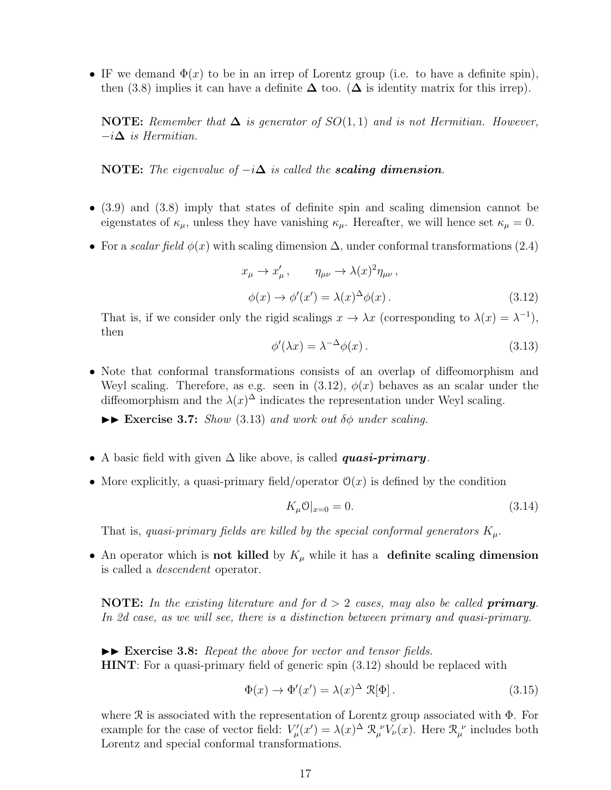• IF we demand  $\Phi(x)$  to be in an irrep of Lorentz group (i.e. to have a definite spin), then (3.8) implies it can have a definite  $\Delta$  too. ( $\Delta$  is identity matrix for this irrep).

**NOTE:** Remember that  $\Delta$  is generator of  $SO(1,1)$  and is not Hermitian. However, *−i***∆** *is Hermitian.*

**NOTE:** *The eigenvalue of*  $-i\Delta$  *is called the scaling dimension.* 

- (3.9) and (3.8) imply that states of definite spin and scaling dimension cannot be eigenstates of  $\kappa_{\mu}$ , unless they have vanishing  $\kappa_{\mu}$ . Hereafter, we will hence set  $\kappa_{\mu} = 0$ .
- For a *scalar field*  $\phi(x)$  with scaling dimension  $\Delta$ , under conformal transformations (2.4)

 $x_{\mu} \to x'_{\mu}$ ,  $\eta_{\mu\nu} \to \lambda(x)^2 \eta_{\mu\nu}$ ,  $\phi(x) \to \phi'(x') = \lambda(x)^{\Delta} \phi(x).$  (3.12)

That is, if we consider only the rigid scalings  $x \to \lambda x$  (corresponding to  $\lambda(x) = \lambda^{-1}$ ), then

$$
\phi'(\lambda x) = \lambda^{-\Delta}\phi(x). \tag{3.13}
$$

• Note that conformal transformations consists of an overlap of diffeomorphism and Weyl scaling. Therefore, as e.g. seen in  $(3.12)$ ,  $\phi(x)$  behaves as an scalar under the diffeomorphism and the  $\lambda(x)$ <sup> $\Delta$ </sup> indicates the representation under Weyl scaling.

 $\triangleright$  **Exercise 3.7:** *Show* (3.13) *and work out*  $\delta\phi$  *under scaling.* 

- A basic field with given ∆ like above, is called *quasi-primary*.
- More explicitly, a quasi-primary field/operator  $\mathcal{O}(x)$  is defined by the condition

$$
K_{\mu} \mathcal{O}|_{x=0} = 0. \tag{3.14}
$$

That is, *quasi-primary fields are killed by the special conformal generators*  $K_{\mu}$ .

• An operator which is **not killed** by  $K_\mu$  while it has a **definite scaling dimension** is called a *descendent* operator.

**NOTE:** *In the existing literature and for d >* 2 *cases, may also be called primary. In 2d case, as we will see, there is a distinction between primary and quasi-primary.*

 $\triangleright$  **Exercise 3.8:** *Repeat the above for vector and tensor fields.* **HINT**: For a quasi-primary field of generic spin (3.12) should be replaced with

$$
\Phi(x) \to \Phi'(x') = \lambda(x)^{\Delta} \mathcal{R}[\Phi]. \tag{3.15}
$$

where R is associated with the representation of Lorentz group associated with Φ. For example for the case of vector field:  $V'_{\mu}(x') = \lambda(x)^{\Delta} \mathcal{R}_{\mu}^{\nu} V_{\nu}(x)$ . Here  $\mathcal{R}_{\mu}^{\nu}$  includes both Lorentz and special conformal transformations.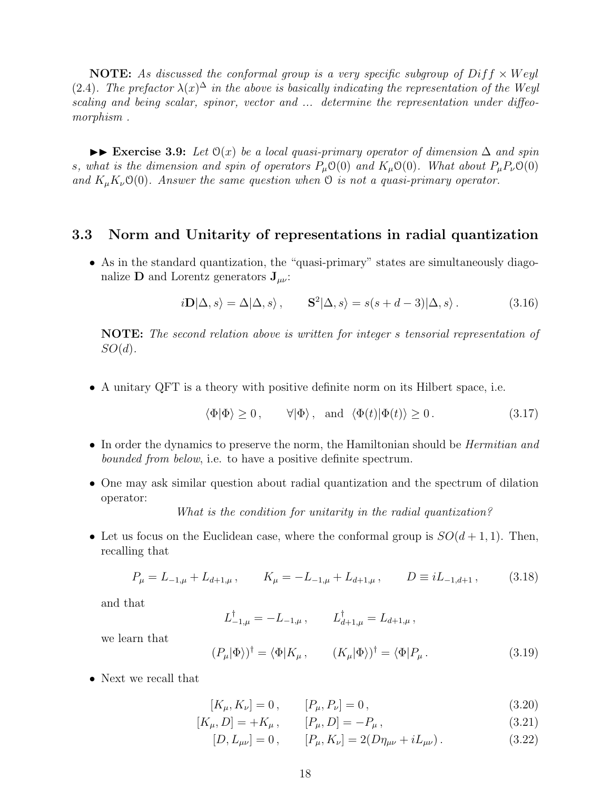**NOTE:** As discussed the conformal group is a very specific subgroup of  $Diff \times Weyl$ (2.4). The prefactor  $\lambda(x)^\Delta$  in the above is basically indicating the representation of the Weyl *scaling and being scalar, spinor, vector and ... determine the representation under diffeomorphism .*

 $\triangleright$  **Exercise 3.9:** *Let*  $\Theta(x)$  *be a local quasi-primary operator of dimension*  $\Delta$  *and spin s, what is the dimension and spin of operators*  $P_\mu O(0)$  *and*  $K_\mu O(0)$ *. What about*  $P_\mu P_\nu O(0)$ *and*  $K_{\mu}K_{\nu}O(0)$ *. Answer the same question when*  $O$  *is not a quasi-primary operator.* 

### **3.3 Norm and Unitarity of representations in radial quantization**

• As in the standard quantization, the "quasi-primary" states are simultaneously diagonalize **D** and Lorentz generators **J***µν*:

$$
i\mathbf{D}|\Delta,s\rangle = \Delta|\Delta,s\rangle, \qquad \mathbf{S}^2|\Delta,s\rangle = s(s+d-3)|\Delta,s\rangle. \tag{3.16}
$$

**NOTE:** *The second relation above is written for integer s tensorial representation of SO*(*d*)*.*

• A unitary QFT is a theory with positive definite norm on its Hilbert space, i.e.

$$
\langle \Phi | \Phi \rangle \ge 0
$$
,  $\forall | \Phi \rangle$ , and  $\langle \Phi(t) | \Phi(t) \rangle \ge 0$ . (3.17)

- In order the dynamics to preserve the norm, the Hamiltonian should be *Hermitian and bounded from below*, i.e. to have a positive definite spectrum.
- One may ask similar question about radial quantization and the spectrum of dilation operator:

*What is the condition for unitarity in the radial quantization?*

• Let us focus on the Euclidean case, where the conformal group is  $SO(d+1,1)$ . Then, recalling that

$$
P_{\mu} = L_{-1,\mu} + L_{d+1,\mu} , \qquad K_{\mu} = -L_{-1,\mu} + L_{d+1,\mu} , \qquad D \equiv iL_{-1,d+1} , \qquad (3.18)
$$

and that

$$
L_{-1,\mu}^{\dagger} = -L_{-1,\mu} \,, \qquad L_{d+1,\mu}^{\dagger} = L_{d+1,\mu} \,,
$$

we learn that

$$
(P_{\mu}|\Phi\rangle)^{\dagger} = \langle \Phi|K_{\mu}, \qquad (K_{\mu}|\Phi\rangle)^{\dagger} = \langle \Phi|P_{\mu}. \qquad (3.19)
$$

• Next we recall that

$$
[K_{\mu}, K_{\nu}] = 0, \qquad [P_{\mu}, P_{\nu}] = 0, \qquad (3.20)
$$

- $[K_{\mu}, D] = +K_{\mu}, \qquad [P_{\mu}, D] = -P_{\mu},$ (3.21)
	- $[D, L_{\mu\nu}] = 0$ ,  $[P_{\mu}, K_{\nu}] = 2(D\eta_{\mu\nu} + iL_{\mu\nu})$ . (3.22)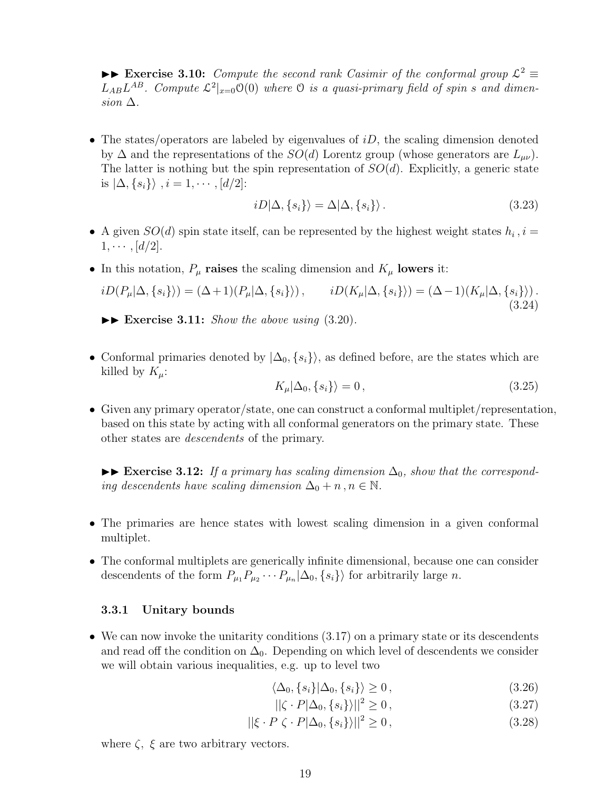**►► Exercise 3.10:** *Compute the second rank Casimir of the conformal group*  $\mathcal{L}^2$   $\equiv$  $L_{AB}L^{AB}$ . Compute  $\mathcal{L}^2|_{x=0}\mathcal{O}(0)$  where  $\mathcal O$  is a quasi-primary field of spin *s* and dimen- $\sin \Delta$ .

• The states/operators are labeled by eigenvalues of *iD*, the scaling dimension denoted by  $\Delta$  and the representations of the *SO*(*d*) Lorentz group (whose generators are  $L_{\mu\nu}$ ). The latter is nothing but the spin representation of *SO*(*d*). Explicitly, a generic state is *|*∆*, {si}⟩ , i* = 1*, · · · ,* [*d/*2]:

$$
iD|\Delta, \{s_i\}\rangle = \Delta|\Delta, \{s_i\}\rangle. \tag{3.23}
$$

- A given  $SO(d)$  spin state itself, can be represented by the highest weight states  $h_i$ ,  $i =$  $1, \cdots, [d/2].$
- In this notation,  $P_\mu$  **raises** the scaling dimension and  $K_\mu$  **lowers** it:

$$
iD(P_{\mu}|\Delta,\{s_i\}) = (\Delta+1)(P_{\mu}|\Delta,\{s_i\})\,, \qquad iD(K_{\mu}|\Delta,\{s_i\}) = (\Delta-1)(K_{\mu}|\Delta,\{s_i\})\,.\tag{3.24}
$$

 $\blacktriangleright$  **Exercise 3.11:** *Show the above using* (3.20).

• Conformal primaries denoted by  $|\Delta_0, \{s_i\}\rangle$ , as defined before, are the states which are killed by  $K_\mu$ :

$$
K_{\mu}|\Delta_0, \{s_i\}\rangle = 0, \tag{3.25}
$$

• Given any primary operator/state, one can construct a conformal multiplet/representation, based on this state by acting with all conformal generators on the primary state. These other states are *descendents* of the primary.

 $\blacktriangleright$  **Exercise 3.12:** *If a primary has scaling dimension*  $\Delta_0$ *, show that the corresponding descendents have scaling dimension*  $\Delta_0 + n, n \in \mathbb{N}$ .

- The primaries are hence states with lowest scaling dimension in a given conformal multiplet.
- The conformal multiplets are generically infinite dimensional, because one can consider descendents of the form  $P_{\mu_1} P_{\mu_2} \cdots P_{\mu_n} |\Delta_0, \{s_i\} \rangle$  for arbitrarily large *n*.

### **3.3.1 Unitary bounds**

• We can now invoke the unitarity conditions  $(3.17)$  on a primary state or its descendents and read off the condition on  $\Delta_0$ . Depending on which level of descendents we consider we will obtain various inequalities, e.g. up to level two

$$
\langle \Delta_0, \{s_i\} | \Delta_0, \{s_i\} \rangle \ge 0, \tag{3.26}
$$

$$
||\zeta \cdot P|\Delta_0, \{s_i\}\rangle||^2 \ge 0,\tag{3.27}
$$

$$
||\xi \cdot P \zeta \cdot P|\Delta_0, \{s_i\}\rangle||^2 \ge 0, \qquad (3.28)
$$

where  $\zeta$ ,  $\xi$  are two arbitrary vectors.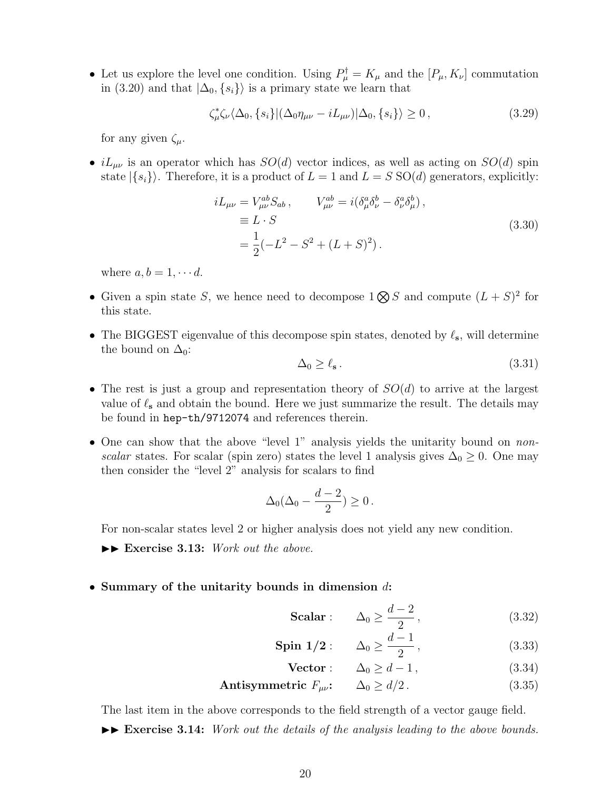• Let us explore the level one condition. Using  $P^{\dagger}_{\mu} = K_{\mu}$  and the  $[P_{\mu}, K_{\nu}]$  commutation in (3.20) and that  $|\Delta_0, \{s_i\}\rangle$  is a primary state we learn that

$$
\zeta_{\mu}^* \zeta_{\nu} \langle \Delta_0, \{s_i\} | (\Delta_0 \eta_{\mu\nu} - iL_{\mu\nu}) | \Delta_0, \{s_i\} \rangle \ge 0, \qquad (3.29)
$$

for any given  $\zeta_{\mu}$ .

•  $iL_{\mu\nu}$  is an operator which has  $SO(d)$  vector indices, as well as acting on  $SO(d)$  spin state  $|\{s_i\}\rangle$ . Therefore, it is a product of  $L = 1$  and  $L = S$  SO(*d*) generators, explicitly:

$$
iL_{\mu\nu} = V_{\mu\nu}^{ab} S_{ab} , \qquad V_{\mu\nu}^{ab} = i(\delta_{\mu}^{a} \delta_{\nu}^{b} - \delta_{\nu}^{a} \delta_{\mu}^{b}) ,
$$
  
\n
$$
\equiv L \cdot S
$$
  
\n
$$
= \frac{1}{2}(-L^{2} - S^{2} + (L + S)^{2}).
$$
\n(3.30)

where  $a, b = 1, \cdots d$ .

- Given a spin state *S*, we hence need to decompose  $1 \otimes S$  and compute  $(L + S)^2$  for this state.
- The BIGGEST eigenvalue of this decompose spin states, denoted by *ℓ***s**, will determine the bound on  $\Delta_0$ :

$$
\Delta_0 \ge \ell_s \,. \tag{3.31}
$$

- The rest is just a group and representation theory of *SO*(*d*) to arrive at the largest value of  $\ell_{\rm s}$  and obtain the bound. Here we just summarize the result. The details may be found in hep-th/9712074 and references therein.
- One can show that the above "level 1" analysis yields the unitarity bound on *nonscalar* states. For scalar (spin zero) states the level 1 analysis gives  $\Delta_0 \geq 0$ . One may then consider the "level 2" analysis for scalars to find

$$
\Delta_0(\Delta_0 - \frac{d-2}{2}) \ge 0.
$$

For non-scalar states level 2 or higher analysis does not yield any new condition.

- $\blacktriangleright\blacktriangleright$  **Exercise 3.13:** *Work out the above.*
- **Summary of the unitarity bounds in dimension** *d***:**

Scalar: 
$$
\Delta_0 \ge \frac{d-2}{2}
$$
, (3.32)

$$
\text{Spin } 1/2: \qquad \Delta_0 \ge \frac{d-1}{2}, \tag{3.33}
$$

$$
\text{Vector:} \qquad \Delta_0 \ge d - 1,\tag{3.34}
$$

**Antisymmetric**  $F_{\mu\nu}$ :  $\Delta_0 \ge d/2$ . (3.35)

The last item in the above corresponds to the field strength of a vector gauge field.

 $\blacktriangleright\blacktriangleright$  **Exercise 3.14:** *Work out the details of the analysis leading to the above bounds.*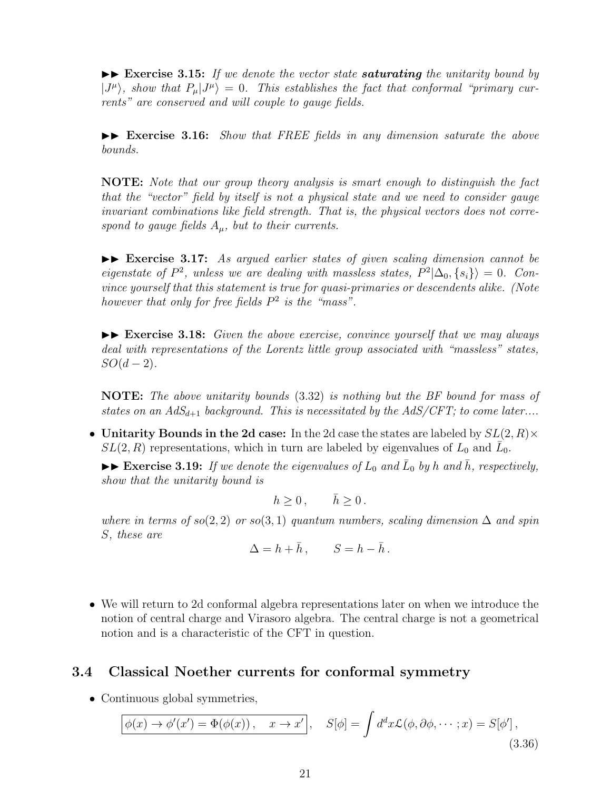$\blacktriangleright\blacktriangleright$  **Exercise 3.15:** If we denote the vector state *saturating* the unitarity bound by  $|J^{\mu}\rangle$ , show that  $P_{\mu}|J^{\mu}\rangle = 0$ . This establishes the fact that conformal "primary cur*rents" are conserved and will couple to gauge fields.*

 $\blacktriangleright$  **Exercise 3.16:** *Show that FREE fields in any dimension saturate the above bounds.*

**NOTE:** *Note that our group theory analysis is smart enough to distinguish the fact that the "vector" field by itself is not a physical state and we need to consider gauge invariant combinations like field strength. That is, the physical vectors does not correspond to gauge fields Aµ, but to their currents.*

 $\blacktriangleright\blacktriangleright$  **Exercise 3.17:** As argued earlier states of given scaling dimension cannot be *eigenstate of*  $P^2$ , unless we are dealing with massless states,  $P^2|\Delta_0, \{s_i\}\rangle = 0$ . Con*vince yourself that this statement is true for quasi-primaries or descendents alike. (Note however that only for free fields P* 2 *is the "mass".*

 $\blacktriangleright\blacktriangleright$  **Exercise 3.18:** *Given the above exercise, convince yourself that we may always deal with representations of the Lorentz little group associated with "massless" states,*  $SO(d-2)$ .

**NOTE:** *The above unitarity bounds* (3.32) *is nothing but the BF bound for mass of states on an*  $AdS_{d+1}$  *background. This is necessitated by the*  $AdS/CFT$ *; to come later....* 

• **Unitarity Bounds in the 2d case:** In the 2d case the states are labeled by *SL*(2*, R*)*×*  $SL(2, R)$  representations, which in turn are labeled by eigenvalues of  $L_0$  and  $\overline{L}_0$ .

 $\blacktriangleright \blacktriangleright$  **Exercise 3.19:** *If we denote the eigenvalues of*  $L_0$  *and*  $\overline{L}_0$  *by h and*  $\overline{h}$ *, respectively, show that the unitarity bound is*

$$
h \ge 0 \,, \qquad \bar{h} \ge 0 \,.
$$

*where in terms of*  $so(2, 2)$  *or*  $so(3, 1)$  *quantum numbers, scaling dimension*  $\Delta$  *and spin S, these are*

$$
\Delta = h + \bar{h}\,, \qquad S = h - \bar{h}\,.
$$

• We will return to 2d conformal algebra representations later on when we introduce the notion of central charge and Virasoro algebra. The central charge is not a geometrical notion and is a characteristic of the CFT in question.

# **3.4 Classical Noether currents for conformal symmetry**

• Continuous global symmetries,

$$
\boxed{\phi(x) \to \phi'(x') = \Phi(\phi(x)), \quad x \to x'}, \quad S[\phi] = \int d^d x \mathcal{L}(\phi, \partial \phi, \dots; x) = S[\phi'],
$$
\n(3.36)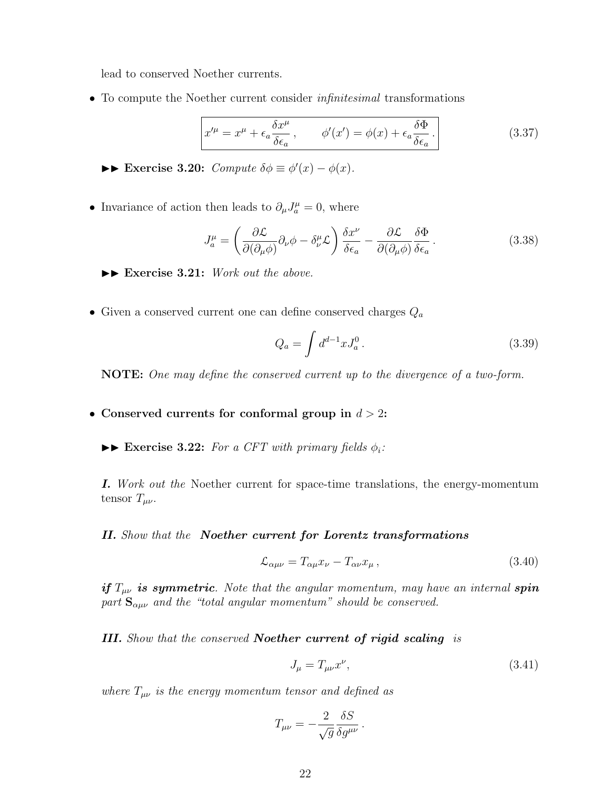lead to conserved Noether currents.

• To compute the Noether current consider *infinitesimal* transformations

$$
x^{\prime \mu} = x^{\mu} + \epsilon_a \frac{\delta x^{\mu}}{\delta \epsilon_a}, \qquad \phi'(x') = \phi(x) + \epsilon_a \frac{\delta \Phi}{\delta \epsilon_a}.
$$
 (3.37)

►► **Exercise 3.20:** *Compute*  $\delta \phi \equiv \phi'(x) - \phi(x)$ *.* 

• Invariance of action then leads to  $\partial_{\mu}J^{\mu}_{a}=0$ , where

$$
J_a^{\mu} = \left(\frac{\partial \mathcal{L}}{\partial(\partial_{\mu}\phi)}\partial_{\nu}\phi - \delta_{\nu}^{\mu}\mathcal{L}\right)\frac{\delta x^{\nu}}{\delta \epsilon_a} - \frac{\partial \mathcal{L}}{\partial(\partial_{\mu}\phi)}\frac{\delta \Phi}{\delta \epsilon_a}.
$$
 (3.38)

 $\blacktriangleright\blacktriangleright$  **Exercise 3.21:** *Work out the above.* 

• Given a conserved current one can define conserved charges *Q<sup>a</sup>*

$$
Q_a = \int d^{d-1}x J_a^0.
$$
 (3.39)

**NOTE:** *One may define the conserved current up to the divergence of a two-form.*

- **Conserved currents for conformal group in** *d >* 2**:**
	- $\triangleright$  **Exercise 3.22:** *For a CFT with primary fields*  $\phi_i$ *:*

*I. Work out the* Noether current for space-time translations, the energy-momentum tensor  $T_{\mu\nu}$ .

#### *II. Show that the Noether current for Lorentz transformations*

$$
\mathcal{L}_{\alpha\mu\nu} = T_{\alpha\mu} x_{\nu} - T_{\alpha\nu} x_{\mu} \,, \tag{3.40}
$$

*if Tµν is symmetric. Note that the angular momentum, may have an internal spin part*  $S_{\alpha\mu\nu}$  *and the "total angular momentum" should be conserved.* 

*III. Show that the conserved Noether current of rigid scaling is*

$$
J_{\mu} = T_{\mu\nu} x^{\nu},\tag{3.41}
$$

*where*  $T_{\mu\nu}$  *is the energy momentum tensor and defined as* 

$$
T_{\mu\nu} = -\frac{2}{\sqrt{g}} \frac{\delta S}{\delta g^{\mu\nu}}.
$$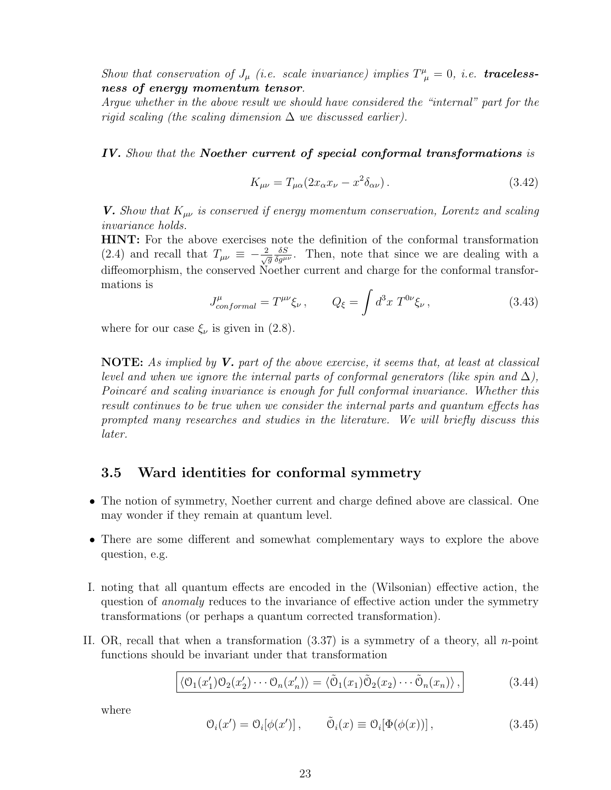*Show that conservation of*  $J_\mu$  *(i.e. scale invariance) implies*  $T^\mu_{\ \mu} = 0$ *, i.e. tracelessness of energy momentum tensor.*

*Argue whether in the above result we should have considered the "internal" part for the rigid scaling (the scaling dimension* ∆ *we discussed earlier).*

*IV. Show that the Noether current of special conformal transformations is*

$$
K_{\mu\nu} = T_{\mu\alpha} (2x_{\alpha}x_{\nu} - x^2 \delta_{\alpha\nu}). \tag{3.42}
$$

*V. Show that*  $K_{\mu\nu}$  *is conserved if energy momentum conservation, Lorentz and scaling invariance holds.*

**HINT:** For the above exercises note the definition of the conformal transformation (2.4) and recall that  $T_{\mu\nu} \equiv -\frac{2}{\sqrt{g}} \frac{\delta S}{\delta g^{\mu\nu}}$ . Then, note that since we are dealing with a diffeomorphism, the conserved Noether current and charge for the conformal transformations is

$$
J_{conformal}^{\mu} = T^{\mu\nu}\xi_{\nu} , \qquad Q_{\xi} = \int d^3x \ T^{0\nu}\xi_{\nu} , \qquad (3.43)
$$

where for our case  $\xi_{\nu}$  is given in (2.8).

**NOTE:** *As implied by V. part of the above exercise, it seems that, at least at classical level and when we ignore the internal parts of conformal generators (like spin and*  $\Delta$ ), *Poincar´e and scaling invariance is enough for full conformal invariance. Whether this result continues to be true when we consider the internal parts and quantum effects has prompted many researches and studies in the literature. We will briefly discuss this later.*

# **3.5 Ward identities for conformal symmetry**

- The notion of symmetry, Noether current and charge defined above are classical. One may wonder if they remain at quantum level.
- There are some different and somewhat complementary ways to explore the above question, e.g.
- I. noting that all quantum effects are encoded in the (Wilsonian) effective action, the question of *anomaly* reduces to the invariance of effective action under the symmetry transformations (or perhaps a quantum corrected transformation).
- II. OR, recall that when a transformation (3.37) is a symmetry of a theory, all *n*-point functions should be invariant under that transformation

$$
\langle \mathcal{O}_1(x_1')\mathcal{O}_2(x_2')\cdots\mathcal{O}_n(x_n')\rangle = \langle \tilde{\mathcal{O}}_1(x_1)\tilde{\mathcal{O}}_2(x_2)\cdots\tilde{\mathcal{O}}_n(x_n)\rangle, \qquad (3.44)
$$

where

$$
\mathcal{O}_i(x') = \mathcal{O}_i[\phi(x')], \qquad \tilde{\mathcal{O}}_i(x) \equiv \mathcal{O}_i[\Phi(\phi(x))], \qquad (3.45)
$$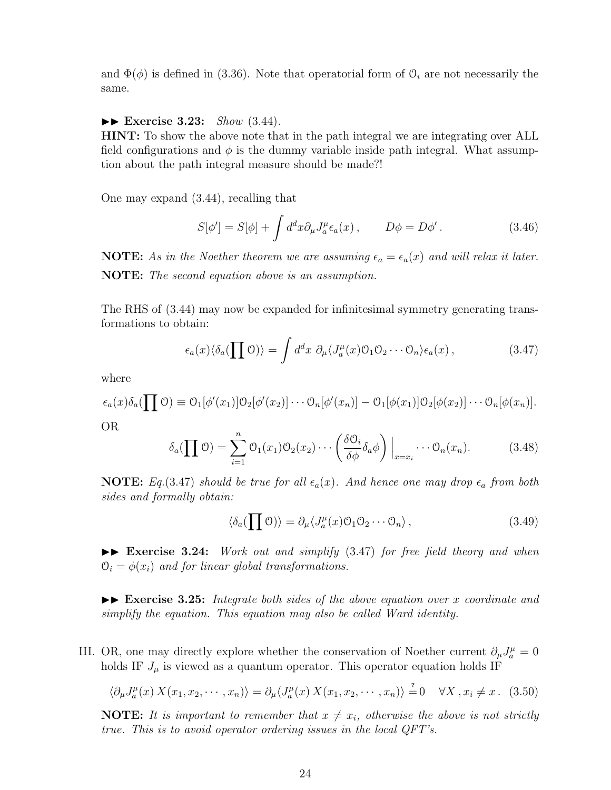and  $\Phi(\phi)$  is defined in (3.36). Note that operatorial form of  $\mathcal{O}_i$  are not necessarily the same.

#### II **Exercise 3.23:** *Show* (3.44)*.*

**HINT:** To show the above note that in the path integral we are integrating over ALL field configurations and  $\phi$  is the dummy variable inside path integral. What assumption about the path integral measure should be made?!

One may expand (3.44), recalling that

$$
S[\phi'] = S[\phi] + \int d^d x \partial_\mu J_a^\mu \epsilon_a(x) , \qquad D\phi = D\phi' . \qquad (3.46)
$$

**NOTE:** As in the Noether theorem we are assuming  $\epsilon_a = \epsilon_a(x)$  and will relax it later. **NOTE:** *The second equation above is an assumption.*

The RHS of (3.44) may now be expanded for infinitesimal symmetry generating transformations to obtain:

$$
\epsilon_a(x)\langle \delta_a(\prod \mathcal{O})\rangle = \int d^d x \ \partial_\mu \langle J_a^\mu(x)\mathcal{O}_1\mathcal{O}_2\cdots \mathcal{O}_n \rangle \epsilon_a(x) \,,\tag{3.47}
$$

where

$$
\epsilon_a(x)\delta_a(\prod \mathcal{O}) \equiv \mathcal{O}_1[\phi'(x_1)]\mathcal{O}_2[\phi'(x_2)]\cdots \mathcal{O}_n[\phi'(x_n)] - \mathcal{O}_1[\phi(x_1)]\mathcal{O}_2[\phi(x_2)]\cdots \mathcal{O}_n[\phi(x_n)].
$$

OR

$$
\delta_a(\prod \mathcal{O}) = \sum_{i=1}^n \mathcal{O}_1(x_1) \mathcal{O}_2(x_2) \cdots \left( \frac{\delta \mathcal{O}_i}{\delta \phi} \delta_a \phi \right) \Big|_{x=x_i} \cdots \mathcal{O}_n(x_n). \tag{3.48}
$$

**NOTE:** *Eq.*(3.47) *should be true for all*  $\epsilon_a(x)$ *. And hence one may drop*  $\epsilon_a$  *from both sides and formally obtain:*

$$
\langle \delta_a (\prod \mathcal{O}) \rangle = \partial_\mu \langle J_a^\mu(x) \mathcal{O}_1 \mathcal{O}_2 \cdots \mathcal{O}_n \rangle , \qquad (3.49)
$$

II **Exercise 3.24:** *Work out and simplify* (3.47) *for free field theory and when*  $\mathcal{O}_i = \phi(x_i)$  and for linear global transformations.

 $\blacktriangleright\blacktriangleright$  **Exercise 3.25:** *Integrate both sides of the above equation over x coordinate and simplify the equation. This equation may also be called Ward identity.*

III. OR, one may directly explore whether the conservation of Noether current  $\partial_{\mu}J^{\mu}_{a}=0$ holds IF  $J_\mu$  is viewed as a quantum operator. This operator equation holds IF

$$
\langle \partial_{\mu} J_a^{\mu}(x) X(x_1, x_2, \cdots, x_n) \rangle = \partial_{\mu} \langle J_a^{\mu}(x) X(x_1, x_2, \cdots, x_n) \rangle = 0 \quad \forall X, x_i \neq x. \tag{3.50}
$$

**NOTE:** It is important to remember that  $x \neq x_i$ , otherwise the above is not strictly *true. This is to avoid operator ordering issues in the local QFT's.*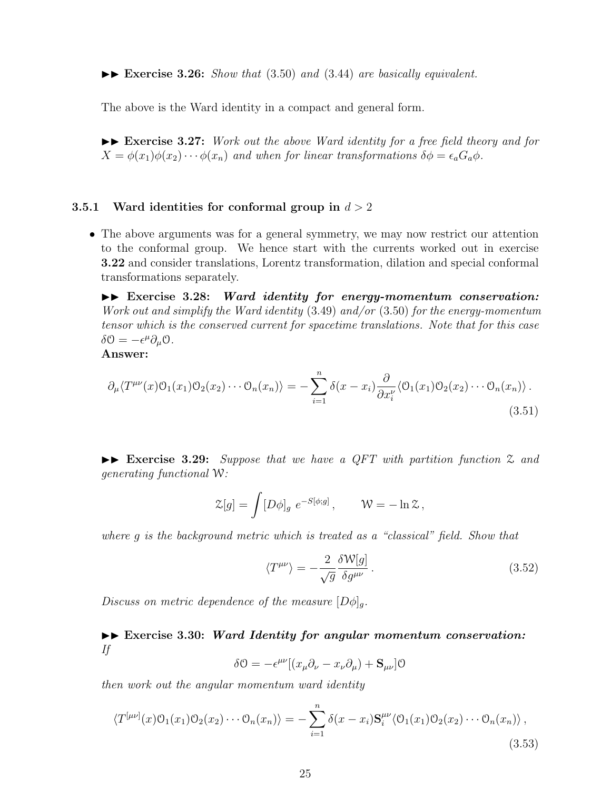II **Exercise 3.26:** *Show that* (3.50) *and* (3.44) *are basically equivalent.*

The above is the Ward identity in a compact and general form.

 $\blacktriangleright\blacktriangleright$  **Exercise 3.27:** *Work out the above Ward identity for a free field theory and for*  $X = \phi(x_1)\phi(x_2)\cdots\phi(x_n)$  and when for linear transformations  $\delta\phi = \epsilon_a G_a \phi$ .

#### **3.5.1 Ward identities for conformal group in** *d >* 2

• The above arguments was for a general symmetry, we may now restrict our attention to the conformal group. We hence start with the currents worked out in exercise **3.22** and consider translations, Lorentz transformation, dilation and special conformal transformations separately.

II **Exercise 3.28:** *Ward identity for energy-momentum conservation: Work out and simplify the Ward identity* (3.49) *and/or* (3.50) *for the energy-momentum tensor which is the conserved current for spacetime translations. Note that for this case*  $\delta \mathcal{O} = -\epsilon^{\mu} \partial_{\mu} \mathcal{O}.$ 

**Answer:**

$$
\partial_{\mu} \langle T^{\mu\nu}(x) \mathcal{O}_1(x_1) \mathcal{O}_2(x_2) \cdots \mathcal{O}_n(x_n) \rangle = - \sum_{i=1}^n \delta(x - x_i) \frac{\partial}{\partial x_i^{\nu}} \langle \mathcal{O}_1(x_1) \mathcal{O}_2(x_2) \cdots \mathcal{O}_n(x_n) \rangle.
$$
\n(3.51)

II **Exercise 3.29:** *Suppose that we have a QFT with partition function* Z *and generating functional* W*:*

$$
\mathcal{Z}[g] = \int [D\phi]_g \ e^{-S[\phi;g]}, \qquad \mathcal{W} = -\ln \mathcal{Z},
$$

*where g is the background metric which is treated as a "classical" field. Show that*

$$
\langle T^{\mu\nu} \rangle = -\frac{2}{\sqrt{g}} \frac{\delta \mathcal{W}[g]}{\delta g^{\mu\nu}}.
$$
\n(3.52)

*Discuss on metric dependence of the measure*  $[D\phi]_q$ *.* 

# $\blacktriangleright\blacktriangleright$  Exercise 3.30: *Ward Identity for angular momentum conservation: If*

$$
\delta \mathcal{O} = -\epsilon^{\mu\nu} [(x_{\mu}\partial_{\nu} - x_{\nu}\partial_{\mu}) + \mathbf{S}_{\mu\nu}] \mathcal{O}
$$

*then work out the angular momentum ward identity*

$$
\langle T^{[\mu\nu]}(x)\mathcal{O}_1(x_1)\mathcal{O}_2(x_2)\cdots\mathcal{O}_n(x_n)\rangle = -\sum_{i=1}^n \delta(x-x_i)\mathbf{S}_i^{\mu\nu}\langle\mathcal{O}_1(x_1)\mathcal{O}_2(x_2)\cdots\mathcal{O}_n(x_n)\rangle,
$$
\n(3.53)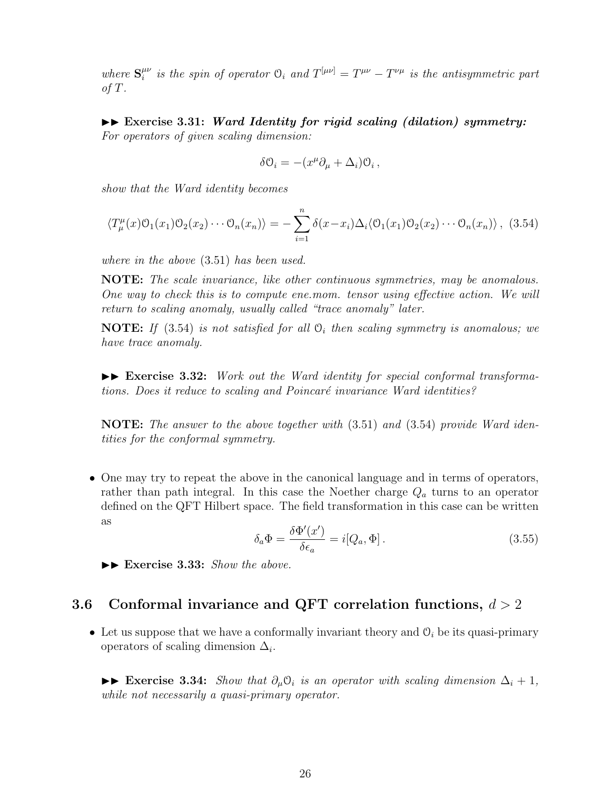*where*  $S_i^{\mu\nu}$  $\int_i^{\mu\nu}$  *is the spin of operator*  $\mathcal{O}_i$  *and*  $T^{[\mu\nu]} = T^{\mu\nu} - T^{\nu\mu}$  *is the antisymmetric part of T.*

II **Exercise 3.31:** *Ward Identity for rigid scaling (dilation) symmetry: For operators of given scaling dimension:*

$$
\delta\Theta_i = -(x^\mu \partial_\mu + \Delta_i)\Theta_i\,,
$$

*show that the Ward identity becomes*

$$
\langle T_{\mu}^{\mu}(x)\mathcal{O}_1(x_1)\mathcal{O}_2(x_2)\cdots\mathcal{O}_n(x_n)\rangle = -\sum_{i=1}^n \delta(x-x_i)\Delta_i \langle \mathcal{O}_1(x_1)\mathcal{O}_2(x_2)\cdots\mathcal{O}_n(x_n)\rangle, (3.54)
$$

*where in the above* (3.51) *has been used.*

**NOTE:** *The scale invariance, like other continuous symmetries, may be anomalous. One way to check this is to compute ene.mom. tensor using effective action. We will return to scaling anomaly, usually called "trace anomaly" later.*

**NOTE:** *If* (3.54) *is not satisfied for all* O*<sup>i</sup> then scaling symmetry is anomalous; we have trace anomaly.*

 $\blacktriangleright$  **Exercise 3.32:** *Work out the Ward identity for special conformal transformations. Does it reduce to scaling and Poincar´e invariance Ward identities?*

**NOTE:** *The answer to the above together with* (3.51) *and* (3.54) *provide Ward identities for the conformal symmetry.*

• One may try to repeat the above in the canonical language and in terms of operators, rather than path integral. In this case the Noether charge *Q<sup>a</sup>* turns to an operator defined on the QFT Hilbert space. The field transformation in this case can be written as

$$
\delta_a \Phi = \frac{\delta \Phi'(x')}{\delta \epsilon_a} = i[Q_a, \Phi]. \tag{3.55}
$$

II **Exercise 3.33:** *Show the above.*

# **3.6 Conformal invariance and QFT correlation functions,** *d >* 2

• Let us suppose that we have a conformally invariant theory and  $\mathcal{O}_i$  be its quasi-primary operators of scaling dimension  $\Delta_i$ .

 $\triangleright$  **Exercise 3.34:** *Show that*  $\partial_{\mu} \partial_{i}$  *is an operator with scaling dimension*  $\Delta_{i} + 1$ *, while not necessarily a quasi-primary operator.*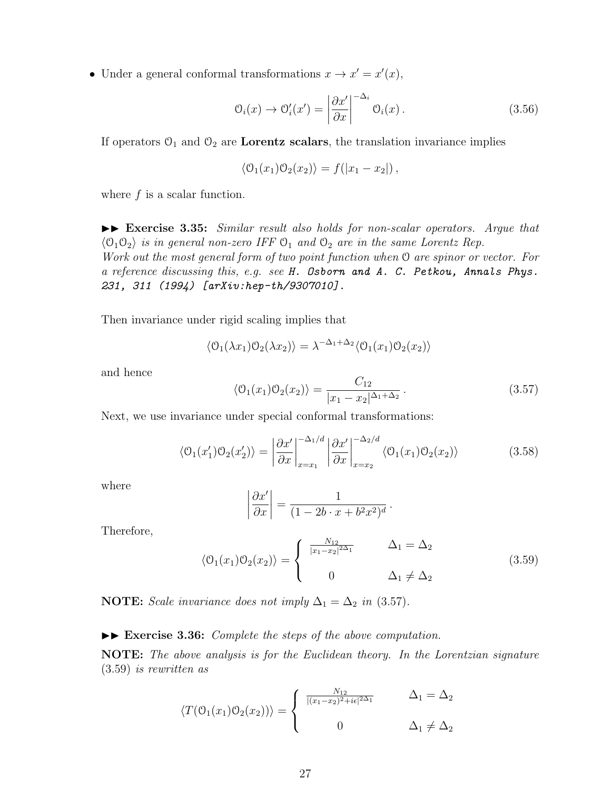• Under a general conformal transformations  $x \to x' = x'(x)$ ,

$$
\mathcal{O}_i(x) \to \mathcal{O}'_i(x') = \left| \frac{\partial x'}{\partial x} \right|^{-\Delta_i} \mathcal{O}_i(x).
$$
\n(3.56)

If operators  $O_1$  and  $O_2$  are **Lorentz scalars**, the translation invariance implies

$$
\langle \mathcal{O}_1(x_1)\mathcal{O}_2(x_2)\rangle = f(|x_1 - x_2|),
$$

where  $f$  is a scalar function.

 $\blacktriangleright\blacktriangleright$  **Exercise 3.35:** *Similar result also holds for non-scalar operators. Argue that*  $\langle 0_1 0_2 \rangle$  *is in general non-zero IFF*  $0_1$  *and*  $0_2$  *are in the same Lorentz Rep. Work out the most general form of two point function when* O *are spinor or vector. For a reference discussing this, e.g. see H. Osborn and A. C. Petkou, Annals Phys. 231, 311 (1994) [arXiv:hep-th/9307010].*

Then invariance under rigid scaling implies that

$$
\langle \mathcal{O}_1(\lambda x_1)\mathcal{O}_2(\lambda x_2)\rangle = \lambda^{-\Delta_1+\Delta_2} \langle \mathcal{O}_1(x_1)\mathcal{O}_2(x_2)\rangle
$$

and hence

$$
\langle \mathcal{O}_1(x_1)\mathcal{O}_2(x_2)\rangle = \frac{C_{12}}{|x_1 - x_2|^{\Delta_1 + \Delta_2}}.\tag{3.57}
$$

Next, we use invariance under special conformal transformations:

$$
\langle \mathcal{O}_1(x_1') \mathcal{O}_2(x_2') \rangle = \left| \frac{\partial x'}{\partial x} \right|_{x=x_1}^{-\Delta_1/d} \left| \frac{\partial x'}{\partial x} \right|_{x=x_2}^{-\Delta_2/d} \langle \mathcal{O}_1(x_1) \mathcal{O}_2(x_2) \rangle \tag{3.58}
$$

where

$$
\left|\frac{\partial x'}{\partial x}\right| = \frac{1}{(1 - 2b \cdot x + b^2 x^2)^d}.
$$

Therefore,

$$
\langle \mathcal{O}_1(x_1) \mathcal{O}_2(x_2) \rangle = \begin{cases} \frac{N_{12}}{|x_1 - x_2|^{2\Delta_1}} & \Delta_1 = \Delta_2 \\ 0 & \Delta_1 \neq \Delta_2 \end{cases}
$$
(3.59)

**NOTE:** *Scale invariance does not imply*  $\Delta_1 = \Delta_2$  *in* (3.57)*.* 

#### $\blacktriangleright\blacktriangleright$  **Exercise 3.36:** *Complete the steps of the above computation.*

**NOTE:** *The above analysis is for the Euclidean theory. In the Lorentzian signature* (3.59) *is rewritten as*

$$
\langle T(\mathcal{O}_1(x_1)\mathcal{O}_2(x_2))\rangle = \begin{cases} \frac{N_{12}}{|(x_1-x_2)^2 + i\epsilon|^{2\Delta_1}} & \Delta_1 = \Delta_2\\ 0 & \Delta_1 \neq \Delta_2 \end{cases}
$$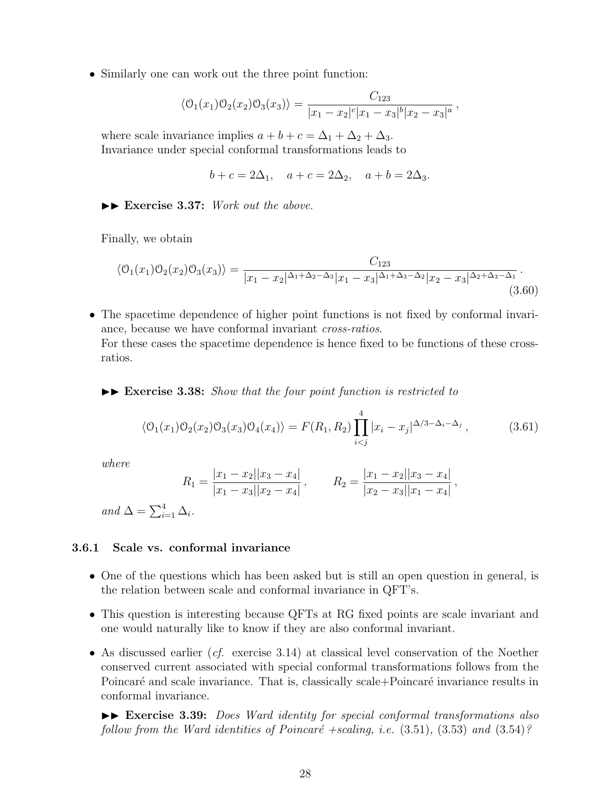• Similarly one can work out the three point function:

$$
\langle \mathcal{O}_1(x_1)\mathcal{O}_2(x_2)\mathcal{O}_3(x_3)\rangle = \frac{C_{123}}{|x_1 - x_2|^c |x_1 - x_3|^b |x_2 - x_3|^a},
$$

where scale invariance implies  $a + b + c = \Delta_1 + \Delta_2 + \Delta_3$ . Invariance under special conformal transformations leads to

$$
b + c = 2\Delta_1
$$
,  $a + c = 2\Delta_2$ ,  $a + b = 2\Delta_3$ .

 $\blacktriangleright\blacktriangleright$  **Exercise 3.37:** *Work out the above.* 

Finally, we obtain

$$
\langle \mathcal{O}_1(x_1)\mathcal{O}_2(x_2)\mathcal{O}_3(x_3)\rangle = \frac{C_{123}}{|x_1 - x_2|^{\Delta_1 + \Delta_2 - \Delta_3}|x_1 - x_3|^{\Delta_1 + \Delta_3 - \Delta_2}|x_2 - x_3|^{\Delta_2 + \Delta_3 - \Delta_1}}.
$$
\n(3.60)

• The spacetime dependence of higher point functions is not fixed by conformal invariance, because we have conformal invariant *cross-ratios*. For these cases the spacetime dependence is hence fixed to be functions of these crossratios.

II **Exercise 3.38:** *Show that the four point function is restricted to*

$$
\langle \mathcal{O}_1(x_1)\mathcal{O}_2(x_2)\mathcal{O}_3(x_3)\mathcal{O}_4(x_4)\rangle = F(R_1, R_2) \prod_{i
$$

*where*

$$
R_1 = \frac{|x_1 - x_2||x_3 - x_4|}{|x_1 - x_3||x_2 - x_4|}, \qquad R_2 = \frac{|x_1 - x_2||x_3 - x_4|}{|x_2 - x_3||x_1 - x_4|},
$$

 $and \Delta = \sum_{i=1}^{4} \Delta_i$ .

### **3.6.1 Scale vs. conformal invariance**

- One of the questions which has been asked but is still an open question in general, is the relation between scale and conformal invariance in QFT's.
- This question is interesting because QFTs at RG fixed points are scale invariant and one would naturally like to know if they are also conformal invariant.
- As discussed earlier (*cf.* exercise 3.14) at classical level conservation of the Noether conserved current associated with special conformal transformations follows from the Poincaré and scale invariance. That is, classically scale+Poincaré invariance results in conformal invariance.

II **Exercise 3.39:** *Does Ward identity for special conformal transformations also follow from the Ward identities of Poincaré +scaling, i.e.*  $(3.51)$ ,  $(3.53)$  *and*  $(3.54)$ ?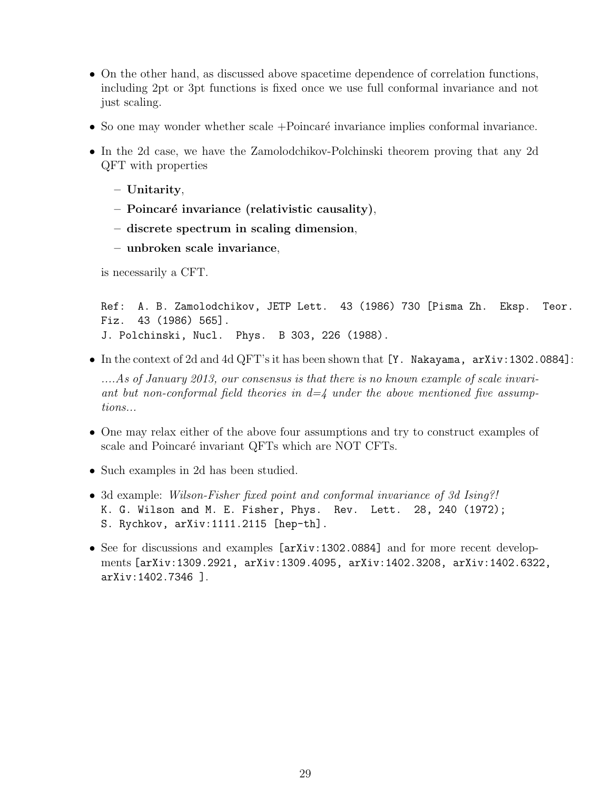- On the other hand, as discussed above spacetime dependence of correlation functions, including 2pt or 3pt functions is fixed once we use full conformal invariance and not just scaling.
- So one may wonder whether scale  $+Poincaré$  invariance implies conformal invariance.
- In the 2d case, we have the Zamolodchikov-Polchinski theorem proving that any 2d QFT with properties
	- **– Unitarity**,
	- **– Poincar´e invariance (relativistic causality)**,
	- **– discrete spectrum in scaling dimension**,
	- **– unbroken scale invariance**,

is necessarily a CFT.

```
Ref: A. B. Zamolodchikov, JETP Lett. 43 (1986) 730 [Pisma Zh. Eksp. Teor.
Fiz. 43 (1986) 565].
J. Polchinski, Nucl. Phys. B 303, 226 (1988).
```
• In the context of 2d and 4d QFT's it has been shown that [Y. Nakayama, arXiv:1302.0884]:

*....As of January 2013, our consensus is that there is no known example of scale invariant but non-conformal field theories in d=4 under the above mentioned five assumptions...*

- One may relax either of the above four assumptions and try to construct examples of scale and Poincaré invariant QFTs which are NOT CFTs.
- Such examples in 2d has been studied.
- 3d example: *Wilson-Fisher fixed point and conformal invariance of 3d Ising?!* K. G. Wilson and M. E. Fisher, Phys. Rev. Lett. 28, 240 (1972); S. Rychkov, arXiv:1111.2115 [hep-th].
- See for discussions and examples [arXiv:1302.0884] and for more recent developments [arXiv:1309.2921, arXiv:1309.4095, arXiv:1402.3208, arXiv:1402.6322, arXiv:1402.7346 ].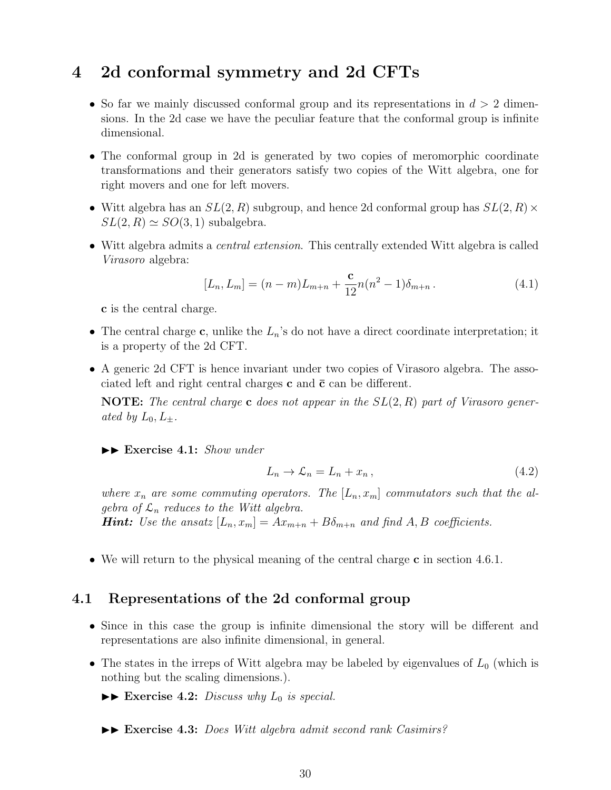# **4 2d conformal symmetry and 2d CFTs**

- So far we mainly discussed conformal group and its representations in *d >* 2 dimensions. In the 2d case we have the peculiar feature that the conformal group is infinite dimensional.
- The conformal group in 2d is generated by two copies of meromorphic coordinate transformations and their generators satisfy two copies of the Witt algebra, one for right movers and one for left movers.
- Witt algebra has an *SL*(2*, R*) subgroup, and hence 2d conformal group has *SL*(2*, R*)*×*  $SL(2, R) \simeq SO(3, 1)$  subalgebra.
- Witt algebra admits a *central extension*. This centrally extended Witt algebra is called *Virasoro* algebra:

$$
[L_n, L_m] = (n - m)L_{m+n} + \frac{c}{12}n(n^2 - 1)\delta_{m+n}.
$$
\n(4.1)

**c** is the central charge.

- The central charge **c**, unlike the *Ln*'s do not have a direct coordinate interpretation; it is a property of the 2d CFT.
- A generic 2d CFT is hence invariant under two copies of Virasoro algebra. The associated left and right central charges  $c$  and  $\bar{c}$  can be different.

**NOTE:** *The central charge* **c** *does not appear in the SL*(2*, R*) *part of Virasoro generated by*  $L_0, L_+$ *.* 

II **Exercise 4.1:** *Show under*

$$
L_n \to \mathcal{L}_n = L_n + x_n, \qquad (4.2)
$$

where  $x_n$  are some commuting operators. The  $[L_n, x_m]$  commutators such that the al*gebra of*  $\mathcal{L}_n$  *reduces to the Witt algebra.* 

*Hint: Use the ansatz*  $[L_n, x_m] = Ax_{m+n} + B\delta_{m+n}$  *and find A, B coefficients.* 

• We will return to the physical meaning of the central charge **c** in section 4.6.1.

# **4.1 Representations of the 2d conformal group**

- Since in this case the group is infinite dimensional the story will be different and representations are also infinite dimensional, in general.
- The states in the irreps of Witt algebra may be labeled by eigenvalues of  $L_0$  (which is nothing but the scaling dimensions.).
	- $\blacktriangleright\blacktriangleright$  **Exercise 4.2:** *Discuss why*  $L_0$  *is special.*
	- II **Exercise 4.3:** *Does Witt algebra admit second rank Casimirs?*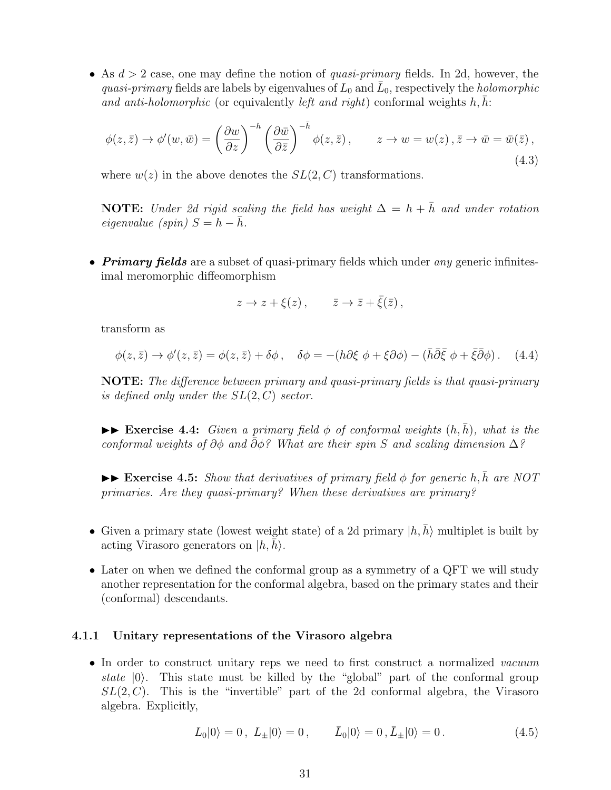• As *d >* 2 case, one may define the notion of *quasi-primary* fields. In 2d, however, the *quasi-primary* fields are labels by eigenvalues of  $L_0$  and  $\overline{L}_0$ , respectively the *holomorphic and anti-holomorphic* (or equivalently *left and right*) conformal weights  $h, h$ :

$$
\phi(z,\bar{z}) \to \phi'(w,\bar{w}) = \left(\frac{\partial w}{\partial z}\right)^{-h} \left(\frac{\partial \bar{w}}{\partial \bar{z}}\right)^{-\bar{h}} \phi(z,\bar{z}), \qquad z \to w = w(z), \bar{z} \to \bar{w} = \bar{w}(\bar{z}), \tag{4.3}
$$

where  $w(z)$  in the above denotes the  $SL(2, C)$  transformations.

**NOTE:** *Under 2d rigid scaling the field has weight*  $\Delta = h + \bar{h}$  *and under rotation*  $eigenvalue$  (spin)  $S = h - \bar{h}$ .

• *Primary fields* are a subset of quasi-primary fields which under *any* generic infinitesimal meromorphic diffeomorphism

$$
z \to z + \xi(z), \qquad \bar{z} \to \bar{z} + \bar{\xi}(\bar{z}),
$$

transform as

$$
\phi(z,\bar{z}) \to \phi'(z,\bar{z}) = \phi(z,\bar{z}) + \delta\phi \,, \quad \delta\phi = -(h\partial\xi \phi + \xi\partial\phi) - (\bar{h}\bar{\partial}\bar{\xi} \phi + \bar{\xi}\bar{\partial}\phi) \,. \tag{4.4}
$$

**NOTE:** *The difference between primary and quasi-primary fields is that quasi-primary is defined only under the SL*(2*, C*) *sector.*

 $\triangleright$  **Exercise 4.4:** *Given a primary field*  $\phi$  *of conformal weights*  $(h, \bar{h})$ *, what is the conformal weights of ∂ϕ and* ¯*∂ϕ? What are their spin S and scaling dimension* ∆*?*

 $\triangleright$  **Exercise 4.5:** *Show that derivatives of primary field*  $\phi$  *for generic h,*  $\bar{h}$  *are NOT primaries. Are they quasi-primary? When these derivatives are primary?*

- Given a primary state (lowest weight state) of a 2d primary  $|h, \bar{h}\rangle$  multiplet is built by acting Virasoro generators on  $|h, h\rangle$ .
- Later on when we defined the conformal group as a symmetry of a QFT we will study another representation for the conformal algebra, based on the primary states and their (conformal) descendants.

#### **4.1.1 Unitary representations of the Virasoro algebra**

• In order to construct unitary reps we need to first construct a normalized *vacuum state |*0*⟩*. This state must be killed by the "global" part of the conformal group  $SL(2, C)$ . This is the "invertible" part of the 2d conformal algebra, the Virasoro algebra. Explicitly,

$$
L_0|0\rangle = 0, \ L_{\pm}|0\rangle = 0, \qquad \bar{L}_0|0\rangle = 0, \bar{L}_{\pm}|0\rangle = 0. \tag{4.5}
$$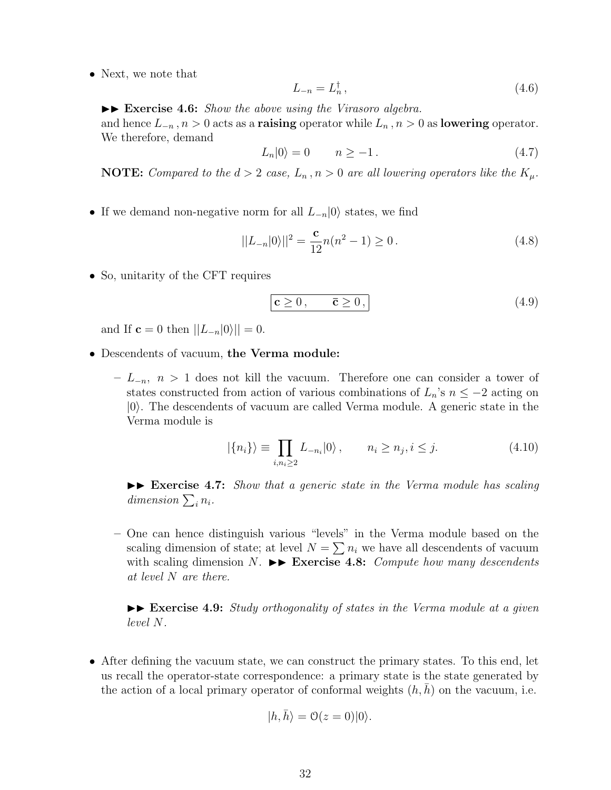• Next, we note that

$$
L_{-n} = L_n^{\dagger} \,,\tag{4.6}
$$

 $\triangleright$  **Exercise 4.6:** *Show the above using the Virasoro algebra.* and hence  $L_{-n}$ ,  $n > 0$  acts as a **raising** operator while  $L_n$ ,  $n > 0$  as **lowering** operator. We therefore, demand

$$
L_n|0\rangle = 0 \qquad n \ge -1. \tag{4.7}
$$

**NOTE:** *Compared to the*  $d > 2$  *case,*  $L_n$ ,  $n > 0$  *are all lowering operators like the*  $K_\mu$ *.* 

• If we demand non-negative norm for all *L−<sup>n</sup>|*0*⟩* states, we find

$$
||L_{-n}|0\rangle||^2 = \frac{\mathbf{c}}{12}n(n^2 - 1) \ge 0.
$$
 (4.8)

• So, unitarity of the CFT requires

$$
\boxed{\mathbf{c} \geq 0, \qquad \bar{\mathbf{c}} \geq 0,}
$$
\n
$$
\tag{4.9}
$$

and If **c** = 0 then  $||L_{-n}|0\rangle|| = 0$ .

- Descendents of vacuum, **the Verma module:**
	- **–** *L−<sup>n</sup>, n >* 1 does not kill the vacuum. Therefore one can consider a tower of states constructed from action of various combinations of  $L_n$ 's  $n \leq -2$  acting on *|*0*⟩*. The descendents of vacuum are called Verma module. A generic state in the Verma module is

$$
|\{n_i\}\rangle \equiv \prod_{i,n_i\geq 2} L_{-n_i}|0\rangle, \qquad n_i \geq n_j, i \leq j. \tag{4.10}
$$

 $\blacktriangleright\blacktriangleright$  **Exercise 4.7:** *Show that a generic state in the Verma module has scaling dimension*  $\sum_{i} n_i$ .

**–** One can hence distinguish various "levels" in the Verma module based on the scaling dimension of state; at level  $N = \sum n_i$  we have all descendents of vacuum with scaling dimension *N*.  $\blacktriangleright$  **Exercise 4.8:** *Compute how many descendents at level N are there.*

II **Exercise 4.9:** *Study orthogonality of states in the Verma module at a given level N.*

• After defining the vacuum state, we can construct the primary states. To this end, let us recall the operator-state correspondence: a primary state is the state generated by the action of a local primary operator of conformal weights  $(h, h)$  on the vacuum, i.e.

$$
|h,\bar{h}\rangle = \mathcal{O}(z=0)|0\rangle.
$$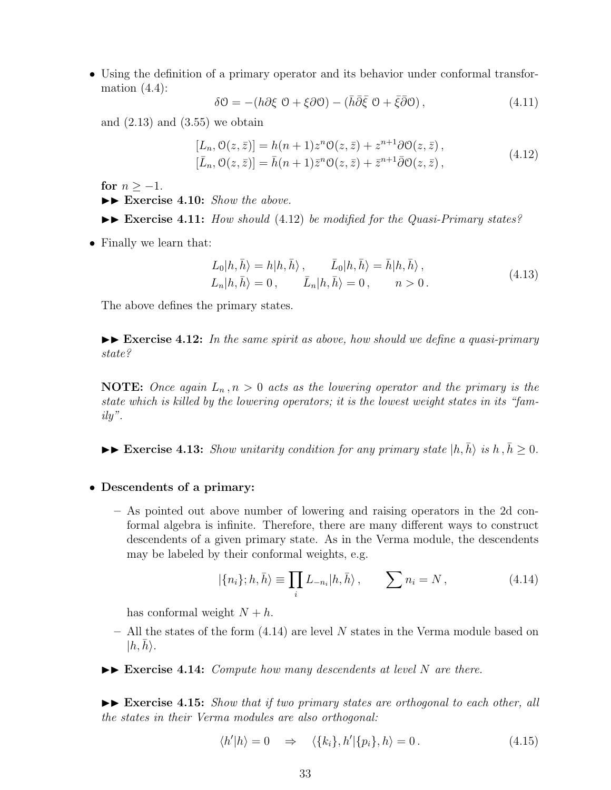• Using the definition of a primary operator and its behavior under conformal transformation  $(4.4)$ :

$$
\delta \mathcal{O} = -\left(h\partial \xi \mathcal{O} + \xi \partial \mathcal{O}\right) - \left(\bar{h}\bar{\partial}\bar{\xi} \mathcal{O} + \bar{\xi}\bar{\partial}\mathcal{O}\right),\tag{4.11}
$$

and  $(2.13)$  and  $(3.55)$  we obtain

$$
[L_n, \mathcal{O}(z, \bar{z})] = h(n+1)z^n \mathcal{O}(z, \bar{z}) + z^{n+1} \partial \mathcal{O}(z, \bar{z}),
$$
  
\n
$$
[\bar{L}_n, \mathcal{O}(z, \bar{z})] = \bar{h}(n+1)\bar{z}^n \mathcal{O}(z, \bar{z}) + \bar{z}^{n+1} \bar{\partial} \mathcal{O}(z, \bar{z}),
$$
\n(4.12)

for  $n > -1$ .

- ▶▶ Exercise 4.10: *Show the above.*
- ▶▶ Exercise 4.11: *How should* (4.12) *be modified for the Quasi-Primary states?*
- Finally we learn that:

$$
L_0|h,\bar{h}\rangle = h|h,\bar{h}\rangle, \qquad \bar{L}_0|h,\bar{h}\rangle = \bar{h}|h,\bar{h}\rangle, L_n|h,\bar{h}\rangle = 0, \qquad \bar{L}_n|h,\bar{h}\rangle = 0, \qquad n > 0.
$$
\n(4.13)

The above defines the primary states.

 $\blacktriangleright\blacktriangleright$  **Exercise 4.12:** In the same spirit as above, how should we define a quasi-primary *state?*

**NOTE:** Once again  $L_n, n > 0$  acts as the lowering operator and the primary is the *state which is killed by the lowering operators; it is the lowest weight states in its "family".*

 $\blacktriangleright \blacktriangleright$  **Exercise 4.13:** *Show unitarity condition for any primary state*  $|h, \bar{h}\rangle$  *is*  $h, \bar{h} \geq 0$ *.* 

#### • **Descendents of a primary:**

**–** As pointed out above number of lowering and raising operators in the 2d conformal algebra is infinite. Therefore, there are many different ways to construct descendents of a given primary state. As in the Verma module, the descendents may be labeled by their conformal weights, e.g.

$$
|\{n_i\};h,\bar{h}\rangle \equiv \prod_i L_{-n_i}|h,\bar{h}\rangle\,, \qquad \sum n_i = N\,,\tag{4.14}
$$

has conformal weight  $N + h$ .

- **–** All the states of the form (4.14) are level *N* states in the Verma module based on  $|h, h\rangle$ .
- $\triangleright$  **Exercise 4.14:** *Compute how many descendents at level N are there.*

 $\blacktriangleright\blacktriangleright$  **Exercise 4.15:** *Show that if two primary states are orthogonal to each other, all the states in their Verma modules are also orthogonal:*

$$
\langle h'|h\rangle = 0 \quad \Rightarrow \quad \langle \{k_i\}, h'|\{p_i\}, h\rangle = 0. \tag{4.15}
$$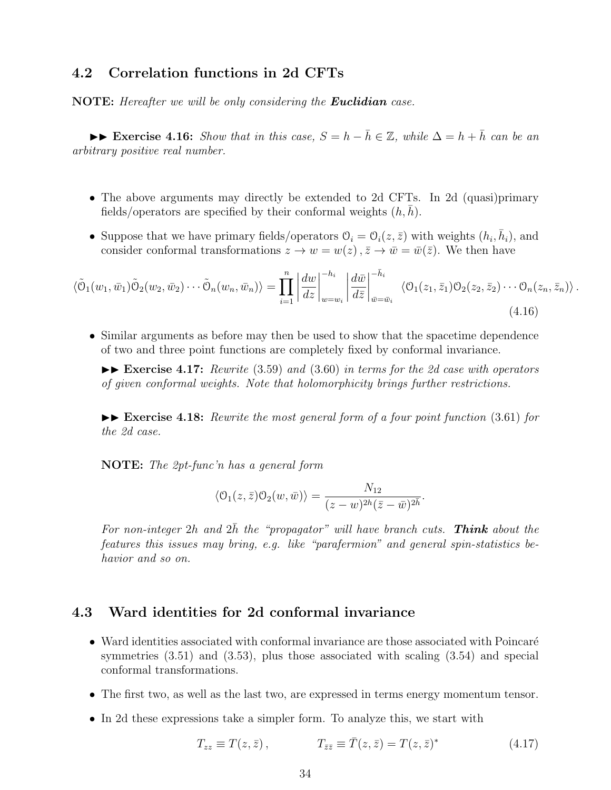# **4.2 Correlation functions in 2d CFTs**

**NOTE:** *Hereafter we will be only considering the Euclidian case.*

 $\triangleright$  **Exercise 4.16:** *Show that in this case,*  $S = h - \overline{h} \in \mathbb{Z}$ *, while*  $\Delta = h + \overline{h}$  *can be an arbitrary positive real number.*

- The above arguments may directly be extended to 2d CFTs. In 2d (quasi)primary fields/operators are specified by their conformal weights  $(h, h)$ .
- Suppose that we have primary fields/operators  $\mathcal{O}_i = \mathcal{O}_i(z, \bar{z})$  with weights  $(h_i, \bar{h}_i)$ , and consider conformal transformations  $z \to w = w(z)$ ,  $\bar{z} \to \bar{w} = \bar{w}(\bar{z})$ . We then have

$$
\langle \tilde{\Theta}_1(w_1, \bar{w}_1) \tilde{\Theta}_2(w_2, \bar{w}_2) \cdots \tilde{\Theta}_n(w_n, \bar{w}_n) \rangle = \prod_{i=1}^n \left| \frac{dw}{dz} \right|_{w=w_i}^{-h_i} \left| \frac{d\bar{w}}{d\bar{z}} \right|_{\bar{w}=\bar{w}_i}^{-\bar{h}_i} \langle \mathcal{O}_1(z_1, \bar{z}_1) \mathcal{O}_2(z_2, \bar{z}_2) \cdots \mathcal{O}_n(z_n, \bar{z}_n) \rangle.
$$
\n(4.16)

• Similar arguments as before may then be used to show that the spacetime dependence of two and three point functions are completely fixed by conformal invariance.

II **Exercise 4.17:** *Rewrite* (3.59) *and* (3.60) *in terms for the 2d case with operators of given conformal weights. Note that holomorphicity brings further restrictions.*

 $\blacktriangleright\blacktriangleright$  **Exercise 4.18:** *Rewrite the most general form of a four point function* (3.61) *for the 2d case.*

**NOTE:** *The 2pt-func'n has a general form*

$$
\langle \mathcal{O}_1(z,\bar{z})\mathcal{O}_2(w,\bar{w})\rangle = \frac{N_{12}}{(z-w)^{2h}(\bar{z}-\bar{w})^{2\bar{h}}}.
$$

For non-integer  $2h$  and  $2\bar{h}$  the "propagator" will have branch cuts. **Think** about the *features this issues may bring, e.g. like "parafermion" and general spin-statistics behavior and so on.*

# **4.3 Ward identities for 2d conformal invariance**

- $\bullet$  Ward identities associated with conformal invariance are those associated with Poincaré symmetries (3.51) and (3.53), plus those associated with scaling (3.54) and special conformal transformations.
- The first two, as well as the last two, are expressed in terms energy momentum tensor.
- In 2d these expressions take a simpler form. To analyze this, we start with

$$
T_{zz} \equiv T(z, \bar{z}), \qquad T_{\bar{z}\bar{z}} \equiv \bar{T}(z, \bar{z}) = T(z, \bar{z})^*
$$
\n(4.17)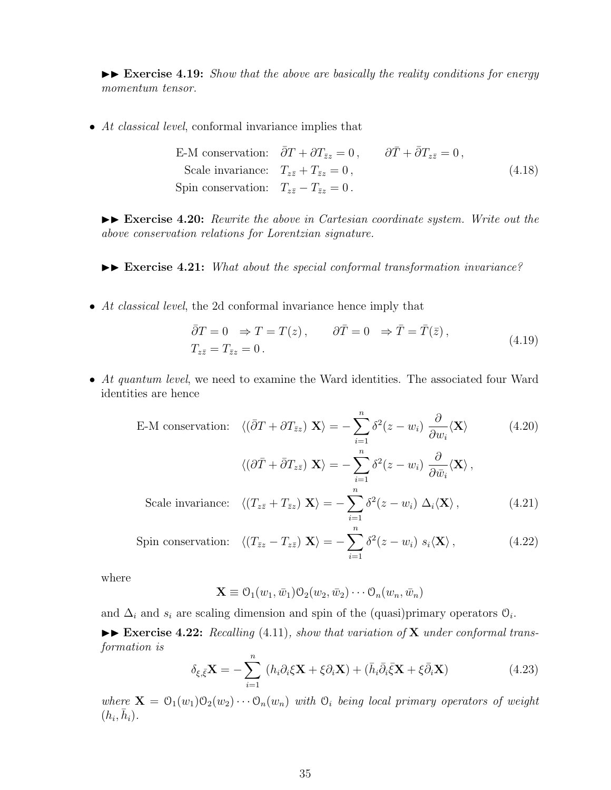$\blacktriangleright\blacktriangleright$  **Exercise 4.19:** *Show that the above are basically the reality conditions for energy momentum tensor.*

• *At classical level*, conformal invariance implies that

E-M conservation: 
$$
\bar{\partial}T + \partial T_{\bar{z}z} = 0
$$
,  $\partial \bar{T} + \bar{\partial}T_{z\bar{z}} = 0$ ,  
\nScale invariance:  $T_{z\bar{z}} + T_{\bar{z}z} = 0$ ,  
\nSpin conservation:  $T_{z\bar{z}} - T_{\bar{z}z} = 0$ . (4.18)

II **Exercise 4.20:** *Rewrite the above in Cartesian coordinate system. Write out the above conservation relations for Lorentzian signature.*

II **Exercise 4.21:** *What about the special conformal transformation invariance?*

• *At classical level*, the 2d conformal invariance hence imply that

$$
\bar{\partial}T = 0 \Rightarrow T = T(z), \qquad \partial\bar{T} = 0 \Rightarrow \bar{T} = \bar{T}(\bar{z}),
$$
  
\n
$$
T_{z\bar{z}} = T_{\bar{z}z} = 0.
$$
\n(4.19)

• *At quantum level*, we need to examine the Ward identities. The associated four Ward identities are hence

E-M conservation: 
$$
\langle (\bar{\partial}T + \partial T_{\bar{z}z}) \mathbf{X} \rangle = -\sum_{i=1}^{n} \delta^2 (z - w_i) \frac{\partial}{\partial w_i} \langle \mathbf{X} \rangle
$$
 (4.20)

$$
\langle (\partial \bar{T} + \bar{\partial} T_{z\bar{z}}) \mathbf{X} \rangle = -\sum_{i=1}^{n} \delta^2 (z - w_i) \frac{\partial}{\partial \bar{w}_i} \langle \mathbf{X} \rangle,
$$
  

$$
\langle (T_{-} + T_{-}) \mathbf{X} \rangle = -\sum_{i=1}^{n} \delta^2 (z - w_i) \Delta \langle \mathbf{X} \rangle
$$
 (4.21)

Scale invariance: 
$$
\langle (T_{z\bar{z}} + T_{\bar{z}z}) \mathbf{X} \rangle = -\sum_{i=1} \delta^2(z - w_i) \Delta_i \langle \mathbf{X} \rangle,
$$
 (4.21)

$$
\text{Spin conservation:} \quad \langle (T_{\bar{z}z} - T_{z\bar{z}}) \mathbf{X} \rangle = -\sum_{i=1}^{n} \delta^2(z - w_i) \ s_i \langle \mathbf{X} \rangle \,, \tag{4.22}
$$

where

$$
\mathbf{X} \equiv \mathcal{O}_1(w_1, \bar{w}_1) \mathcal{O}_2(w_2, \bar{w}_2) \cdots \mathcal{O}_n(w_n, \bar{w}_n)
$$

and  $\Delta_i$  and  $s_i$  are scaling dimension and spin of the (quasi)primary operators  $\mathcal{O}_i$ .

▶▶ **Exercise 4.22:** *Recalling* (4.11)*, show that variation of* **X** *under conformal transformation is* ∑*n*

$$
\delta_{\xi,\bar{\xi}}\mathbf{X} = -\sum_{i=1}^{n} (h_i \partial_i \xi \mathbf{X} + \xi \partial_i \mathbf{X}) + (\bar{h}_i \bar{\partial}_i \bar{\xi} \mathbf{X} + \xi \bar{\partial}_i \mathbf{X})
$$
(4.23)

*where*  $\mathbf{X} = \mathcal{O}_1(w_1) \mathcal{O}_2(w_2) \cdots \mathcal{O}_n(w_n)$  *with*  $\mathcal{O}_i$  *being local primary operators of weight*  $(h_i, \bar{h}_i)$ .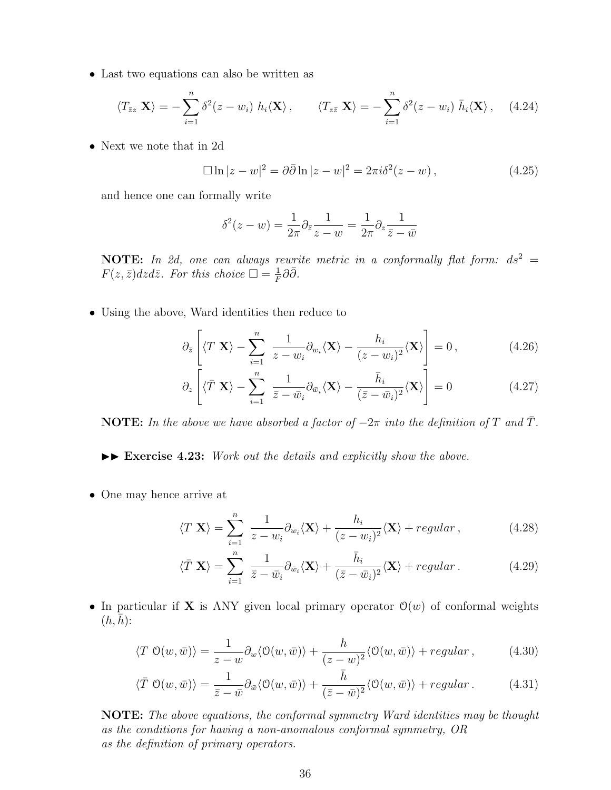• Last two equations can also be written as

$$
\langle T_{\bar{z}z} \mathbf{X} \rangle = -\sum_{i=1}^n \delta^2(z - w_i) \ h_i \langle \mathbf{X} \rangle, \qquad \langle T_{z\bar{z}} \mathbf{X} \rangle = -\sum_{i=1}^n \delta^2(z - w_i) \ \bar{h}_i \langle \mathbf{X} \rangle, \quad (4.24)
$$

• Next we note that in 2d

$$
\Box \ln |z - w|^2 = \partial \bar{\partial} \ln |z - w|^2 = 2\pi i \delta^2 (z - w), \qquad (4.25)
$$

and hence one can formally write

$$
\delta^2(z - w) = \frac{1}{2\pi} \partial_{\bar{z}} \frac{1}{z - w} = \frac{1}{2\pi} \partial_z \frac{1}{\bar{z} - \bar{w}}
$$

**NOTE:** In 2d, one can always rewrite metric in a conformally flat form:  $ds^2 =$  $F(z,\bar{z})dzd\bar{z}$ *. For this choice*  $\square = \frac{1}{F}$ *F ∂* ¯*∂.*

• Using the above, Ward identities then reduce to

$$
\partial_{\bar{z}}\left[\langle T|\mathbf{X}\rangle - \sum_{i=1}^{n} \frac{1}{z - w_i} \partial_{w_i} \langle \mathbf{X} \rangle - \frac{h_i}{(z - w_i)^2} \langle \mathbf{X} \rangle \right] = 0, \qquad (4.26)
$$

$$
\partial_z \left[ \langle \bar{T} \mathbf{X} \rangle - \sum_{i=1}^n \frac{1}{\bar{z} - \bar{w}_i} \partial_{\bar{w}_i} \langle \mathbf{X} \rangle - \frac{\bar{h}_i}{(\bar{z} - \bar{w}_i)^2} \langle \mathbf{X} \rangle \right] = 0 \tag{4.27}
$$

**NOTE:** In the above we have absorbed a factor of  $-2\pi$  into the definition of  $T$  and  $\overline{T}$ .

 $\blacktriangleright\blacktriangleright$  **Exercise 4.23:** *Work out the details and explicitly show the above.* 

• One may hence arrive at

$$
\langle T \mathbf{X} \rangle = \sum_{i=1}^{n} \frac{1}{z - w_i} \partial_{w_i} \langle \mathbf{X} \rangle + \frac{h_i}{(z - w_i)^2} \langle \mathbf{X} \rangle + regular \,, \tag{4.28}
$$

$$
\langle \bar{T} \mathbf{X} \rangle = \sum_{i=1}^{n} \frac{1}{\bar{z} - \bar{w}_i} \partial_{\bar{w}_i} \langle \mathbf{X} \rangle + \frac{\bar{h}_i}{(\bar{z} - \bar{w}_i)^2} \langle \mathbf{X} \rangle + regular. \tag{4.29}
$$

• In particular if **X** is ANY given local primary operator  $\mathcal{O}(w)$  of conformal weights  $(h, h)$ :

$$
\langle T \ O(w,\bar{w}) \rangle = \frac{1}{z-w} \partial_w \langle O(w,\bar{w}) \rangle + \frac{h}{(z-w)^2} \langle O(w,\bar{w}) \rangle + regular , \qquad (4.30)
$$

$$
\langle \bar{T} \; \mathcal{O}(w,\bar{w}) \rangle = \frac{1}{\bar{z} - \bar{w}} \partial_{\bar{w}} \langle \mathcal{O}(w,\bar{w}) \rangle + \frac{h}{(\bar{z} - \bar{w})^2} \langle \mathcal{O}(w,\bar{w}) \rangle + regular. \tag{4.31}
$$

**NOTE:** *The above equations, the conformal symmetry Ward identities may be thought as the conditions for having a non-anomalous conformal symmetry, OR as the definition of primary operators.*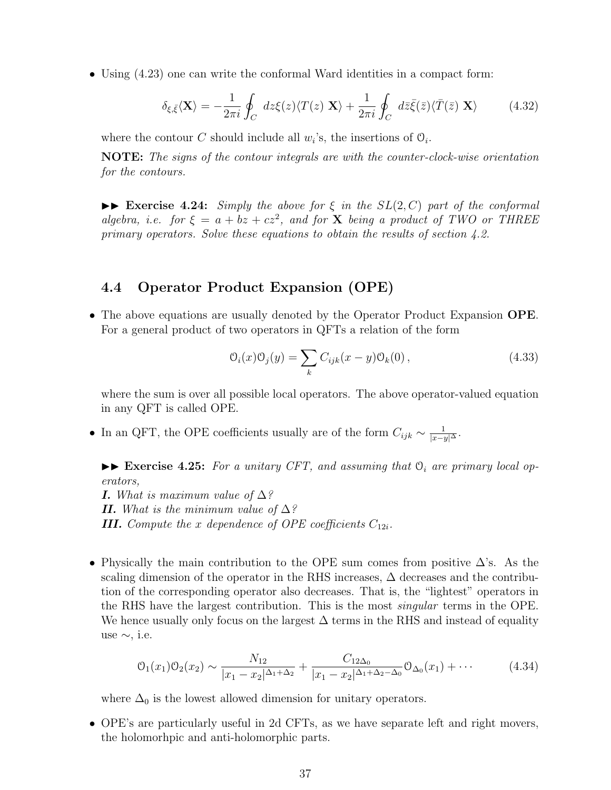• Using  $(4.23)$  one can write the conformal Ward identities in a compact form:

$$
\delta_{\xi,\bar{\xi}} \langle \mathbf{X} \rangle = -\frac{1}{2\pi i} \oint_C dz \xi(z) \langle T(z) | \mathbf{X} \rangle + \frac{1}{2\pi i} \oint_C d\bar{z} \bar{\xi}(\bar{z}) \langle \bar{T}(\bar{z}) | \mathbf{X} \rangle \tag{4.32}
$$

where the contour *C* should include all  $w_i$ 's, the insertions of  $\mathcal{O}_i$ .

**NOTE:** *The signs of the contour integrals are with the counter-clock-wise orientation for the contours.*

 $\triangleright$  **Exercise 4.24:** *Simply the above for*  $\xi$  *in the SL*(2*, C*) *part of the conformal algebra, i.e.* for  $\xi = a + bz + cz^2$ , and for **X** being a product of TWO or THREE *primary operators. Solve these equations to obtain the results of section 4.2.*

## **4.4 Operator Product Expansion (OPE)**

• The above equations are usually denoted by the Operator Product Expansion **OPE**. For a general product of two operators in QFTs a relation of the form

$$
\mathcal{O}_i(x)\mathcal{O}_j(y) = \sum_k C_{ijk}(x-y)\mathcal{O}_k(0),\tag{4.33}
$$

where the sum is over all possible local operators. The above operator-valued equation in any QFT is called OPE.

• In an QFT, the OPE coefficients usually are of the form  $C_{ijk} \sim \frac{1}{|x-y|^{\Delta}}$ .

 $\blacktriangleright\blacktriangleright$  **Exercise 4.25:** For a unitary CFT, and assuming that  $\mathcal{O}_i$  are primary local op*erators,*

*I. What is maximum value of* ∆*? II. What is the minimum value of* ∆*? III.* Compute the *x* dependence of OPE coefficients  $C_{12i}$ .

• Physically the main contribution to the OPE sum comes from positive  $\Delta$ 's. As the scaling dimension of the operator in the RHS increases,  $\Delta$  decreases and the contribution of the corresponding operator also decreases. That is, the "lightest" operators in the RHS have the largest contribution. This is the most *singular* terms in the OPE. We hence usually only focus on the largest  $\Delta$  terms in the RHS and instead of equality use *∼*, i.e.

$$
\mathcal{O}_1(x_1)\mathcal{O}_2(x_2) \sim \frac{N_{12}}{|x_1 - x_2|^{\Delta_1 + \Delta_2}} + \frac{C_{12\Delta_0}}{|x_1 - x_2|^{\Delta_1 + \Delta_2 - \Delta_0}} \mathcal{O}_{\Delta_0}(x_1) + \cdots
$$
 (4.34)

where  $\Delta_0$  is the lowest allowed dimension for unitary operators.

• OPE's are particularly useful in 2d CFTs, as we have separate left and right movers, the holomorhpic and anti-holomorphic parts.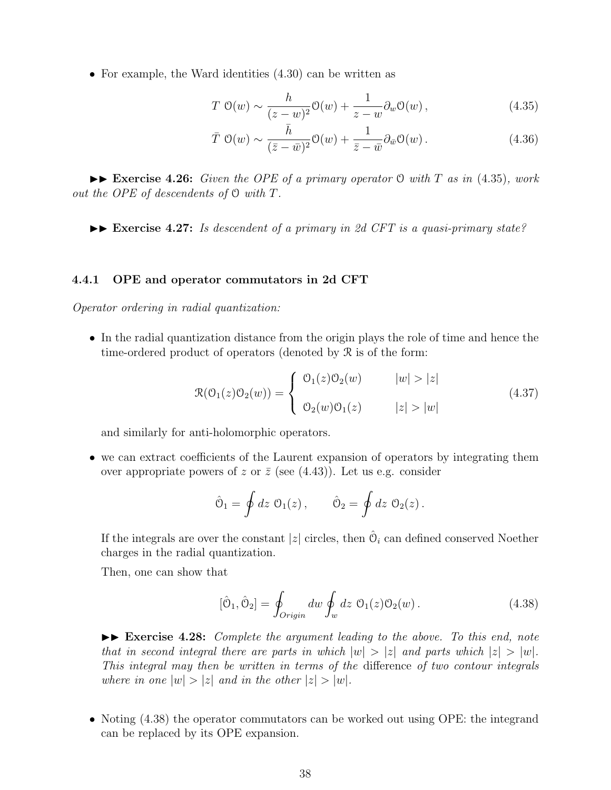• For example, the Ward identities  $(4.30)$  can be written as

$$
T\ \mathcal{O}(w) \sim \frac{h}{(z-w)^2} \mathcal{O}(w) + \frac{1}{z-w} \partial_w \mathcal{O}(w) \,, \tag{4.35}
$$

$$
\bar{T} \; \mathcal{O}(w) \sim \frac{\bar{h}}{(\bar{z} - \bar{w})^2} \mathcal{O}(w) + \frac{1}{\bar{z} - \bar{w}} \partial_{\bar{w}} \mathcal{O}(w) \,. \tag{4.36}
$$

II **Exercise 4.26:** *Given the OPE of a primary operator* O *with T as in* (4.35)*, work out the OPE of descendents of* O *with T.*

►► Exercise 4.27: *Is descendent of a primary in 2d CFT is a quasi-primary state?* 

#### **4.4.1 OPE and operator commutators in 2d CFT**

*Operator ordering in radial quantization:*

• In the radial quantization distance from the origin plays the role of time and hence the time-ordered product of operators (denoted by R is of the form:

$$
\mathcal{R}(\mathcal{O}_1(z)\mathcal{O}_2(w)) = \begin{cases} \mathcal{O}_1(z)\mathcal{O}_2(w) & |w| > |z| \\ \mathcal{O}_2(w)\mathcal{O}_1(z) & |z| > |w| \end{cases}
$$
(4.37)

and similarly for anti-holomorphic operators.

• we can extract coefficients of the Laurent expansion of operators by integrating them over appropriate powers of *z* or  $\bar{z}$  (see (4.43)). Let us e.g. consider

$$
\hat{\mathcal{O}}_1 = \oint dz \; \mathcal{O}_1(z) \,, \qquad \hat{\mathcal{O}}_2 = \oint dz \; \mathcal{O}_2(z) \,.
$$

If the integrals are over the constant  $|z|$  circles, then  $\hat{\mathcal{O}}_i$  can defined conserved Noether charges in the radial quantization.

Then, one can show that

$$
[\hat{\mathcal{O}}_1, \hat{\mathcal{O}}_2] = \oint_{\text{Original}} dw \oint_w dz \; \mathcal{O}_1(z) \mathcal{O}_2(w) \,. \tag{4.38}
$$

II **Exercise 4.28:** *Complete the argument leading to the above. To this end, note that in second integral there are parts in which*  $|w| > |z|$  *and parts which*  $|z| > |w|$ . *This integral may then be written in terms of the* difference *of two contour integrals where in one*  $|w| > |z|$  *and in the other*  $|z| > |w|$ *.* 

• Noting (4.38) the operator commutators can be worked out using OPE: the integrand can be replaced by its OPE expansion.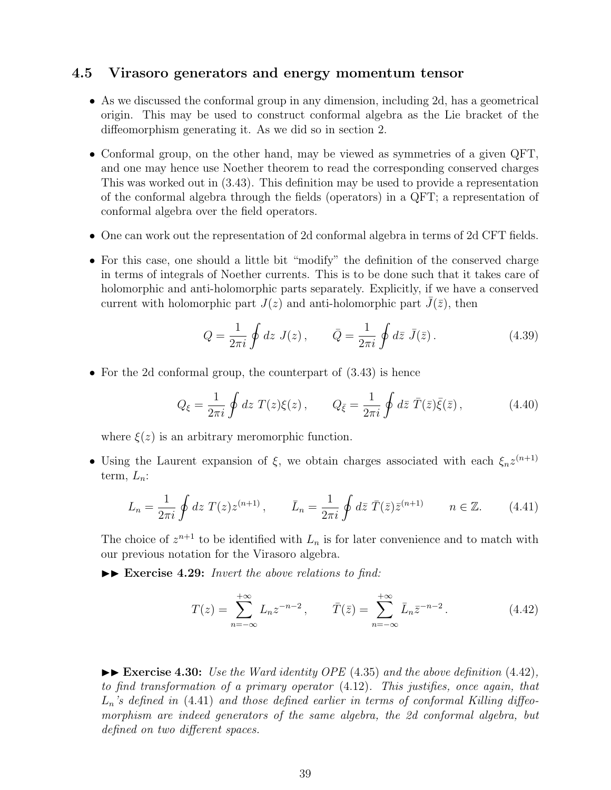## **4.5 Virasoro generators and energy momentum tensor**

- As we discussed the conformal group in any dimension, including 2d, has a geometrical origin. This may be used to construct conformal algebra as the Lie bracket of the diffeomorphism generating it. As we did so in section 2.
- Conformal group, on the other hand, may be viewed as symmetries of a given QFT, and one may hence use Noether theorem to read the corresponding conserved charges This was worked out in (3.43). This definition may be used to provide a representation of the conformal algebra through the fields (operators) in a QFT; a representation of conformal algebra over the field operators.
- One can work out the representation of 2d conformal algebra in terms of 2d CFT fields.
- For this case, one should a little bit "modify" the definition of the conserved charge in terms of integrals of Noether currents. This is to be done such that it takes care of holomorphic and anti-holomorphic parts separately. Explicitly, if we have a conserved current with holomorphic part  $J(z)$  and anti-holomorphic part  $J(\bar{z})$ , then

$$
Q = \frac{1}{2\pi i} \oint dz J(z), \qquad \bar{Q} = \frac{1}{2\pi i} \oint d\bar{z} \bar{J}(\bar{z}). \tag{4.39}
$$

• For the 2d conformal group, the counterpart of  $(3.43)$  is hence

$$
Q_{\xi} = \frac{1}{2\pi i} \oint dz \ T(z)\xi(z) , \qquad Q_{\bar{\xi}} = \frac{1}{2\pi i} \oint d\bar{z} \ \bar{T}(\bar{z})\bar{\xi}(\bar{z}) , \qquad (4.40)
$$

where  $\xi(z)$  is an arbitrary meromorphic function.

• Using the Laurent expansion of  $\xi$ , we obtain charges associated with each  $\xi_n z^{(n+1)}$ term,  $L_n$ :

$$
L_n = \frac{1}{2\pi i} \oint dz \ T(z) z^{(n+1)}, \qquad \bar{L}_n = \frac{1}{2\pi i} \oint d\bar{z} \ \bar{T}(\bar{z}) \bar{z}^{(n+1)} \qquad n \in \mathbb{Z}.
$$
 (4.41)

The choice of  $z^{n+1}$  to be identified with  $L_n$  is for later convenience and to match with our previous notation for the Virasoro algebra.

 $\blacktriangleright\blacktriangleright$  **Exercise 4.29:** *Invert the above relations to find:* 

$$
T(z) = \sum_{n=-\infty}^{+\infty} L_n z^{-n-2}, \qquad \bar{T}(\bar{z}) = \sum_{n=-\infty}^{+\infty} \bar{L}_n \bar{z}^{-n-2}.
$$
 (4.42)

 $\blacktriangleright$  **Exercise 4.30:** *Use the Ward identity OPE* (4.35) *and the above definition* (4.42)*, to find transformation of a primary operator* (4.12)*. This justifies, once again, that Ln's defined in* (4.41) *and those defined earlier in terms of conformal Killing diffeomorphism are indeed generators of the same algebra, the 2d conformal algebra, but defined on two different spaces.*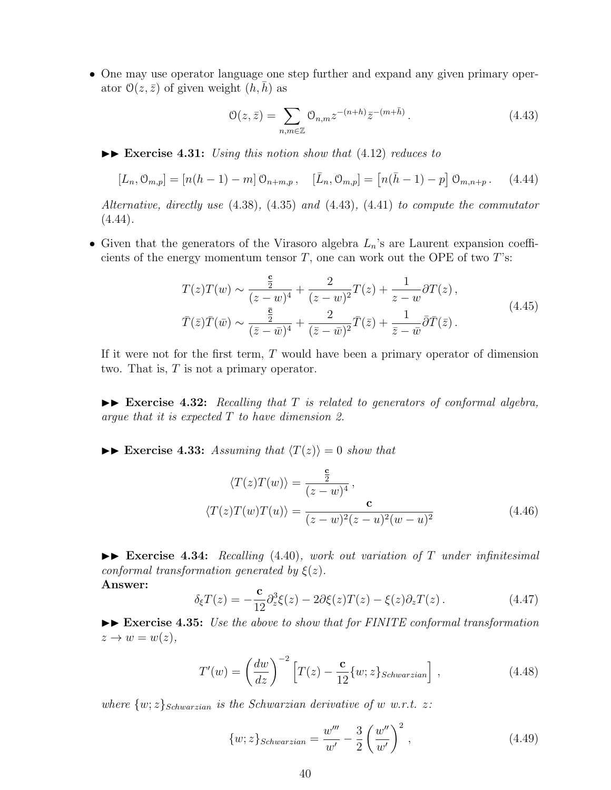• One may use operator language one step further and expand any given primary operator  $\mathcal{O}(z,\bar{z})$  of given weight  $(h,h)$  as

$$
\mathcal{O}(z,\bar{z}) = \sum_{n,m \in \mathbb{Z}} \mathcal{O}_{n,m} z^{-(n+h)} \bar{z}^{-(m+\bar{h})}.
$$
 (4.43)

II **Exercise 4.31:** *Using this notion show that* (4.12) *reduces to*

$$
[L_n, \mathcal{O}_{m,p}] = [n(h-1) - m] \mathcal{O}_{n+m,p}, \quad [\bar{L}_n, \mathcal{O}_{m,p}] = [n(\bar{h}-1) - p] \mathcal{O}_{m,n+p}. \quad (4.44)
$$

*Alternative, directly use* (4.38)*,* (4.35) *and* (4.43)*,* (4.41) *to compute the commutator* (4.44)*.*

• Given that the generators of the Virasoro algebra *Ln*'s are Laurent expansion coefficients of the energy momentum tensor *T*, one can work out the OPE of two *T*'s:

$$
T(z)T(w) \sim \frac{\frac{c}{2}}{(z-w)^4} + \frac{2}{(z-w)^2}T(z) + \frac{1}{z-w}\partial T(z),
$$
  

$$
\bar{T}(\bar{z})\bar{T}(\bar{w}) \sim \frac{\frac{\bar{c}}{2}}{(\bar{z}-\bar{w})^4} + \frac{2}{(\bar{z}-\bar{w})^2}\bar{T}(\bar{z}) + \frac{1}{\bar{z}-\bar{w}}\bar{\partial}\bar{T}(\bar{z}).
$$
\n(4.45)

If it were not for the first term, *T* would have been a primary operator of dimension two. That is, *T* is not a primary operator.

 $\blacktriangleright$  **Exercise 4.32:** Recalling that T is related to generators of conformal algebra, *argue that it is expected T to have dimension 2.*

 $\blacktriangleright$  **Exercise 4.33:** Assuming that  $\langle T(z) \rangle = 0$  show that

$$
\langle T(z)T(w)\rangle = \frac{\frac{c}{2}}{(z-w)^4},
$$
  

$$
\langle T(z)T(w)T(u)\rangle = \frac{c}{(z-w)^2(z-u)^2(w-u)^2}
$$
(4.46)

II **Exercise 4.34:** *Recalling* (4.40)*, work out variation of T under infinitesimal conformal transformation generated by*  $\xi(z)$ *.* **Answer:**

$$
\delta_{\xi}T(z) = -\frac{\mathbf{c}}{12}\partial_z^3\xi(z) - 2\partial\xi(z)T(z) - \xi(z)\partial_zT(z). \qquad (4.47)
$$

II **Exercise 4.35:** *Use the above to show that for FINITE conformal transformation*  $z \rightarrow w = w(z)$ ,

$$
T'(w) = \left(\frac{dw}{dz}\right)^{-2} \left[T(z) - \frac{\mathbf{c}}{12}\{w; z\}_{Schwarzian}\right],\tag{4.48}
$$

*where*  $\{w; z\}_{Schwarzian}$  *is the Schwarzian derivative of w w.r.t. z*:

$$
\{w; z\}_{Schwarzian} = \frac{w'''}{w'} - \frac{3}{2} \left(\frac{w''}{w'}\right)^2,
$$
\n(4.49)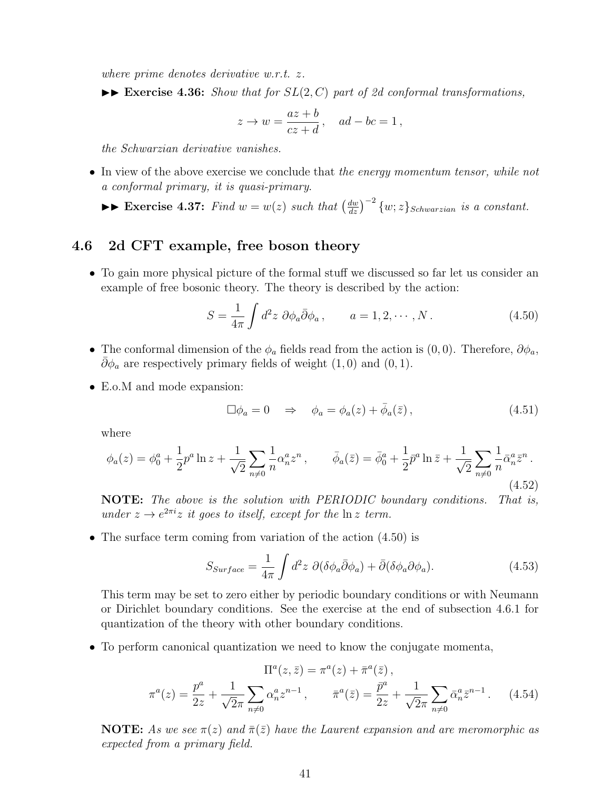*where prime denotes derivative w.r.t. z.*

 $\triangleright$  **Exercise 4.36:** *Show that for*  $SL(2, C)$  *part of 2d conformal transformations,* 

$$
z \to w = \frac{az+b}{cz+d}, \quad ad - bc = 1,
$$

*the Schwarzian derivative vanishes.*

• In view of the above exercise we conclude that *the energy momentum tensor, while not a conformal primary, it is quasi-primary*.

►► **Exercise 4.37:** *Find*  $w = w(z)$  *such that*  $\left(\frac{dw}{dz}\right)^{-2} \{w; z\}_{Schwarzian}$  *is a constant.* 

## **4.6 2d CFT example, free boson theory**

• To gain more physical picture of the formal stuff we discussed so far let us consider an example of free bosonic theory. The theory is described by the action:

$$
S = \frac{1}{4\pi} \int d^2 z \ \partial \phi_a \bar{\partial} \phi_a \,, \qquad a = 1, 2, \cdots, N \,. \tag{4.50}
$$

- The conformal dimension of the  $\phi_a$  fields read from the action is  $(0,0)$ . Therefore,  $\partial \phi_a$ ,  $\bar{\partial}\phi_a$  are respectively primary fields of weight  $(1,0)$  and  $(0,1)$ .
- E.o.M and mode expansion:

$$
\Box \phi_a = 0 \quad \Rightarrow \quad \phi_a = \phi_a(z) + \bar{\phi}_a(\bar{z}), \tag{4.51}
$$

where

$$
\phi_a(z) = \phi_0^a + \frac{1}{2} p^a \ln z + \frac{1}{\sqrt{2}} \sum_{n \neq 0} \frac{1}{n} \alpha_n^a z^n, \qquad \bar{\phi}_a(\bar{z}) = \bar{\phi}_0^a + \frac{1}{2} \bar{p}^a \ln \bar{z} + \frac{1}{\sqrt{2}} \sum_{n \neq 0} \frac{1}{n} \bar{\alpha}_n^a \bar{z}^n.
$$
\n(4.52)

**NOTE:** *The above is the solution with PERIODIC boundary conditions. That is, under*  $z \to e^{2\pi i}z$  *it goes to itself, except for the*  $\ln z$  *term.* 

• The surface term coming from variation of the action  $(4.50)$  is

$$
S_{Surface} = \frac{1}{4\pi} \int d^2 z \ \partial(\delta \phi_a \bar{\partial} \phi_a) + \bar{\partial}(\delta \phi_a \partial \phi_a). \tag{4.53}
$$

This term may be set to zero either by periodic boundary conditions or with Neumann or Dirichlet boundary conditions. See the exercise at the end of subsection 4.6.1 for quantization of the theory with other boundary conditions.

• To perform canonical quantization we need to know the conjugate momenta,

$$
\Pi^{a}(z,\bar{z}) = \pi^{a}(z) + \bar{\pi}^{a}(\bar{z}),
$$
  

$$
\pi^{a}(z) = \frac{p^{a}}{2z} + \frac{1}{\sqrt{2\pi}} \sum_{n \neq 0} \alpha_{n}^{a} z^{n-1}, \qquad \bar{\pi}^{a}(\bar{z}) = \frac{\bar{p}^{a}}{2z} + \frac{1}{\sqrt{2\pi}} \sum_{n \neq 0} \bar{\alpha}_{n}^{a} \bar{z}^{n-1}.
$$
 (4.54)

**NOTE:** As we see  $\pi(z)$  and  $\bar{\pi}(\bar{z})$  have the Laurent expansion and are meromorphic as *expected from a primary field.*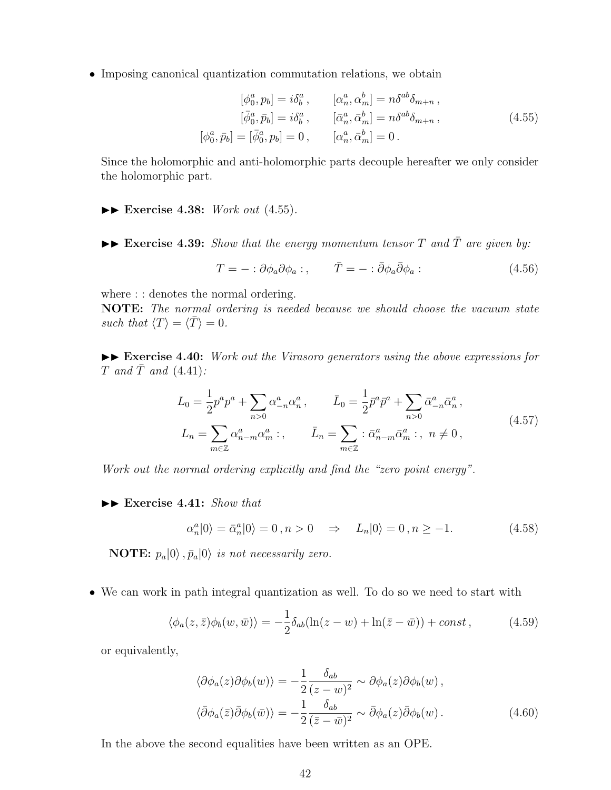• Imposing canonical quantization commutation relations, we obtain

$$
[\phi_0^a, p_b] = i\delta_b^a, \qquad [\alpha_n^a, \alpha_m^b] = n\delta^{ab}\delta_{m+n}, [\bar{\phi}_0^a, \bar{p}_b] = i\delta_b^a, \qquad [\bar{\alpha}_n^a, \bar{\alpha}_m^b] = n\delta^{ab}\delta_{m+n}, [\phi_0^a, \bar{p}_b] = [\bar{\phi}_0^a, p_b] = 0, \qquad [\alpha_n^a, \bar{\alpha}_m^b] = 0.
$$
 (4.55)

Since the holomorphic and anti-holomorphic parts decouple hereafter we only consider the holomorphic part.

- II **Exercise 4.38:** *Work out* (4.55)*.*
- $\blacktriangleright\blacktriangleright$  **Exercise 4.39:** *Show that the energy momentum tensor T* and  $\overline{T}$  are given by:

$$
T = - : \partial \phi_a \partial \phi_a : , \qquad \bar{T} = - : \bar{\partial} \phi_a \bar{\partial} \phi_a : \qquad (4.56)
$$

where : : denotes the normal ordering.

**NOTE:** *The normal ordering is needed because we should choose the vacuum state such that*  $\langle T \rangle = \langle \overline{T} \rangle = 0$ .

►► Exercise 4.40: *Work out the Virasoro generators using the above expressions for*  $T$  *and*  $\overline{T}$  *and* (4.41)*:* 

$$
L_0 = \frac{1}{2} p^a p^a + \sum_{n>0} \alpha_{-n}^a \alpha_n^a, \qquad \bar{L}_0 = \frac{1}{2} \bar{p}^a \bar{p}^a + \sum_{n>0} \bar{\alpha}_{-n}^a \bar{\alpha}_n^a,
$$
  

$$
L_n = \sum_{m \in \mathbb{Z}} \alpha_{n-m}^a \alpha_m^a ;, \qquad \bar{L}_n = \sum_{m \in \mathbb{Z}} : \bar{\alpha}_{n-m}^a \bar{\alpha}_m^a ;, \quad n \neq 0,
$$
 (4.57)

*Work out the normal ordering explicitly and find the "zero point energy".*

II **Exercise 4.41:** *Show that*

$$
\alpha_n^a|0\rangle = \bar{\alpha}_n^a|0\rangle = 0, n > 0 \Rightarrow L_n|0\rangle = 0, n \ge -1. \tag{4.58}
$$

**NOTE:**  $p_a|0\rangle$ ,  $\bar{p}_a|0\rangle$  *is not necessarily zero.* 

• We can work in path integral quantization as well. To do so we need to start with

$$
\langle \phi_a(z,\bar{z})\phi_b(w,\bar{w}) \rangle = -\frac{1}{2}\delta_{ab}(\ln(z-w) + \ln(\bar{z}-\bar{w})) + const , \qquad (4.59)
$$

or equivalently,

$$
\langle \partial \phi_a(z) \partial \phi_b(w) \rangle = -\frac{1}{2} \frac{\delta_{ab}}{(z - w)^2} \sim \partial \phi_a(z) \partial \phi_b(w) ,
$$
  

$$
\langle \bar{\partial} \phi_a(\bar{z}) \bar{\partial} \phi_b(\bar{w}) \rangle = -\frac{1}{2} \frac{\delta_{ab}}{(\bar{z} - \bar{w})^2} \sim \bar{\partial} \phi_a(z) \bar{\partial} \phi_b(w) .
$$
 (4.60)

In the above the second equalities have been written as an OPE.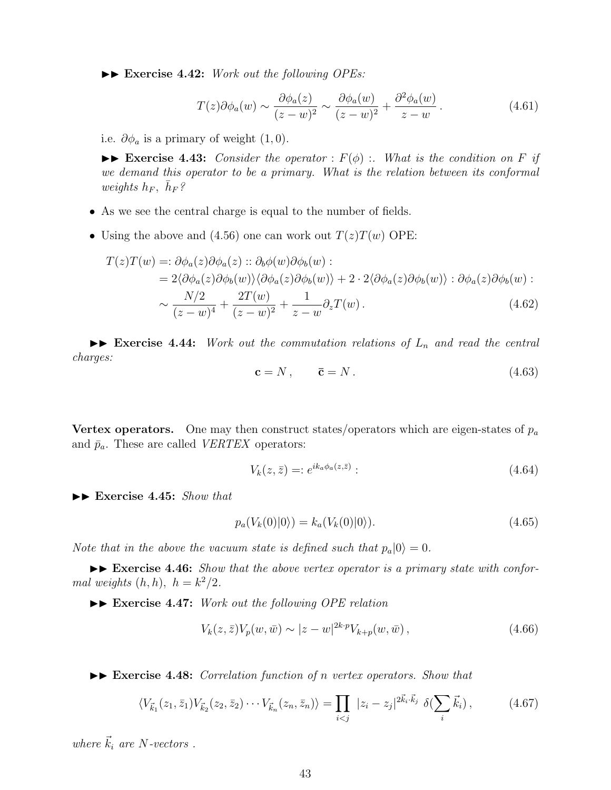▶▶ Exercise 4.42: *Work out the following OPEs:* 

$$
T(z)\partial\phi_a(w) \sim \frac{\partial\phi_a(z)}{(z-w)^2} \sim \frac{\partial\phi_a(w)}{(z-w)^2} + \frac{\partial^2\phi_a(w)}{z-w}.
$$
 (4.61)

i.e.  $\partial \phi_a$  is a primary of weight  $(1,0)$ .

 $\triangleright$  **Exercise 4.43:** *Consider the operator* :  $F(\phi)$  :*. What is the condition on F if we demand this operator to be a primary. What is the relation between its conformal*  $weights$   $h_F$ ,  $\bar{h}_F$ ?

- As we see the central charge is equal to the number of fields.
- Using the above and (4.56) one can work out  $T(z)T(w)$  OPE:

$$
T(z)T(w) =: \partial \phi_a(z) \partial \phi_a(z) :: \partial_b \phi(w) \partial \phi_b(w) :
$$
  
=  $2 \langle \partial \phi_a(z) \partial \phi_b(w) \rangle \langle \partial \phi_a(z) \partial \phi_b(w) \rangle + 2 \cdot 2 \langle \partial \phi_a(z) \partial \phi_b(w) \rangle : \partial \phi_a(z) \partial \phi_b(w) :$   
 $\sim \frac{N/2}{(z-w)^4} + \frac{2T(w)}{(z-w)^2} + \frac{1}{z-w} \partial_z T(w).$  (4.62)

 $\triangleright$  **Exercise 4.44:** *Work out the commutation relations of*  $L_n$  *and read the central charges:*

$$
\mathbf{c} = N, \qquad \overline{\mathbf{c}} = N. \tag{4.63}
$$

**Vertex operators.** One may then construct states/operators which are eigen-states of  $p_a$ and  $\bar{p}_a$ . These are called *VERTEX* operators:

$$
V_k(z,\bar{z}) =: e^{ik_a \phi_a(z,\bar{z})}:
$$
\n
$$
(4.64)
$$

II **Exercise 4.45:** *Show that*

$$
p_a(V_k(0)|0\rangle) = k_a(V_k(0)|0\rangle). \tag{4.65}
$$

*Note that in the above the vacuum state is defined such that*  $p_a|0\rangle = 0$ *.* 

 $\triangleright$  **Exercise 4.46:** *Show that the above vertex operator is a primary state with conformal weights*  $(h, h)$ *,*  $h = k^2/2$ *.* 

II **Exercise 4.47:** *Work out the following OPE relation*

$$
V_k(z, \bar{z}) V_p(w, \bar{w}) \sim |z - w|^{2k \cdot p} V_{k+p}(w, \bar{w}), \qquad (4.66)
$$

II **Exercise 4.48:** *Correlation function of n vertex operators. Show that*

$$
\langle V_{\vec{k}_1}(z_1, \bar{z}_1) V_{\vec{k}_2}(z_2, \bar{z}_2) \cdots V_{\vec{k}_n}(z_n, \bar{z}_n) \rangle = \prod_{i < j} |z_i - z_j|^{2\vec{k}_i \cdot \vec{k}_j} \delta(\sum_i \vec{k}_i), \tag{4.67}
$$

*where*  $\vec{k}_i$  *are N-vectors* .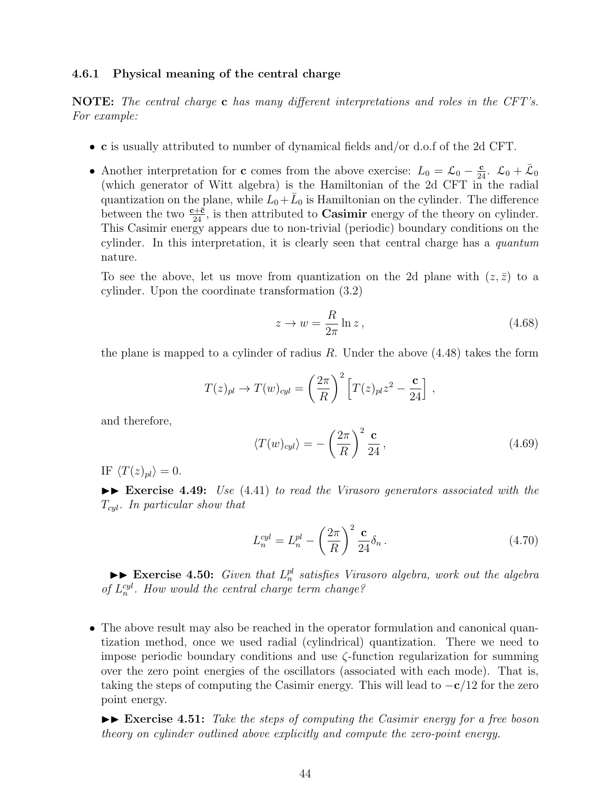#### **4.6.1 Physical meaning of the central charge**

**NOTE:** *The central charge* **c** *has many different interpretations and roles in the CFT's. For example:*

- **c** is usually attributed to number of dynamical fields and/or d.o.f of the 2d CFT.
- Another interpretation for **c** comes from the above exercise:  $L_0 = \mathcal{L}_0 \frac{c}{24}$ .  $\mathcal{L}_0 + \bar{\mathcal{L}}_0$ (which generator of Witt algebra) is the Hamiltonian of the 2d CFT in the radial quantization on the plane, while  $\hat{L_0} + \bar{L}_0$  is Hamiltonian on the cylinder. The difference between the two  $\frac{c+\bar{c}}{24}$ , is then attributed to **Casimir** energy of the theory on cylinder. This Casimir energy appears due to non-trivial (periodic) boundary conditions on the cylinder. In this interpretation, it is clearly seen that central charge has a *quantum* nature.

To see the above, let us move from quantization on the 2d plane with  $(z, \bar{z})$  to a cylinder. Upon the coordinate transformation (3.2)

$$
z \to w = \frac{R}{2\pi} \ln z \,,\tag{4.68}
$$

the plane is mapped to a cylinder of radius *R*. Under the above (4.48) takes the form

$$
T(z)_{pl} \rightarrow T(w)_{cyl} = \left(\frac{2\pi}{R}\right)^2 \left[T(z)_{pl}z^2 - \frac{c}{24}\right],
$$

and therefore,

$$
\langle T(w)_{cyl} \rangle = -\left(\frac{2\pi}{R}\right)^2 \frac{\mathbf{c}}{24},\tag{4.69}
$$

IF  $\langle T(z)_{pl} \rangle = 0$ .

II **Exercise 4.49:** *Use* (4.41) *to read the Virasoro generators associated with the Tcyl. In particular show that*

$$
L_n^{cyl} = L_n^{pl} - \left(\frac{2\pi}{R}\right)^2 \frac{\mathbf{c}}{24} \delta_n \,. \tag{4.70}
$$

 $\blacktriangleright$  **Exercise 4.50:** *Given that*  $L_n^{pl}$  *satisfies Virasoro algebra, work out the algebra of*  $L_n^{cyl}$ *. How would the central charge term change?* 

• The above result may also be reached in the operator formulation and canonical quantization method, once we used radial (cylindrical) quantization. There we need to impose periodic boundary conditions and use *ζ*-function regularization for summing over the zero point energies of the oscillators (associated with each mode). That is, taking the steps of computing the Casimir energy. This will lead to *−***c***/*12 for the zero point energy.

 $\blacktriangleright\blacktriangleright$  **Exercise** 4.51: Take the steps of computing the Casimir energy for a free boson *theory on cylinder outlined above explicitly and compute the zero-point energy.*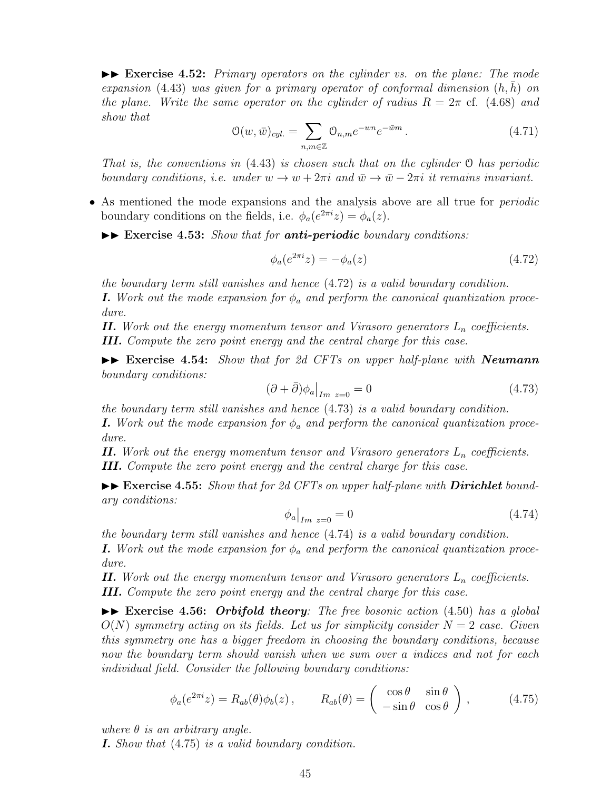II **Exercise 4.52:** *Primary operators on the cylinder vs. on the plane: The mode*  $expansion (4.43) was given for a primary operator of conformal dimension  $(h, h)$  on$ *the plane. Write the same operator on the cylinder of radius*  $R = 2\pi$  cf. (4.68) and *show that*

$$
\mathcal{O}(w,\bar{w})_{cyl.} = \sum_{n,m \in \mathbb{Z}} \mathcal{O}_{n,m} e^{-wn} e^{-\bar{w}m} . \tag{4.71}
$$

*That is, the conventions in* (4.43) *is chosen such that on the cylinder* O *has periodic boundary conditions, i.e. under*  $w \to w + 2\pi i$  and  $\bar{w} \to \bar{w} - 2\pi i$  it remains invariant.

• As mentioned the mode expansions and the analysis above are all true for *periodic* boundary conditions on the fields, i.e.  $\phi_a(e^{2\pi i}z) = \phi_a(z)$ .

II **Exercise 4.53:** *Show that for anti-periodic boundary conditions:*

$$
\phi_a(e^{2\pi i}z) = -\phi_a(z) \tag{4.72}
$$

*the boundary term still vanishes and hence* (4.72) *is a valid boundary condition. I. Work out the mode expansion for*  $\phi_a$  *and perform the canonical quantization procedure.*

*II. Work out the energy momentum tensor and Virasoro generators L<sup>n</sup> coefficients. III. Compute the zero point energy and the central charge for this case.*

II **Exercise 4.54:** *Show that for 2d CFTs on upper half-plane with Neumann boundary conditions:*

$$
(\partial + \bar{\partial})\phi_a\big|_{Im\ z=0} = 0\tag{4.73}
$$

*the boundary term still vanishes and hence* (4.73) *is a valid boundary condition.*

*I. Work out the mode expansion for*  $\phi_a$  *and perform the canonical quantization procedure.*

*II. Work out the energy momentum tensor and Virasoro generators L<sup>n</sup> coefficients. III. Compute the zero point energy and the central charge for this case.*

 $\triangleright$  **Exercise 4.55:** *Show that for 2d CFTs on upper half-plane with Dirichlet boundary conditions:*

$$
\phi_a\big|_{Im\ z=0} = 0\tag{4.74}
$$

*the boundary term still vanishes and hence* (4.74) *is a valid boundary condition.*

*I. Work out the mode expansion for*  $\phi_a$  *and perform the canonical quantization procedure.*

*II. Work out the energy momentum tensor and Virasoro generators*  $L_n$  *coefficients. III. Compute the zero point energy and the central charge for this case.*

II **Exercise 4.56:** *Orbifold theory: The free bosonic action* (4.50) *has a global*  $O(N)$  *symmetry acting on its fields. Let us for simplicity consider*  $N = 2$  *case. Given this symmetry one has a bigger freedom in choosing the boundary conditions, because now the boundary term should vanish when we sum over a indices and not for each individual field. Consider the following boundary conditions:*

$$
\phi_a(e^{2\pi i}z) = R_{ab}(\theta)\phi_b(z), \qquad R_{ab}(\theta) = \begin{pmatrix} \cos\theta & \sin\theta \\ -\sin\theta & \cos\theta \end{pmatrix}, \qquad (4.75)
$$

*where θ is an arbitrary angle.*

*I. Show that* (4.75) *is a valid boundary condition.*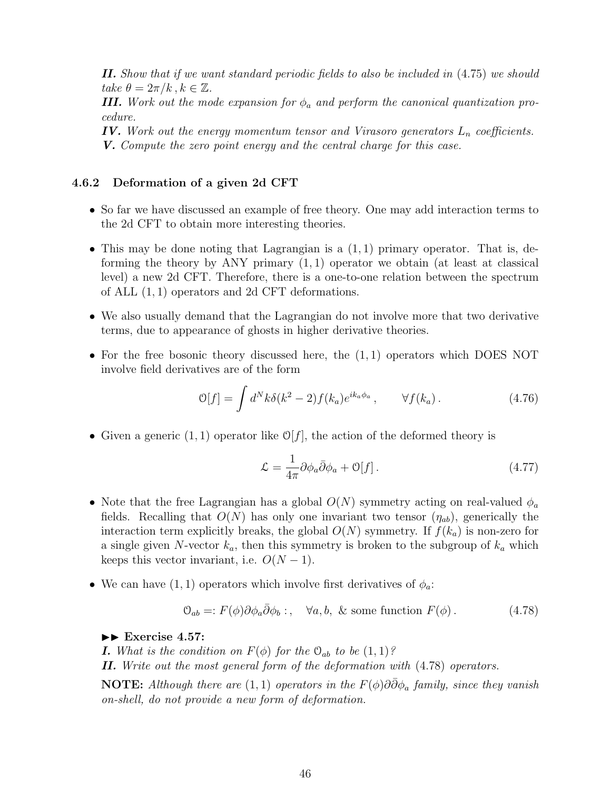*II. Show that if we want standard periodic fields to also be included in* (4.75) *we should*  $\ell$ *ake*  $\theta = 2\pi/k$ ,  $k \in \mathbb{Z}$ .

*III. Work out the mode expansion for*  $\phi_a$  *and perform the canonical quantization procedure.*

*IV. Work out the energy momentum tensor and Virasoro generators L<sup>n</sup> coefficients. V. Compute the zero point energy and the central charge for this case.*

## **4.6.2 Deformation of a given 2d CFT**

- So far we have discussed an example of free theory. One may add interaction terms to the 2d CFT to obtain more interesting theories.
- This may be done noting that Lagrangian is a (1*,* 1) primary operator. That is, deforming the theory by ANY primary (1*,* 1) operator we obtain (at least at classical level) a new 2d CFT. Therefore, there is a one-to-one relation between the spectrum of ALL (1*,* 1) operators and 2d CFT deformations.
- We also usually demand that the Lagrangian do not involve more that two derivative terms, due to appearance of ghosts in higher derivative theories.
- For the free bosonic theory discussed here, the (1*,* 1) operators which DOES NOT involve field derivatives are of the form

$$
\mathcal{O}[f] = \int d^N k \delta(k^2 - 2) f(k_a) e^{ik_a \phi_a}, \qquad \forall f(k_a). \tag{4.76}
$$

• Given a generic  $(1, 1)$  operator like  $\mathcal{O}[f]$ , the action of the deformed theory is

$$
\mathcal{L} = \frac{1}{4\pi} \partial \phi_a \bar{\partial} \phi_a + \mathcal{O}[f]. \tag{4.77}
$$

- Note that the free Lagrangian has a global *O*(*N*) symmetry acting on real-valued *ϕ<sup>a</sup>* fields. Recalling that  $O(N)$  has only one invariant two tensor  $(\eta_{ab})$ , generically the interaction term explicitly breaks, the global  $O(N)$  symmetry. If  $f(k_a)$  is non-zero for a single given *N*-vector *ka*, then this symmetry is broken to the subgroup of *k<sup>a</sup>* which keeps this vector invariant, i.e.  $O(N-1)$ .
- We can have  $(1, 1)$  operators which involve first derivatives of  $\phi_a$ :

$$
\mathcal{O}_{ab} =: F(\phi)\partial \phi_a \bar{\partial} \phi_b: , \quad \forall a, b, \& \text{ some function } F(\phi). \tag{4.78}
$$

II **Exercise 4.57:**

*I. What is the condition on*  $F(\phi)$  *for the*  $\mathcal{O}_{ab}$  *to be*  $(1,1)$ *?* 

*II. Write out the most general form of the deformation with* (4.78) *operators.*

**NOTE:** *Although there are*  $(1, 1)$  *operators in the*  $F(\phi)\partial\bar{\partial}\phi_a$  *family, since they vanish on-shell, do not provide a new form of deformation.*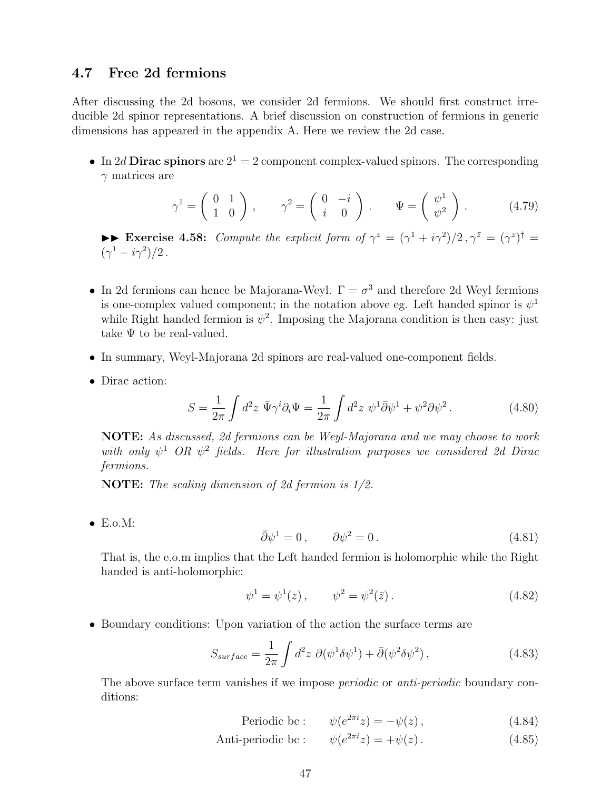## **4.7 Free 2d fermions**

After discussing the 2d bosons, we consider 2d fermions. We should first construct irreducible 2d spinor representations. A brief discussion on construction of fermions in generic dimensions has appeared in the appendix A. Here we review the 2d case.

• In 2*d* **Dirac spinors** are  $2^1 = 2$  component complex-valued spinors. The corresponding *γ* matrices are

$$
\gamma^1 = \begin{pmatrix} 0 & 1 \\ 1 & 0 \end{pmatrix}, \qquad \gamma^2 = \begin{pmatrix} 0 & -i \\ i & 0 \end{pmatrix}, \qquad \Psi = \begin{pmatrix} \psi^1 \\ \psi^2 \end{pmatrix}. \tag{4.79}
$$

►► Exercise 4.58: *Compute the explicit form of*  $\gamma^z = (\gamma^1 + i\gamma^2)/2$ ,  $\gamma^{\bar{z}} = (\gamma^z)^{\dagger} =$  $(\gamma^1 - i\gamma^2)/2$ .

- In 2d fermions can hence be Majorana-Weyl.  $\Gamma = \sigma^3$  and therefore 2d Weyl fermions is one-complex valued component; in the notation above eg. Left handed spinor is  $\psi^1$ while Right handed fermion is  $\psi^2$ . Imposing the Majorana condition is then easy: just take  $\Psi$  to be real-valued.
- In summary, Weyl-Majorana 2d spinors are real-valued one-component fields.
- Dirac action:

$$
S = \frac{1}{2\pi} \int d^2 z \ \bar{\Psi} \gamma^i \partial_i \Psi = \frac{1}{2\pi} \int d^2 z \ \psi^1 \bar{\partial} \psi^1 + \psi^2 \partial \psi^2. \tag{4.80}
$$

**NOTE:** *As discussed, 2d fermions can be Weyl-Majorana and we may choose to work with only*  $\psi^1$  *OR*  $\psi^2$  *fields. Here for illustration purposes we considered 2d Dirac fermions.*

**NOTE:** *The scaling dimension of 2d fermion is 1/2.*

• E.o.M:

$$
\bar{\partial}\psi^1 = 0, \qquad \partial\psi^2 = 0. \tag{4.81}
$$

That is, the e.o.m implies that the Left handed fermion is holomorphic while the Right handed is anti-holomorphic:

$$
\psi^1 = \psi^1(z), \qquad \psi^2 = \psi^2(\bar{z}). \tag{4.82}
$$

• Boundary conditions: Upon variation of the action the surface terms are

$$
S_{surface} = \frac{1}{2\pi} \int d^2 z \ \partial(\psi^1 \delta \psi^1) + \bar{\partial}(\psi^2 \delta \psi^2) \,, \tag{4.83}
$$

The above surface term vanishes if we impose *periodic* or *anti-periodic* boundary conditions:

$$
Periodic bc: \qquad \psi(e^{2\pi i}z) = -\psi(z), \tag{4.84}
$$

Anti-periodic bc :  $\psi(e^{2\pi i}z) = +\psi(z)$ . (4.85)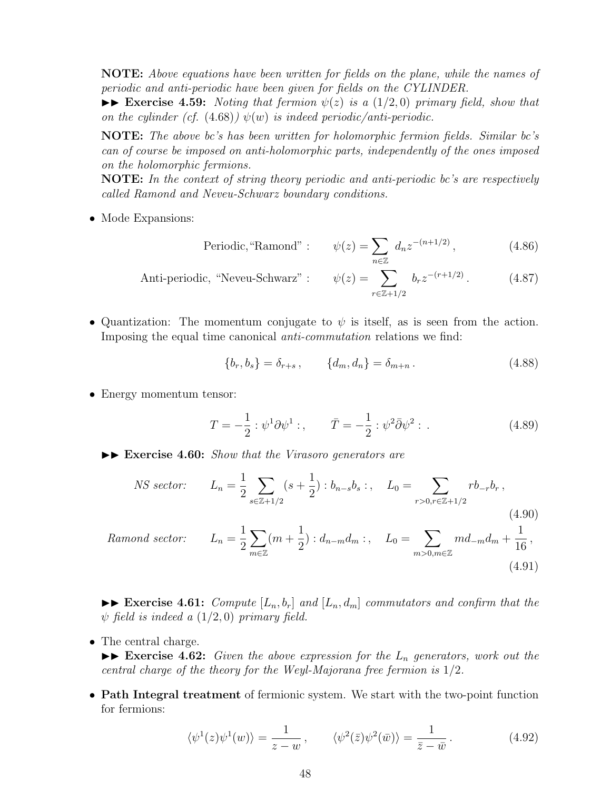**NOTE:** *Above equations have been written for fields on the plane, while the names of periodic and anti-periodic have been given for fields on the CYLINDER.*

 $\blacktriangleright$  **Exercise 4.59:** *Noting that fermion*  $\psi(z)$  *is a* (1/2*,0) primary field, show that on the cylinder (cf.* (4.68))  $\psi(w)$  *is indeed periodic/anti-periodic.* 

**NOTE:** *The above bc's has been written for holomorphic fermion fields. Similar bc's can of course be imposed on anti-holomorphic parts, independently of the ones imposed on the holomorphic fermions.*

**NOTE:** *In the context of string theory periodic and anti-periodic bc's are respectively called Ramond and Neveu-Schwarz boundary conditions.*

• Mode Expansions:

Periodic, "Ramond" : 
$$
\psi(z) = \sum_{n \in \mathbb{Z}} d_n z^{-(n+1/2)},
$$
 (4.86)

Anti-periodic, "Neveu-Schwarz" : 
$$
\psi(z) = \sum_{r \in \mathbb{Z}+1/2} b_r z^{-(r+1/2)}
$$
. (4.87)

• Quantization: The momentum conjugate to  $\psi$  is itself, as is seen from the action. Imposing the equal time canonical *anti-commutation* relations we find:

$$
\{b_r, b_s\} = \delta_{r+s}, \qquad \{d_m, d_n\} = \delta_{m+n}.
$$
\n(4.88)

• Energy momentum tensor:

$$
T = -\frac{1}{2} : \psi^1 \partial \psi^1 : , \qquad \bar{T} = -\frac{1}{2} : \psi^2 \bar{\partial} \psi^2 : . \tag{4.89}
$$

 $\triangleright$  **Exercise 4.60:** *Show that the Virasoro generators are* 

$$
NS\ sector: \qquad L_n = \frac{1}{2} \sum_{s \in \mathbb{Z}+1/2} (s + \frac{1}{2}) : b_{n-s}b_s : , \quad L_0 = \sum_{r > 0, r \in \mathbb{Z}+1/2} r b_{-r}b_r \,, \tag{4.90}
$$

*Ramond sector:* 
$$
L_n = \frac{1}{2} \sum_{m \in \mathbb{Z}} (m + \frac{1}{2}) : d_{n-m} d_m : , \quad L_0 = \sum_{m > 0, m \in \mathbb{Z}} m d_{-m} d_m + \frac{1}{16},
$$
(4.91)

 $\triangleright$  **Exercise 4.61:** *Compute*  $[L_n, b_r]$  *and*  $[L_n, d_m]$  *commutators and confirm that the*  $\psi$  *field is indeed a* (1/2*,0*) *primary field.* 

• The central charge.

 $\triangleright$  **Exercise 4.62:** *Given the above expression for the*  $L_n$  *generators, work out the central charge of the theory for the Weyl-Majorana free fermion is* 1*/*2*.*

• **Path Integral treatment** of fermionic system. We start with the two-point function for fermions:

$$
\langle \psi^1(z)\psi^1(w)\rangle = \frac{1}{z-w}, \qquad \langle \psi^2(\bar{z})\psi^2(\bar{w})\rangle = \frac{1}{\bar{z}-\bar{w}}.
$$
 (4.92)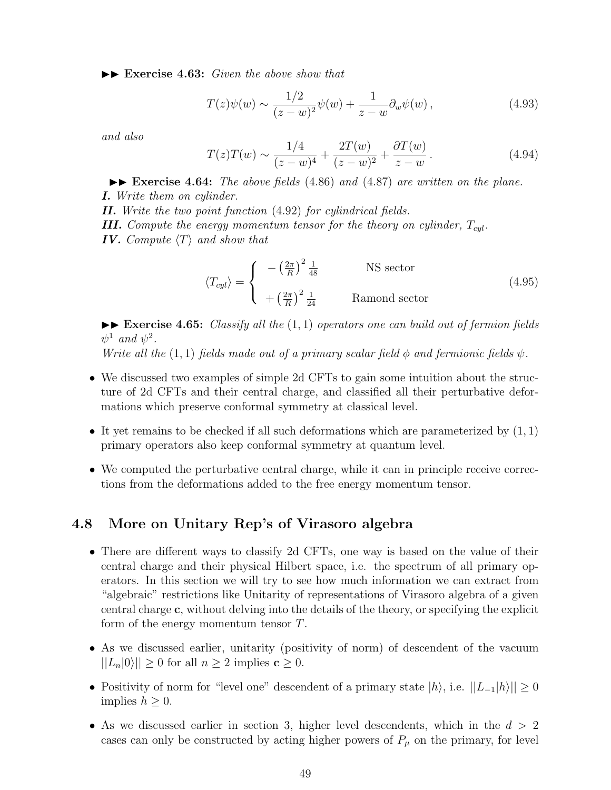II **Exercise 4.63:** *Given the above show that*

$$
T(z)\psi(w) \sim \frac{1/2}{(z-w)^2}\psi(w) + \frac{1}{z-w}\partial_w\psi(w) ,
$$
 (4.93)

*and also*

$$
T(z)T(w) \sim \frac{1/4}{(z-w)^4} + \frac{2T(w)}{(z-w)^2} + \frac{\partial T(w)}{z-w}.
$$
 (4.94)

 $\blacktriangleright$  **Exercise 4.64:** *The above fields* (4.86) *and* (4.87) *are written on the plane. I. Write them on cylinder.*

*II. Write the two point function* (4.92) *for cylindrical fields. III.* Compute the energy momentum tensor for the theory on cylinder,  $T_{cal}$ . *IV. Compute ⟨T⟩ and show that*

$$
\langle T_{cyl} \rangle = \begin{cases}\n- \left(\frac{2\pi}{R}\right)^2 \frac{1}{48} & \text{NS sector} \\
+ \left(\frac{2\pi}{R}\right)^2 \frac{1}{24} & \text{Ramond sector}\n\end{cases}
$$
\n(4.95)

II **Exercise 4.65:** *Classify all the* (1*,* 1) *operators one can build out of fermion fields*  $\psi^1$  *and*  $\psi^2$ *.* 

*Write all the* (1, 1) *fields made out of a primary scalar field*  $\phi$  *and fermionic fields*  $\psi$ *.* 

- We discussed two examples of simple 2d CFTs to gain some intuition about the structure of 2d CFTs and their central charge, and classified all their perturbative deformations which preserve conformal symmetry at classical level.
- It yet remains to be checked if all such deformations which are parameterized by (1*,* 1) primary operators also keep conformal symmetry at quantum level.
- We computed the perturbative central charge, while it can in principle receive corrections from the deformations added to the free energy momentum tensor.

## **4.8 More on Unitary Rep's of Virasoro algebra**

- There are different ways to classify 2d CFTs, one way is based on the value of their central charge and their physical Hilbert space, i.e. the spectrum of all primary operators. In this section we will try to see how much information we can extract from "algebraic" restrictions like Unitarity of representations of Virasoro algebra of a given central charge **c**, without delving into the details of the theory, or specifying the explicit form of the energy momentum tensor *T*.
- As we discussed earlier, unitarity (positivity of norm) of descendent of the vacuum  $||L_n|0\rangle|| \geq 0$  for all  $n \geq 2$  implies  $c \geq 0$ .
- Positivity of norm for "level one" descendent of a primary state  $|h\rangle$ , i.e.  $||L_{-1}|h\rangle|| \geq 0$ implies  $h \geq 0$ .
- As we discussed earlier in section 3, higher level descendents, which in the *d >* 2 cases can only be constructed by acting higher powers of  $P_\mu$  on the primary, for level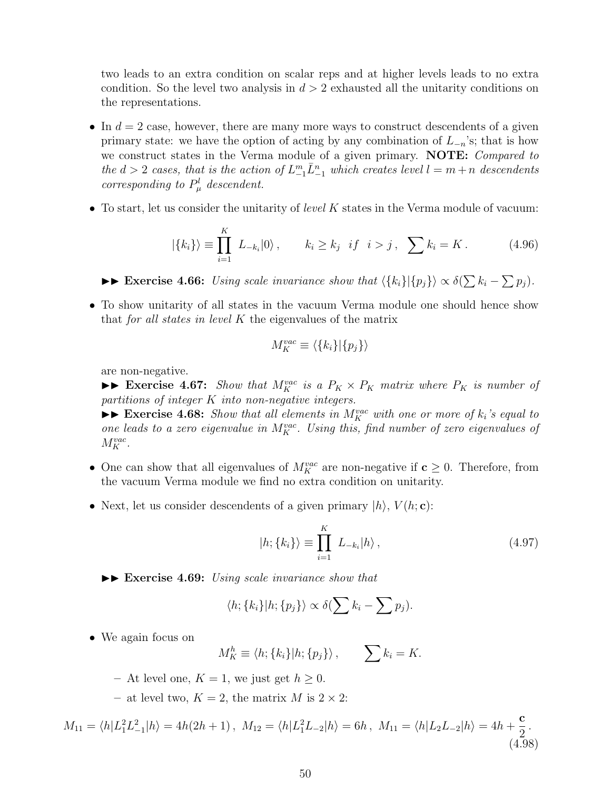two leads to an extra condition on scalar reps and at higher levels leads to no extra condition. So the level two analysis in *d >* 2 exhausted all the unitarity conditions on the representations.

- In  $d = 2$  case, however, there are many more ways to construct descendents of a given primary state: we have the option of acting by any combination of  $L_{-n}$ 's; that is how we construct states in the Verma module of a given primary. **NOTE:** *Compared to*  $the d > 2$  *cases, that is the action of*  $L_{-1}^m \overline{L}_{-1}^n$  *which creates level*  $l = m + n$  *descendents corresponding to*  $P^l_\mu$  *descendent.*
- To start, let us consider the unitarity of *level K* states in the Verma module of vacuum:

$$
|\{k_i\}\rangle \equiv \prod_{i=1}^K L_{-k_i}|0\rangle, \qquad k_i \ge k_j \ \ if \ \ i > j \ , \ \sum k_i = K \ . \tag{4.96}
$$

►► Exercise 4.66: *Using scale invariance show that*  $\langle \{k_i\} | \{p_j\} \rangle \propto \delta(\sum k_i - \sum p_j)$ *.* 

• To show unitarity of all states in the vacuum Verma module one should hence show that *for all states in level K* the eigenvalues of the matrix

$$
M_K^{vac} \equiv \langle \{k_i\}|\{p_j\}\rangle
$$

are non-negative.

 $\blacktriangleright$  **Exercise 4.67:** *Show that*  $M_K^{vac}$  *is a*  $P_K \times P_K$  *matrix where*  $P_K$  *is number of partitions of integer K into non-negative integers.*

 $\blacktriangleright$  **Exercise 4.68:** *Show that all elements in*  $M_K^{vac}$  *with one or more of*  $k_i$ 's equal to *one leads to a zero eigenvalue in*  $M_K^{vac}$ . Using this, find number of zero eigenvalues of  $M_K^{vac}$ .

- One can show that all eigenvalues of  $M_K^{vac}$  are non-negative if  $c \geq 0$ . Therefore, from the vacuum Verma module we find no extra condition on unitarity.
- Next, let us consider descendents of a given primary  $|h\rangle$ ,  $V(h; \mathbf{c})$ :

$$
|h; \{k_i\}\rangle \equiv \prod_{i=1}^{K} L_{-k_i} |h\rangle , \qquad (4.97)
$$

 $\blacktriangleright$  **Exercise 4.69:** *Using scale invariance show that* 

$$
\langle h; \{k_i\} | h; \{p_j\} \rangle \propto \delta(\sum k_i - \sum p_j).
$$

• We again focus on

$$
M_K^h \equiv \langle h; \{k_i\} | h; \{p_j\} \rangle, \qquad \sum k_i = K.
$$

- $-$  At level one,  $K = 1$ , we just get  $h \geq 0$ .
- $-$  at level two,  $K = 2$ , the matrix *M* is  $2 \times 2$ :

$$
M_{11} = \langle h | L_1^2 L_{-1}^2 | h \rangle = 4h(2h+1), \ M_{12} = \langle h | L_1^2 L_{-2} | h \rangle = 6h, \ M_{11} = \langle h | L_2 L_{-2} | h \rangle = 4h + \frac{c}{2}.
$$
\n(4.98)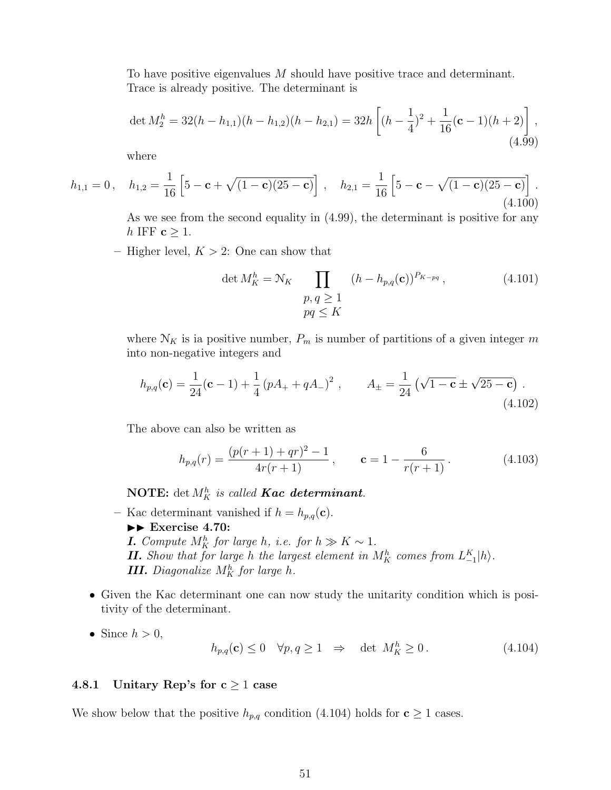To have positive eigenvalues *M* should have positive trace and determinant. Trace is already positive. The determinant is

$$
\det M_2^h = 32(h - h_{1,1})(h - h_{1,2})(h - h_{2,1}) = 32h \left[ (h - \frac{1}{4})^2 + \frac{1}{16} (\mathbf{c} - 1)(h + 2) \right],
$$
\n(4.99)

where

$$
h_{1,1} = 0, \quad h_{1,2} = \frac{1}{16} \left[ 5 - \mathbf{c} + \sqrt{(1 - \mathbf{c})(25 - \mathbf{c})} \right], \quad h_{2,1} = \frac{1}{16} \left[ 5 - \mathbf{c} - \sqrt{(1 - \mathbf{c})(25 - \mathbf{c})} \right].
$$
\n(4.100)

As we see from the second equality in (4.99), the determinant is positive for any *h* IFF **c**  $≥$  1.

**–** Higher level, *K >* 2: One can show that

$$
\det M_K^h = \mathcal{N}_K \prod_{\substack{p, q \ge 1 \\ pq \le K}} (h - h_{p,q}(\mathbf{c}))^{P_{K-pq}}, \tag{4.101}
$$

where  $\mathcal{N}_K$  is ia positive number,  $P_m$  is number of partitions of a given integer m into non-negative integers and

$$
h_{p,q}(\mathbf{c}) = \frac{1}{24}(\mathbf{c} - 1) + \frac{1}{4}(pA_+ + qA_-)^2, \qquad A_{\pm} = \frac{1}{24}(\sqrt{1 - \mathbf{c}} \pm \sqrt{25 - \mathbf{c}}).
$$
\n(4.102)

The above can also be written as

$$
h_{p,q}(r) = \frac{(p(r+1) + qr)^2 - 1}{4r(r+1)}, \qquad \mathbf{c} = 1 - \frac{6}{r(r+1)}.
$$
 (4.103)

**NOTE:** det  $M_K^h$  *is called Kac determinant.* 

- Kac determinant vanished if  $h = h_{p,q}(\mathbf{c})$ .  $\blacktriangleright\blacktriangleright$  Exercise 4.70: *I. Compute*  $M_K^h$  *for large h*, *i.e. for*  $h \gg K \sim 1$ *. <i>II.**Show that for large <i>h* the largest element in  $M_K^h$  *comes from*  $L_{-1}^K|h\rangle$ *. III. Diagonalize*  $M_K^h$  *for large h*.
- Given the Kac determinant one can now study the unitarity condition which is positivity of the determinant.
- Since  $h > 0$ ,

$$
h_{p,q}(\mathbf{c}) \le 0 \quad \forall p, q \ge 1 \quad \Rightarrow \quad \det \ M_K^h \ge 0. \tag{4.104}
$$

## **4.8.1 Unitary Rep's for c** *≥* 1 **case**

We show below that the positive  $h_{p,q}$  condition (4.104) holds for  $\mathbf{c} \geq 1$  cases.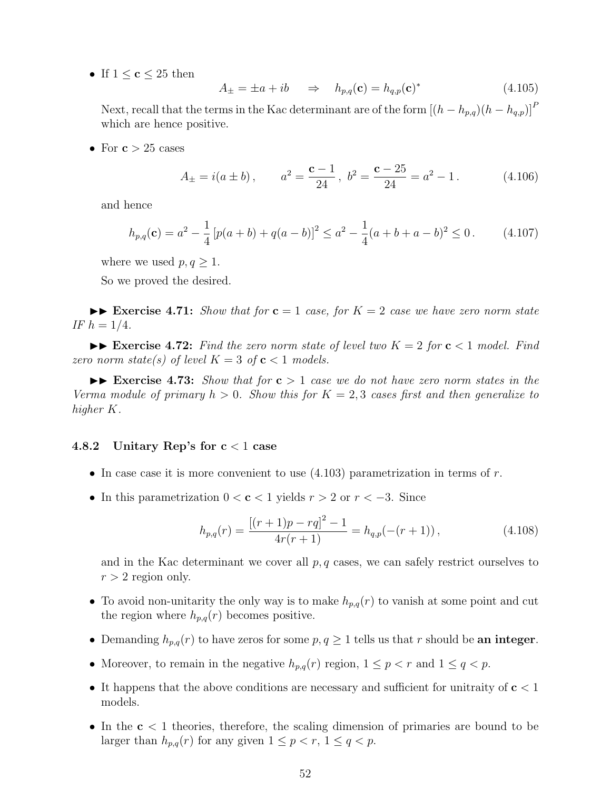• If  $1 \leq c \leq 25$  then

$$
A_{\pm} = \pm a + ib \qquad \Rightarrow \qquad h_{p,q}(\mathbf{c}) = h_{q,p}(\mathbf{c})^* \tag{4.105}
$$

Next, recall that the terms in the Kac determinant are of the form  $[(h - h_{p,q})(h - h_{q,p})]^P$ which are hence positive.

• For  $c > 25$  cases

$$
A_{\pm} = i(a \pm b),
$$
  $a^2 = \frac{\mathbf{c} - 1}{24}, b^2 = \frac{\mathbf{c} - 25}{24} = a^2 - 1.$  (4.106)

and hence

$$
h_{p,q}(\mathbf{c}) = a^2 - \frac{1}{4} \left[ p(a+b) + q(a-b) \right]^2 \le a^2 - \frac{1}{4} (a+b+a-b)^2 \le 0 \,. \tag{4.107}
$$

where we used  $p, q \geq 1$ .

So we proved the desired.

 $\blacktriangleright\blacktriangleright$  **Exercise 4.71:** *Show that for*  $\mathbf{c} = 1$  *case, for*  $K = 2$  *case we have zero norm state IF*  $h = 1/4$ *.* 

 $\blacktriangleright\blacktriangleright$  **Exercise 4.72:** Find the zero norm state of level two  $K = 2$  for  $c < 1$  model. Find *zero norm state(s) of level*  $K = 3$  *of*  $c < 1$  *models.* 

 $\blacktriangleright$  **Exercise 4.73:** *Show that for*  $c > 1$  *case we do not have zero norm states in the Verma module of primary*  $h > 0$ *. Show this for*  $K = 2, 3$  *cases first and then generalize to higher K.*

#### **4.8.2 Unitary Rep's for c** *<* 1 **case**

- In case case it is more convenient to use (4.103) parametrization in terms of *r*.
- In this parametrization 0 *<* **c** *<* 1 yields *r >* 2 or *r < −*3. Since

$$
h_{p,q}(r) = \frac{[(r+1)p - rq]^2 - 1}{4r(r+1)} = h_{q,p}(-(r+1)),
$$
\n(4.108)

and in the Kac determinant we cover all *p, q* cases, we can safely restrict ourselves to  $r > 2$  region only.

- To avoid non-unitarity the only way is to make  $h_{p,q}(r)$  to vanish at some point and cut the region where  $h_{p,q}(r)$  becomes positive.
- Demanding  $h_{p,q}(r)$  to have zeros for some  $p, q \geq 1$  tells us that *r* should be **an integer**.
- Moreover, to remain in the negative  $h_{p,q}(r)$  region,  $1 \leq p < r$  and  $1 \leq q < p$ .
- It happens that the above conditions are necessary and sufficient for unitraity of **c** *<* 1 models.
- In the **c** *<* 1 theories, therefore, the scaling dimension of primaries are bound to be larger than  $h_{p,q}(r)$  for any given  $1 \leq p < r$ ,  $1 \leq q < p$ .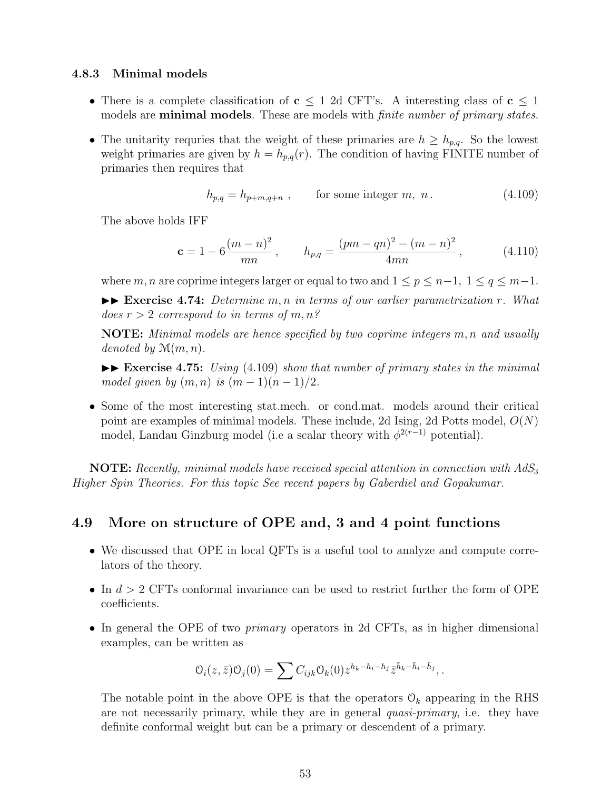#### **4.8.3 Minimal models**

- There is a complete classification of **c** *≤* 1 2d CFT's. A interesting class of **c** *≤* 1 models are **minimal models**. These are models with *finite number of primary states.*
- The unitarity requries that the weight of these primaries are  $h \geq h_{p,q}$ . So the lowest weight primaries are given by  $h = h_{p,q}(r)$ . The condition of having FINITE number of primaries then requires that

$$
h_{p,q} = h_{p+m,q+n} \,, \qquad \text{for some integer } m, n \,. \tag{4.109}
$$

The above holds IFF

$$
\mathbf{c} = 1 - 6 \frac{(m-n)^2}{mn}, \qquad h_{p,q} = \frac{(pm-qn)^2 - (m-n)^2}{4mn}, \qquad (4.110)
$$

where *m*, *n* are coprime integers larger or equal to two and  $1 \leq p \leq n-1$ ,  $1 \leq q \leq m-1$ . II **Exercise 4.74:** *Determine m, n in terms of our earlier parametrization r. What does r >* 2 *correspond to in terms of m, n?*

**NOTE:** *Minimal models are hence specified by two coprime integers m, n and usually denoted by* M(*m, n*)*.*

II **Exercise 4.75:** *Using* (4.109) *show that number of primary states in the minimal model given by*  $(m, n)$  *is*  $(m - 1)(n - 1)/2$ .

• Some of the most interesting stat.mech. or cond.mat. models around their critical point are examples of minimal models. These include, 2d Ising, 2d Potts model, *O*(*N*) model, Landau Ginzburg model (i.e a scalar theory with  $\phi^{2(r-1)}$  potential).

**NOTE:** *Recently, minimal models have received special attention in connection with AdS*<sup>3</sup> *Higher Spin Theories. For this topic See recent papers by Gaberdiel and Gopakumar.*

## **4.9 More on structure of OPE and, 3 and 4 point functions**

- We discussed that OPE in local QFTs is a useful tool to analyze and compute correlators of the theory.
- In *d >* 2 CFTs conformal invariance can be used to restrict further the form of OPE coefficients.
- In general the OPE of two *primary* operators in 2d CFTs, as in higher dimensional examples, can be written as

$$
\mathcal{O}_i(z,\bar{z})\mathcal{O}_j(0) = \sum C_{ijk}\mathcal{O}_k(0)z^{h_k-h_i-h_j}\bar{z}^{\bar{h}_k-\bar{h}_i-\bar{h}_j},.
$$

The notable point in the above OPE is that the operators  $\mathcal{O}_k$  appearing in the RHS are not necessarily primary, while they are in general *quasi-primary*, i.e. they have definite conformal weight but can be a primary or descendent of a primary.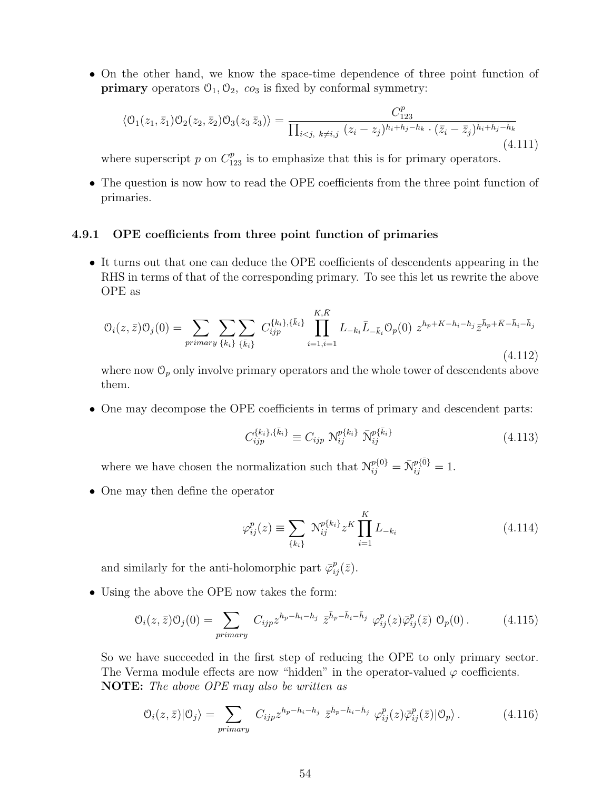• On the other hand, we know the space-time dependence of three point function of **primary** operators  $\mathcal{O}_1, \mathcal{O}_2, \text{ } c\text{O}_3$  is fixed by conformal symmetry:

$$
\langle \mathcal{O}_1(z_1, \bar{z}_1) \mathcal{O}_2(z_2, \bar{z}_2) \mathcal{O}_3(z_3 \bar{z}_3) \rangle = \frac{C_{123}^p}{\prod_{i < j, k \neq i, j} (z_i - z_j)^{h_i + h_j - h_k} \cdot (\bar{z}_i - \bar{z}_j)^{\bar{h}_i + \bar{h}_j - \bar{h}_k}} \tag{4.111}
$$

where superscript  $p$  on  $C_{123}^p$  is to emphasize that this is for primary operators.

• The question is now how to read the OPE coefficients from the three point function of primaries.

#### **4.9.1 OPE coefficients from three point function of primaries**

• It turns out that one can deduce the OPE coefficients of descendents appearing in the RHS in terms of that of the corresponding primary. To see this let us rewrite the above OPE as

$$
O_i(z,\bar{z})O_j(0) = \sum_{\text{primary }\{k_i\}} \sum_{\{\bar{k}_i\}} C_{ijp}^{\{k_i\},\{\bar{k}_i\}} \prod_{i=1,\bar{i}=1}^{K,\bar{K}} L_{-k_i} \bar{L}_{-\bar{k}_i} O_p(0) z^{h_p + K - h_i - h_j} \bar{z}^{\bar{h}_p + \bar{K} - \bar{h}_i - \bar{h}_j}
$$
\n(4.112)

where now  $\mathcal{O}_p$  only involve primary operators and the whole tower of descendents above them.

• One may decompose the OPE coefficients in terms of primary and descendent parts:

$$
C_{ijp}^{\{k_i\},\{\bar{k}_i\}} \equiv C_{ijp} \; \mathcal{N}_{ij}^{p\{k_i\}} \; \bar{\mathcal{N}}_{ij}^{p\{\bar{k}_i\}} \tag{4.113}
$$

where we have chosen the normalization such that  $\mathcal{N}_{ij}^{p\{0\}} = \bar{\mathcal{N}}_{ij}^{p\{\bar{0}\}} = 1$ .

• One may then define the operator

$$
\varphi_{ij}^p(z) \equiv \sum_{\{k_i\}} \, \mathcal{N}_{ij}^{p\{k_i\}} z^K \prod_{i=1}^K L_{-k_i} \tag{4.114}
$$

and similarly for the anti-holomorphic part  $\bar{\varphi}_{ij}^p(\bar{z})$ .

• Using the above the OPE now takes the form:

$$
\mathcal{O}_i(z,\bar{z})\mathcal{O}_j(0) = \sum_{primary} C_{ijp} z^{h_p - h_i - h_j} \bar{z}^{\bar{h}_p - \bar{h}_i - \bar{h}_j} \varphi_{ij}^p(z) \bar{\varphi}_{ij}^p(\bar{z}) \mathcal{O}_p(0).
$$
 (4.115)

So we have succeeded in the first step of reducing the OPE to only primary sector. The Verma module effects are now "hidden" in the operator-valued  $\varphi$  coefficients. **NOTE:** *The above OPE may also be written as*

$$
\mathcal{O}_i(z,\bar{z})|\mathcal{O}_j\rangle = \sum_{primary} C_{ijp} z^{h_p - h_i - h_j} \bar{z}^{\bar{h}_p - \bar{h}_i - \bar{h}_j} \varphi_{ij}^p(z)\bar{\varphi}_{ij}^p(\bar{z})|\mathcal{O}_p\rangle. \tag{4.116}
$$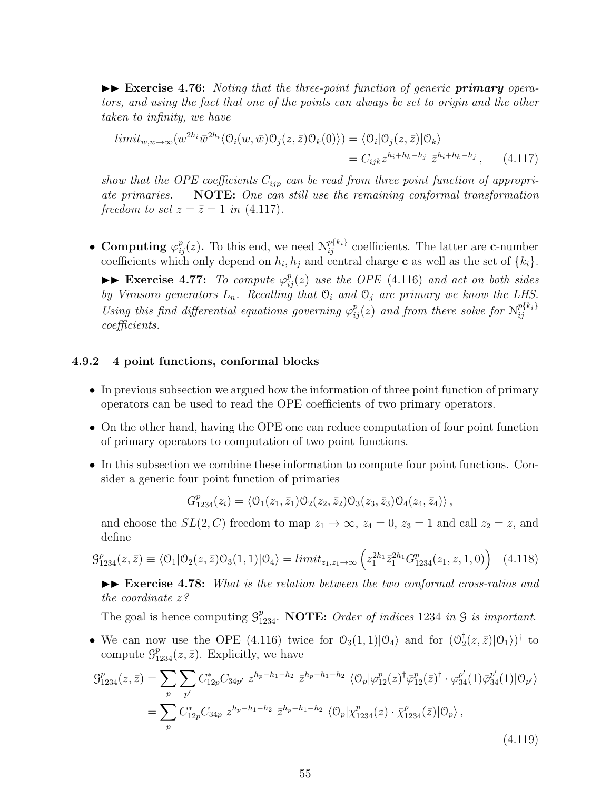$\blacktriangleright\blacktriangleright$  **Exercise 4.76:** *Noting that the three-point function of generic primary operators, and using the fact that one of the points can always be set to origin and the other taken to infinity, we have*

$$
limit_{w,\bar{w}\to\infty}(w^{2h_i}\bar{w}^{2\bar{h}_i}\langle\mathcal{O}_i(w,\bar{w})\mathcal{O}_j(z,\bar{z})\mathcal{O}_k(0)\rangle) = \langle\mathcal{O}_i|\mathcal{O}_j(z,\bar{z})|\mathcal{O}_k\rangle
$$
  
=  $C_{ijk}z^{h_i+h_k-h_j}\bar{z}^{\bar{h}_i+\bar{h}_k-\bar{h}_j}$ , (4.117)

*show that the OPE coefficients Cijp can be read from three point function of appropriate primaries.* **NOTE:** *One can still use the remaining conformal transformation freedom to set*  $z = \bar{z} = 1$  *in* (4.117)*.* 

• **Computing**  $\varphi_{ij}^p(z)$ . To this end, we need  $\mathcal{N}_{ij}^{p\{k_i\}}$  coefficients. The latter are **c**-number coefficients which only depend on  $h_i, h_j$  and central charge **c** as well as the set of  $\{k_i\}$ .

 $\blacktriangleright$  **Exercise 4.77:** To compute  $\varphi_{ij}^p(z)$  use the OPE (4.116) and act on both sides *by Virasoro generators*  $L_n$ *. Recalling that*  $O_i$  *and*  $O_j$  *are primary we know the LHS. Using this find differential equations governing*  $\varphi_{ij}^p(z)$  *and from there solve for*  $\mathcal{N}_{ij}^{p\{k_i\}}$ *ij coefficients.*

## **4.9.2 4 point functions, conformal blocks**

- In previous subsection we argued how the information of three point function of primary operators can be used to read the OPE coefficients of two primary operators.
- On the other hand, having the OPE one can reduce computation of four point function of primary operators to computation of two point functions.
- In this subsection we combine these information to compute four point functions. Consider a generic four point function of primaries

$$
G_{1234}^p(z_i) = \langle \mathcal{O}_1(z_1, \bar{z}_1) \mathcal{O}_2(z_2, \bar{z}_2) \mathcal{O}_3(z_3, \bar{z}_3) \mathcal{O}_4(z_4, \bar{z}_4) \rangle ,
$$

and choose the  $SL(2, C)$  freedom to map  $z_1 \rightarrow \infty$ ,  $z_4 = 0$ ,  $z_3 = 1$  and call  $z_2 = z$ , and define

$$
\mathcal{G}_{1234}^{p}(z,\bar{z}) \equiv \langle \mathcal{O}_{1} | \mathcal{O}_{2}(z,\bar{z}) \mathcal{O}_{3}(1,1) | \mathcal{O}_{4} \rangle = limit_{z_{1},\bar{z}_{1} \to \infty} \left( z_{1}^{2h_{1}} \bar{z}_{1}^{2\bar{h}_{1}} G_{1234}^{p}(z_{1},z,1,0) \right) \tag{4.118}
$$

 $\blacktriangleright\blacktriangleright$  **Exercise 4.78:** *What is the relation between the two conformal cross-ratios and the coordinate z?*

The goal is hence computing  $\mathcal{G}_{1234}^p$ . **NOTE:** *Order of indices* 1234 *in*  $\mathcal{G}$  *is important.* 

• We can now use the OPE (4.116) twice for  $\mathcal{O}_3(1,1)|\mathcal{O}_4\rangle$  and for  $(\mathcal{O}_2^{\dagger})$  $\frac{1}{2}(z,\bar{z})|\mathcal{O}_1\rangle)^\dagger$  to compute  $\mathcal{G}_{1234}^p(z,\bar{z})$ . Explicitly, we have

$$
\mathcal{G}_{1234}^{p}(z,\bar{z}) = \sum_{p} \sum_{p'} C_{12p}^{*} C_{34p'} z^{h_{p}-h_{1}-h_{2}} \bar{z}^{\bar{h}_{p}-\bar{h}_{1}-\bar{h}_{2}} \langle \mathcal{O}_{p} | \varphi_{12}^{p}(z)^{\dagger} \bar{\varphi}_{12}^{p}(z)^{\dagger} \cdot \varphi_{34}^{p'}(1) \bar{\varphi}_{34}^{p'}(1) | \mathcal{O}_{p'} \rangle
$$
  
= 
$$
\sum_{p} C_{12p}^{*} C_{34p} z^{h_{p}-h_{1}-h_{2}} \bar{z}^{\bar{h}_{p}-\bar{h}_{1}-\bar{h}_{2}} \langle \mathcal{O}_{p} | \chi_{1234}^{p}(z) \cdot \bar{\chi}_{1234}^{p}(z) | \mathcal{O}_{p} \rangle ,
$$
(4.119)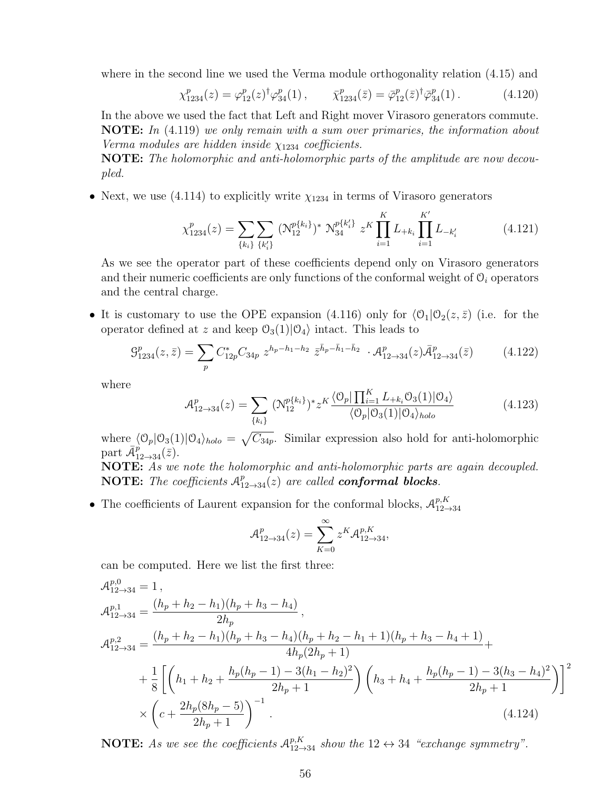where in the second line we used the Verma module orthogonality relation (4.15) and

$$
\chi_{1234}^p(z) = \varphi_{12}^p(z)^\dagger \varphi_{34}^p(1) \,, \qquad \bar{\chi}_{1234}^p(\bar{z}) = \bar{\varphi}_{12}^p(\bar{z})^\dagger \bar{\varphi}_{34}^p(1) \,. \tag{4.120}
$$

In the above we used the fact that Left and Right mover Virasoro generators commute. **NOTE:** *In* (4.119) *we only remain with a sum over primaries, the information about Verma modules are hidden inside χ*<sup>1234</sup> *coefficients.*

**NOTE:** *The holomorphic and anti-holomorphic parts of the amplitude are now decoupled.*

• Next, we use  $(4.114)$  to explicitly write  $\chi_{1234}$  in terms of Virasoro generators

$$
\chi_{1234}^p(z) = \sum_{\{k_i\}} \sum_{\{k'_i\}} (\mathcal{N}_{12}^{p\{k_i\}})^* \mathcal{N}_{34}^{p\{k'_i\}} z^K \prod_{i=1}^K L_{+k_i} \prod_{i=1}^{K'} L_{-k'_i}
$$
(4.121)

As we see the operator part of these coefficients depend only on Virasoro generators and their numeric coefficients are only functions of the conformal weight of  $\mathcal{O}_i$  operators and the central charge.

• It is customary to use the OPE expansion (4.116) only for  $\langle \mathcal{O}_1 | \mathcal{O}_2(z, \bar{z}) \rangle$  (i.e. for the operator defined at *z* and keep  $\mathcal{O}_3(1)|\mathcal{O}_4\rangle$  intact. This leads to

$$
\mathcal{G}_{1234}^p(z,\bar{z}) = \sum_p C_{12p}^* C_{34p} z^{h_p - h_1 - h_2} \bar{z}^{\bar{h}_p - \bar{h}_1 - \bar{h}_2} \cdot \mathcal{A}_{12 \to 34}^p(z) \bar{\mathcal{A}}_{12 \to 34}^p(\bar{z}) \tag{4.122}
$$

where

$$
\mathcal{A}_{12 \to 34}^p(z) = \sum_{\{k_i\}} (\mathcal{N}_{12}^{p\{k_i\}})^* z^K \frac{\langle \mathcal{O}_p | \prod_{i=1}^K L_{+k_i} \mathcal{O}_3(1) | \mathcal{O}_4 \rangle}{\langle \mathcal{O}_p | \mathcal{O}_3(1) | \mathcal{O}_4 \rangle_{holo}} \tag{4.123}
$$

where  $\langle 0_p | 0_3(1) | 0_4 \rangle_{holo} = \sqrt{C_{34p}}$ . Similar expression also hold for anti-holomorphic part  $\bar{\mathcal{A}}_{12\rightarrow 34}^{p}(\bar{z})$ .

**NOTE:** *As we note the holomorphic and anti-holomorphic parts are again decoupled.* **NOTE:** The coefficients  $A_{12\rightarrow 34}^p(z)$  are called **conformal blocks**.

• The coefficients of Laurent expansion for the conformal blocks,  $\mathcal{A}_{12-}^{p,K}$ 12*→*34

$$
\mathcal{A}_{12\to 34}^p(z) = \sum_{K=0}^{\infty} z^K \mathcal{A}_{12\to 34}^{p,K},
$$

can be computed. Here we list the first three:

$$
\mathcal{A}_{12\to 34}^{p,0} = 1 ,
$$
\n
$$
\mathcal{A}_{12\to 34}^{p,1} = \frac{(h_p + h_2 - h_1)(h_p + h_3 - h_4)}{2h_p} ,
$$
\n
$$
\mathcal{A}_{12\to 34}^{p,2} = \frac{(h_p + h_2 - h_1)(h_p + h_3 - h_4)(h_p + h_2 - h_1 + 1)(h_p + h_3 - h_4 + 1)}{4h_p(2h_p + 1)} +
$$
\n
$$
+ \frac{1}{8} \left[ \left( h_1 + h_2 + \frac{h_p(h_p - 1) - 3(h_1 - h_2)^2}{2h_p + 1} \right) \left( h_3 + h_4 + \frac{h_p(h_p - 1) - 3(h_3 - h_4)^2}{2h_p + 1} \right) \right]^2
$$
\n
$$
\times \left( c + \frac{2h_p(8h_p - 5)}{2h_p + 1} \right)^{-1} .
$$
\n(4.124)

**NOTE:** As we see the coefficients  $A_{12\rightarrow 34}^{p,K}$  show the  $12 \leftrightarrow 34$  "exchange symmetry".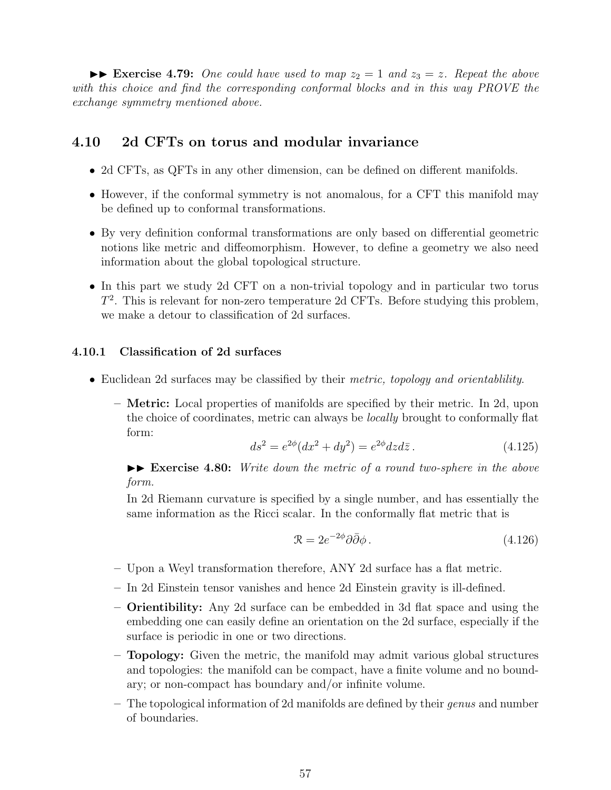$\triangleright$  **Exercise 4.79:** One could have used to map  $z_2 = 1$  and  $z_3 = z$ . Repeat the above *with this choice and find the corresponding conformal blocks and in this way PROVE the exchange symmetry mentioned above.*

## **4.10 2d CFTs on torus and modular invariance**

- 2d CFTs, as QFTs in any other dimension, can be defined on different manifolds.
- However, if the conformal symmetry is not anomalous, for a CFT this manifold may be defined up to conformal transformations.
- By very definition conformal transformations are only based on differential geometric notions like metric and diffeomorphism. However, to define a geometry we also need information about the global topological structure.
- In this part we study 2d CFT on a non-trivial topology and in particular two torus *T* 2 . This is relevant for non-zero temperature 2d CFTs. Before studying this problem, we make a detour to classification of 2d surfaces.

#### **4.10.1 Classification of 2d surfaces**

- Euclidean 2d surfaces may be classified by their *metric, topology and orientablility*.
	- **– Metric:** Local properties of manifolds are specified by their metric. In 2d, upon the choice of coordinates, metric can always be *locally* brought to conformally flat form:

$$
ds^{2} = e^{2\phi}(dx^{2} + dy^{2}) = e^{2\phi}dzd\bar{z}.
$$
 (4.125)

 $\blacktriangleright\blacktriangleright$  **Exercise 4.80:** *Write down the metric of a round two-sphere in the above form.*

In 2d Riemann curvature is specified by a single number, and has essentially the same information as the Ricci scalar. In the conformally flat metric that is

$$
\mathcal{R} = 2e^{-2\phi}\partial\bar{\partial}\phi. \tag{4.126}
$$

- **–** Upon a Weyl transformation therefore, ANY 2d surface has a flat metric.
- **–** In 2d Einstein tensor vanishes and hence 2d Einstein gravity is ill-defined.
- **– Orientibility:** Any 2d surface can be embedded in 3d flat space and using the embedding one can easily define an orientation on the 2d surface, especially if the surface is periodic in one or two directions.
- **– Topology:** Given the metric, the manifold may admit various global structures and topologies: the manifold can be compact, have a finite volume and no boundary; or non-compact has boundary and/or infinite volume.
- **–** The topological information of 2d manifolds are defined by their *genus* and number of boundaries.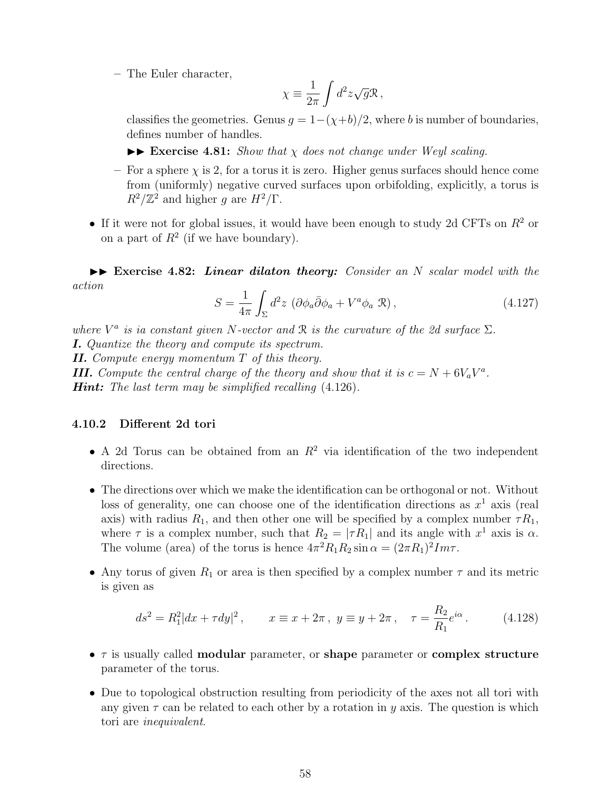**–** The Euler character,

$$
\chi \equiv \frac{1}{2\pi} \int d^2 z \sqrt{g} \mathcal{R} \,,
$$

classifies the geometries. Genus  $g = 1-(\chi+b)/2$ , where *b* is number of boundaries, defines number of handles.

 $\triangleright$  **Exercise 4.81:** *Show that*  $\chi$  *does not change under Weyl scaling.* 

- For a sphere  $\chi$  is 2, for a torus it is zero. Higher genus surfaces should hence come from (uniformly) negative curved surfaces upon orbifolding, explicitly, a torus is  $R^2/\mathbb{Z}^2$  and higher *g* are  $H^2/\Gamma$ .
- If it were not for global issues, it would have been enough to study 2d CFTs on *R*<sup>2</sup> or on a part of  $R^2$  (if we have boundary).

 $\blacktriangleright$  **Exercise 4.82:** *Linear dilaton theory: Consider an N scalar model with the action*

$$
S = \frac{1}{4\pi} \int_{\Sigma} d^2 z \, \left( \partial \phi_a \bar{\partial} \phi_a + V^a \phi_a \, \mathcal{R} \right), \tag{4.127}
$$

*where*  $V^a$  *is ia constant given*  $N$ -vector and  $\mathcal R$  *is the curvature of the 2d surface*  $\Sigma$ *.* 

*I. Quantize the theory and compute its spectrum.*

*II. Compute energy momentum T of this theory.*

*III. Compute the central charge of the theory and show that it is*  $c = N + 6V_aV^a$ .

*Hint: The last term may be simplified recalling* (4.126)*.*

#### **4.10.2 Different 2d tori**

- A 2d Torus can be obtained from an  $R^2$  via identification of the two independent directions.
- The directions over which we make the identification can be orthogonal or not. Without loss of generality, one can choose one of the identification directions as  $x^1$  axis (real axis) with radius  $R_1$ , and then other one will be specified by a complex number  $\tau R_1$ , where  $\tau$  is a complex number, such that  $R_2 = |\tau R_1|$  and its angle with  $x^1$  axis is  $\alpha$ . The volume (area) of the torus is hence  $4\pi^2 R_1 R_2 \sin \alpha = (2\pi R_1)^2 Im\tau$ .
- Any torus of given  $R_1$  or area is then specified by a complex number  $\tau$  and its metric is given as

$$
ds^{2} = R_{1}^{2}|dx + \tau dy|^{2}, \qquad x \equiv x + 2\pi \,, \ y \equiv y + 2\pi \,, \quad \tau = \frac{R_{2}}{R_{1}}e^{i\alpha} \,. \tag{4.128}
$$

- *τ* is usually called **modular** parameter, or **shape** parameter or **complex structure** parameter of the torus.
- Due to topological obstruction resulting from periodicity of the axes not all tori with any given  $\tau$  can be related to each other by a rotation in *y* axis. The question is which tori are *inequivalent*.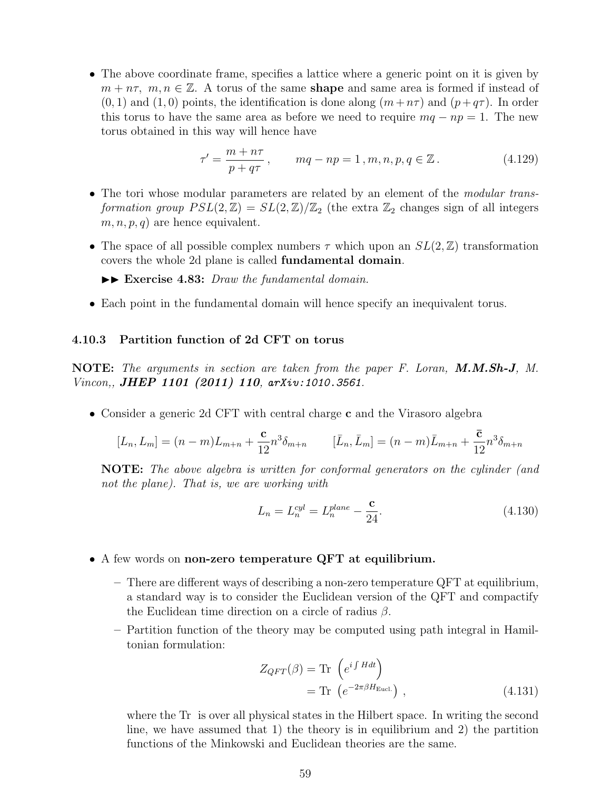• The above coordinate frame, specifies a lattice where a generic point on it is given by *m* + *n*<sup>τ</sup>, *m*, *n* ∈ ℤ. A torus of the same **shape** and same area is formed if instead of  $(0,1)$  and  $(1,0)$  points, the identification is done along  $(m+n\tau)$  and  $(p+q\tau)$ . In order this torus to have the same area as before we need to require  $mq - np = 1$ . The new torus obtained in this way will hence have

$$
\tau' = \frac{m + n\tau}{p + q\tau}, \qquad mq - np = 1, m, n, p, q \in \mathbb{Z}.
$$
 (4.129)

- The tori whose modular parameters are related by an element of the *modular transformation group*  $PSL(2, \mathbb{Z}) = SL(2, \mathbb{Z})/\mathbb{Z}_2$  (the extra  $\mathbb{Z}_2$  changes sign of all integers  $m, n, p, q$  are hence equivalent.
- The space of all possible complex numbers  $\tau$  which upon an  $SL(2,\mathbb{Z})$  transformation covers the whole 2d plane is called **fundamental domain**.

 $\blacktriangleright\blacktriangleright$  **Exercise 4.83:** *Draw the fundamental domain.* 

• Each point in the fundamental domain will hence specify an inequivalent torus.

## **4.10.3 Partition function of 2d CFT on torus**

**NOTE:** *The arguments in section are taken from the paper F. Loran, M.M.Sh-J, M. Vincon,, JHEP 1101 (2011) 110, arXiv:1010.3561.*

• Consider a generic 2d CFT with central charge **c** and the Virasoro algebra

$$
[L_n, L_m] = (n-m)L_{m+n} + \frac{c}{12}n^3 \delta_{m+n} \qquad [\bar{L}_n, \bar{L}_m] = (n-m)\bar{L}_{m+n} + \frac{\bar{c}}{12}n^3 \delta_{m+n}
$$

**NOTE:** *The above algebra is written for conformal generators on the cylinder (and not the plane). That is, we are working with*

$$
L_n = L_n^{cyl} = L_n^{plane} - \frac{c}{24}.
$$
\n(4.130)

- A few words on **non-zero temperature QFT at equilibrium.**
	- **–** There are different ways of describing a non-zero temperature QFT at equilibrium, a standard way is to consider the Euclidean version of the QFT and compactify the Euclidean time direction on a circle of radius *β*.
	- **–** Partition function of the theory may be computed using path integral in Hamiltonian formulation:

$$
Z_{QFT}(\beta) = \text{Tr} \left( e^{i \int H dt} \right)
$$
  
=  $\text{Tr} \left( e^{-2\pi \beta H_{\text{Eucl.}}} \right),$  (4.131)

where the Tr is over all physical states in the Hilbert space. In writing the second line, we have assumed that 1) the theory is in equilibrium and 2) the partition functions of the Minkowski and Euclidean theories are the same.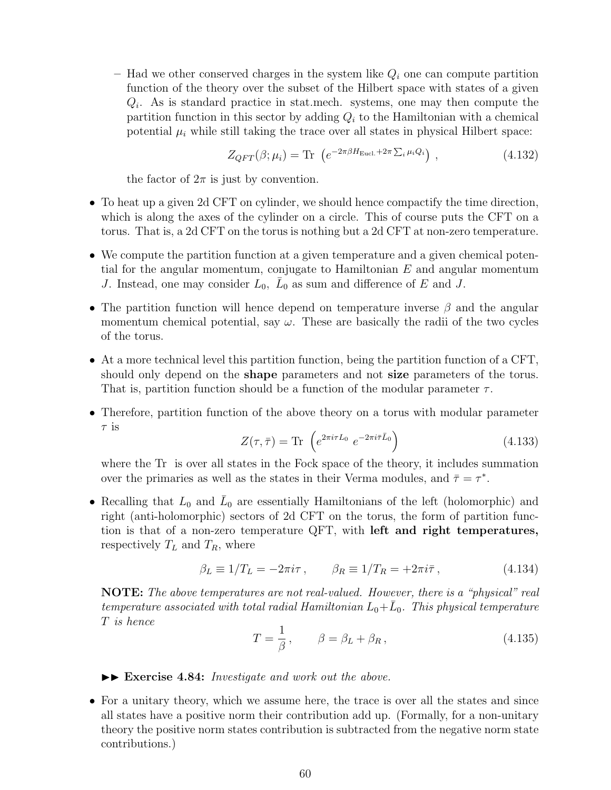**–** Had we other conserved charges in the system like *Q<sup>i</sup>* one can compute partition function of the theory over the subset of the Hilbert space with states of a given *Qi* . As is standard practice in stat.mech. systems, one may then compute the partition function in this sector by adding  $Q_i$  to the Hamiltonian with a chemical potential  $\mu_i$  while still taking the trace over all states in physical Hilbert space:

$$
Z_{QFT}(\beta; \mu_i) = \text{Tr} \left( e^{-2\pi\beta H_{\text{Eucl.}} + 2\pi \sum_i \mu_i Q_i} \right), \qquad (4.132)
$$

the factor of  $2\pi$  is just by convention.

- To heat up a given 2d CFT on cylinder, we should hence compactify the time direction, which is along the axes of the cylinder on a circle. This of course puts the CFT on a torus. That is, a 2d CFT on the torus is nothing but a 2d CFT at non-zero temperature.
- We compute the partition function at a given temperature and a given chemical potential for the angular momentum, conjugate to Hamiltonian *E* and angular momentum *J*. Instead, one may consider  $L_0$ ,  $\overline{L}_0$  as sum and difference of *E* and *J*.
- The partition function will hence depend on temperature inverse *β* and the angular momentum chemical potential, say  $\omega$ . These are basically the radii of the two cycles of the torus.
- At a more technical level this partition function, being the partition function of a CFT, should only depend on the **shape** parameters and not **size** parameters of the torus. That is, partition function should be a function of the modular parameter *τ* .
- Therefore, partition function of the above theory on a torus with modular parameter *τ* is

$$
Z(\tau,\bar{\tau}) = \text{Tr}\left(e^{2\pi i\tau L_0} e^{-2\pi i\bar{\tau}\bar{L}_0}\right)
$$
\n(4.133)

where the Tr is over all states in the Fock space of the theory, it includes summation over the primaries as well as the states in their Verma modules, and  $\bar{\tau} = \tau^*$ .

• Recalling that  $L_0$  and  $\bar{L}_0$  are essentially Hamiltonians of the left (holomorphic) and right (anti-holomorphic) sectors of 2d CFT on the torus, the form of partition function is that of a non-zero temperature QFT, with **left and right temperatures,** respectively  $T_L$  and  $T_R$ , where

$$
\beta_L \equiv 1/T_L = -2\pi i\tau \,, \qquad \beta_R \equiv 1/T_R = +2\pi i\bar{\tau} \,, \tag{4.134}
$$

**NOTE:** *The above temperatures are not real-valued. However, there is a "physical" real*  $t$ emperature associated with total radial Hamiltonian  $L_0 + \bar{L}_0$ . This physical temperature *T is hence*

$$
T = \frac{1}{\beta}, \qquad \beta = \beta_L + \beta_R, \qquad (4.135)
$$

 $\blacktriangleright\blacktriangleright$  **Exercise 4.84:** *Investigate and work out the above.* 

• For a unitary theory, which we assume here, the trace is over all the states and since all states have a positive norm their contribution add up. (Formally, for a non-unitary theory the positive norm states contribution is subtracted from the negative norm state contributions.)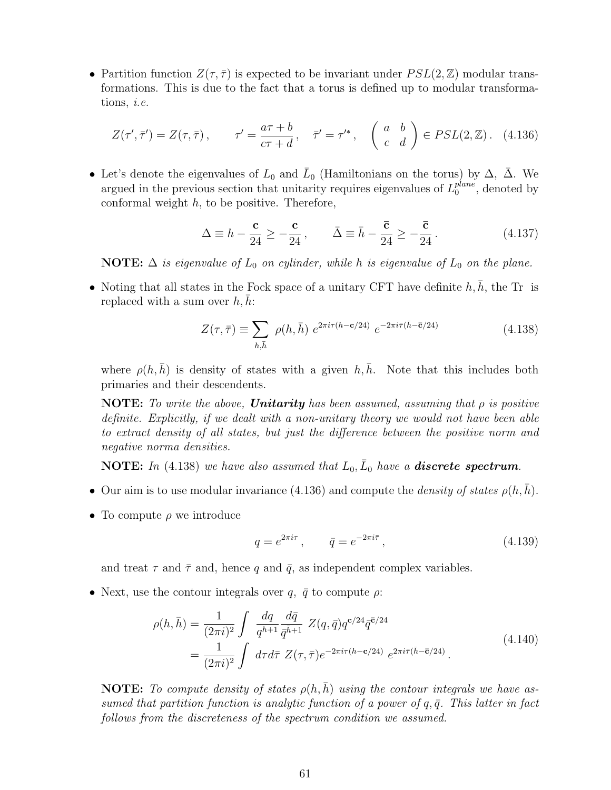• Partition function  $Z(\tau, \overline{\tau})$  is expected to be invariant under  $PSL(2, \mathbb{Z})$  modular transformations. This is due to the fact that a torus is defined up to modular transformations, *i.e.*

$$
Z(\tau', \bar{\tau}') = Z(\tau, \bar{\tau}), \qquad \tau' = \frac{a\tau + b}{c\tau + d}, \quad \bar{\tau}' = \tau'^*, \quad \begin{pmatrix} a & b \\ c & d \end{pmatrix} \in PSL(2, \mathbb{Z}). \tag{4.136}
$$

• Let's denote the eigenvalues of  $L_0$  and  $\bar{L}_0$  (Hamiltonians on the torus) by  $\Delta$ ,  $\bar{\Delta}$ . We argued in the previous section that unitarity requires eigenvalues of *L plane*  $_0^{plane}$ , denoted by conformal weight *h*, to be positive. Therefore,

$$
\Delta \equiv h - \frac{\mathbf{c}}{24} \ge -\frac{\mathbf{c}}{24}, \qquad \bar{\Delta} \equiv \bar{h} - \frac{\bar{\mathbf{c}}}{24} \ge -\frac{\bar{\mathbf{c}}}{24}.
$$
 (4.137)

**NOTE:**  $\Delta$  *is eigenvalue of*  $L_0$  *on cylinder, while h is eigenvalue of*  $L_0$  *on the plane.* 

• Noting that all states in the Fock space of a unitary CFT have definite  $h, h$ , the Tr is replaced with a sum over  $h, \bar{h}$ :

$$
Z(\tau,\bar{\tau}) \equiv \sum_{h,\bar{h}} \ \rho(h,\bar{h}) \ e^{2\pi i \tau (h-\mathbf{c}/24)} \ e^{-2\pi i \bar{\tau}(\bar{h}-\bar{\mathbf{c}}/24)} \tag{4.138}
$$

where  $\rho(h,\bar{h})$  is density of states with a given  $h,\bar{h}$ . Note that this includes both primaries and their descendents.

**NOTE:** *To write the above, Unitarity has been assumed, assuming that ρ is positive definite. Explicitly, if we dealt with a non-unitary theory we would not have been able to extract density of all states, but just the difference between the positive norm and negative norma densities.*

**NOTE:** In (4.138) we have also assumed that  $L_0$ ,  $\overline{L}_0$  have a **discrete spectrum**.

- Our aim is to use modular invariance (4.136) and compute the *density of states*  $\rho(h, \bar{h})$ .
- To compute *ρ* we introduce

$$
q = e^{2\pi i \tau}, \qquad \bar{q} = e^{-2\pi i \bar{\tau}}, \tag{4.139}
$$

and treat  $\tau$  and  $\bar{\tau}$  and, hence q and  $\bar{q}$ , as independent complex variables.

• Next, use the contour integrals over  $q$ ,  $\bar{q}$  to compute  $\rho$ :

$$
\rho(h,\bar{h}) = \frac{1}{(2\pi i)^2} \int \frac{dq}{q^{h+1}} \frac{d\bar{q}}{\bar{q}^{\bar{h}+1}} Z(q,\bar{q}) q^{c/24} \bar{q}^{\bar{c}/24}
$$
\n
$$
= \frac{1}{(2\pi i)^2} \int d\tau d\bar{\tau} Z(\tau,\bar{\tau}) e^{-2\pi i \tau (h-c/24)} e^{2\pi i \bar{\tau} (\bar{h}-\bar{c}/24)} .
$$
\n(4.140)

**NOTE:** To compute density of states  $\rho(h,\bar{h})$  using the contour integrals we have as*sumed that partition function is analytic function of a power of*  $q, \bar{q}$ *. This latter in fact follows from the discreteness of the spectrum condition we assumed.*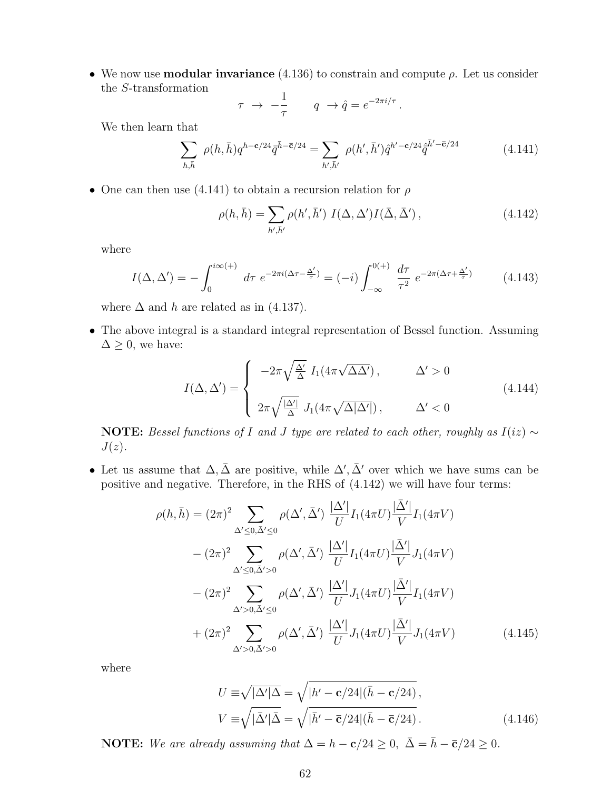• We now use **modular invariance** (4.136) to constrain and compute *ρ*. Let us consider the *S*-transformation

$$
\tau \ \to \ -\frac{1}{\tau} \qquad q \ \to \hat{q} = e^{-2\pi i/\tau} \, .
$$

We then learn that

$$
\sum_{h,\bar{h}} \rho(h,\bar{h}) q^{h-c/24} \bar{q}^{\bar{h}-\bar{c}/24} = \sum_{h',\bar{h}'} \rho(h',\bar{h}') \hat{q}^{h'-c/24} \hat{\bar{q}}^{\bar{h}'-\bar{c}/24}
$$
(4.141)

• One can then use (4.141) to obtain a recursion relation for *ρ*

$$
\rho(h,\bar{h}) = \sum_{h',\bar{h}'} \rho(h',\bar{h}') I(\Delta,\Delta')I(\bar{\Delta},\bar{\Delta}'),\tag{4.142}
$$

where

$$
I(\Delta, \Delta') = -\int_0^{i\infty(+)} d\tau \ e^{-2\pi i(\Delta\tau - \frac{\Delta'}{\tau})} = (-i) \int_{-\infty}^{0(+)} \frac{d\tau}{\tau^2} \ e^{-2\pi i(\Delta\tau + \frac{\Delta'}{\tau})}
$$
(4.143)

where  $\Delta$  and *h* are related as in (4.137).

• The above integral is a standard integral representation of Bessel function. Assuming  $\Delta \geq 0$ , we have:

$$
I(\Delta, \Delta') = \begin{cases} -2\pi \sqrt{\frac{\Delta'}{\Delta}} I_1(4\pi \sqrt{\Delta\Delta'}) \,, & \Delta' > 0 \\ 2\pi \sqrt{\frac{|\Delta'|}{\Delta}} J_1(4\pi \sqrt{\Delta|\Delta'|}) \,, & \Delta' < 0 \end{cases} \tag{4.144}
$$

**NOTE:** Bessel functions of *I* and *J* type are related to each other, roughly as  $I(iz) \sim$ *J*(*z*)*.*

• Let us assume that  $\Delta, \bar{\Delta}$  are positive, while  $\Delta', \bar{\Delta}'$  over which we have sums can be positive and negative. Therefore, in the RHS of (4.142) we will have four terms:

$$
\rho(h,\bar{h}) = (2\pi)^2 \sum_{\Delta'\leq 0,\bar{\Delta}'\leq 0} \rho(\Delta',\bar{\Delta}') \frac{|\Delta'|}{U} I_1(4\pi U) \frac{|\bar{\Delta}'|}{V} I_1(4\pi V)
$$
  

$$
- (2\pi)^2 \sum_{\Delta'\leq 0,\bar{\Delta}'> 0} \rho(\Delta',\bar{\Delta}') \frac{|\Delta'|}{U} I_1(4\pi U) \frac{|\bar{\Delta}'|}{V} J_1(4\pi V)
$$
  

$$
- (2\pi)^2 \sum_{\Delta'> 0,\bar{\Delta}'\leq 0} \rho(\Delta',\bar{\Delta}') \frac{|\Delta'|}{U} J_1(4\pi U) \frac{|\bar{\Delta}'|}{V} I_1(4\pi V)
$$
  

$$
+ (2\pi)^2 \sum_{\Delta'> 0,\bar{\Delta}'> 0} \rho(\Delta',\bar{\Delta}') \frac{|\Delta'|}{U} J_1(4\pi U) \frac{|\bar{\Delta}'|}{V} J_1(4\pi V)
$$
(4.145)

where

$$
U \equiv \sqrt{|\Delta'| \Delta} = \sqrt{|h' - \mathbf{c}/24| (\bar{h} - \mathbf{c}/24)},
$$
  
\n
$$
V \equiv \sqrt{|\bar{\Delta}'| \bar{\Delta}} = \sqrt{|\bar{h}' - \bar{\mathbf{c}}/24| (\bar{h} - \bar{\mathbf{c}}/24)}.
$$
\n(4.146)

**NOTE:** We are already assuming that  $\Delta = h - \mathbf{c}/24 \geq 0$ ,  $\bar{\Delta} = \bar{h} - \bar{\mathbf{c}}/24 \geq 0$ .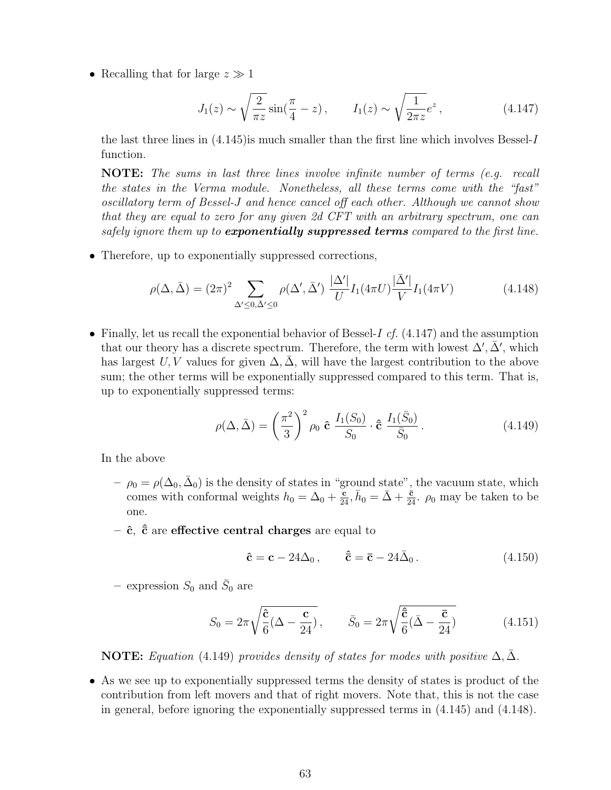• Recalling that for large *z ≫* 1

$$
J_1(z) \sim \sqrt{\frac{2}{\pi z}} \sin(\frac{\pi}{4} - z), \qquad I_1(z) \sim \sqrt{\frac{1}{2\pi z}} e^z,
$$
 (4.147)

the last three lines in (4.145)is much smaller than the first line which involves Bessel-*I* function.

**NOTE:** *The sums in last three lines involve infinite number of terms (e.g. recall the states in the Verma module. Nonetheless, all these terms come with the "fast" oscillatory term of Bessel-J and hence cancel off each other. Although we cannot show that they are equal to zero for any given 2d CFT with an arbitrary spectrum, one can safely ignore them up to exponentially suppressed terms compared to the first line.*

• Therefore, up to exponentially suppressed corrections,

$$
\rho(\Delta, \bar{\Delta}) = (2\pi)^2 \sum_{\Delta' \le 0, \bar{\Delta}' \le 0} \rho(\Delta', \bar{\Delta}') \frac{|\Delta'|}{U} I_1(4\pi U) \frac{|\bar{\Delta}'|}{V} I_1(4\pi V) \tag{4.148}
$$

• Finally, let us recall the exponential behavior of Bessel-*I cf.* (4.147) and the assumption that our theory has a discrete spectrum. Therefore, the term with lowest  $\Delta'$ ,  $\bar{\Delta}'$ , which has largest *U, V* values for given  $\Delta$ ,  $\overline{\Delta}$ , will have the largest contribution to the above sum; the other terms will be exponentially suppressed compared to this term. That is, up to exponentially suppressed terms:

$$
\rho(\Delta, \bar{\Delta}) = \left(\frac{\pi^2}{3}\right)^2 \rho_0 \hat{\mathbf{c}} \frac{I_1(S_0)}{S_0} \cdot \hat{\bar{\mathbf{c}}} \frac{I_1(\bar{S}_0)}{\bar{S}_0}.
$$
\n(4.149)

In the above

- $\rho_0 = \rho(\Delta_0, \bar{\Delta}_0)$  is the density of states in "ground state", the vacuum state, which comes with conformal weights  $h_0 = \Delta_0 + \frac{c}{24}$ ,  $\bar{h}_0 = \bar{\Delta} + \frac{c}{24}$ .  $\rho_0$  may be taken to be one.
- **– ˆc***,* **ˆ¯c** are **effective central charges** are equal to

$$
\hat{\mathbf{c}} = \mathbf{c} - 24\Delta_0, \qquad \hat{\mathbf{c}} = \bar{\mathbf{c}} - 24\bar{\Delta}_0. \tag{4.150}
$$

 $-$  expression  $S_0$  and  $\bar{S}_0$  are

$$
S_0 = 2\pi \sqrt{\frac{\hat{\mathbf{c}}}{6} (\Delta - \frac{\mathbf{c}}{24})}, \qquad \bar{S}_0 = 2\pi \sqrt{\frac{\hat{\bar{\mathbf{c}}}}{6} (\bar{\Delta} - \frac{\bar{\mathbf{c}}}{24})}
$$
(4.151)

**NOTE:** *Equation* (4.149) *provides density of states for modes with positive*  $\Delta$ ,  $\bar{\Delta}$ *.* 

• As we see up to exponentially suppressed terms the density of states is product of the contribution from left movers and that of right movers. Note that, this is not the case in general, before ignoring the exponentially suppressed terms in (4.145) and (4.148).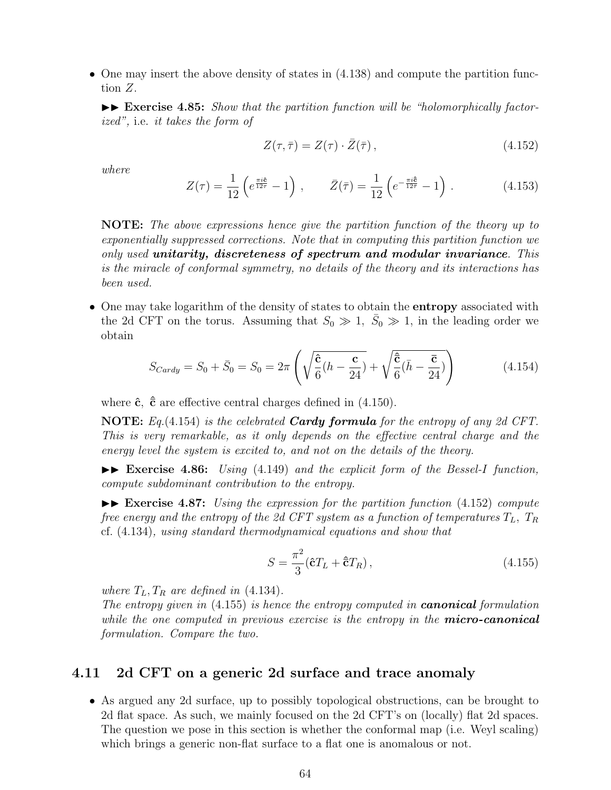• One may insert the above density of states in  $(4.138)$  and compute the partition function *Z*.

 $\blacktriangleright$  **Exercise 4.85:** *Show that the partition function will be "holomorphically factorized",* i.e. *it takes the form of*

$$
Z(\tau,\bar{\tau}) = Z(\tau) \cdot \bar{Z}(\bar{\tau}), \qquad (4.152)
$$

*where*

$$
Z(\tau) = \frac{1}{12} \left( e^{\frac{\pi i \hat{\mathbf{e}}}{12\tau}} - 1 \right) , \qquad \bar{Z}(\bar{\tau}) = \frac{1}{12} \left( e^{-\frac{\pi i \hat{\mathbf{e}}}{12\bar{\tau}}} - 1 \right) . \tag{4.153}
$$

**NOTE:** *The above expressions hence give the partition function of the theory up to exponentially suppressed corrections. Note that in computing this partition function we only used unitarity, discreteness of spectrum and modular invariance. This is the miracle of conformal symmetry, no details of the theory and its interactions has been used.*

• One may take logarithm of the density of states to obtain the **entropy** associated with the 2d CFT on the torus. Assuming that  $S_0 \gg 1$ ,  $\bar{S}_0 \gg 1$ , in the leading order we obtain

$$
S_{Cardy} = S_0 + \bar{S}_0 = S_0 = 2\pi \left( \sqrt{\frac{\hat{\mathbf{c}}}{6}(h - \frac{\mathbf{c}}{24})} + \sqrt{\frac{\hat{\mathbf{c}}}{6}(\bar{h} - \frac{\bar{\mathbf{c}}}{24})} \right)
$$
(4.154)

where  $\hat{\mathbf{c}}$ ,  $\hat{\mathbf{c}}$  are effective central charges defined in (4.150).

**NOTE:** *Eq.*(4.154) *is the celebrated Cardy formula for the entropy of any 2d CFT. This is very remarkable, as it only depends on the effective central charge and the energy level the system is excited to, and not on the details of the theory.*

II **Exercise 4.86:** *Using* (4.149) *and the explicit form of the Bessel-I function, compute subdominant contribution to the entropy.*

II **Exercise 4.87:** *Using the expression for the partition function* (4.152) *compute free energy and the entropy of the 2d CFT system as a function of temperatures*  $T_L$ ,  $T_R$ cf. (4.134)*, using standard thermodynamical equations and show that*

$$
S = \frac{\pi^2}{3} (\hat{\mathbf{c}} T_L + \hat{\mathbf{c}} T_R), \qquad (4.155)
$$

*where*  $T_L, T_R$  *are defined in* (4.134)*.* 

*The entropy given in* (4.155) *is hence the entropy computed in canonical formulation while the one computed in previous exercise is the entropy in the micro-canonical formulation. Compare the two.*

## **4.11 2d CFT on a generic 2d surface and trace anomaly**

• As argued any 2d surface, up to possibly topological obstructions, can be brought to 2d flat space. As such, we mainly focused on the 2d CFT's on (locally) flat 2d spaces. The question we pose in this section is whether the conformal map (i.e. Weyl scaling) which brings a generic non-flat surface to a flat one is anomalous or not.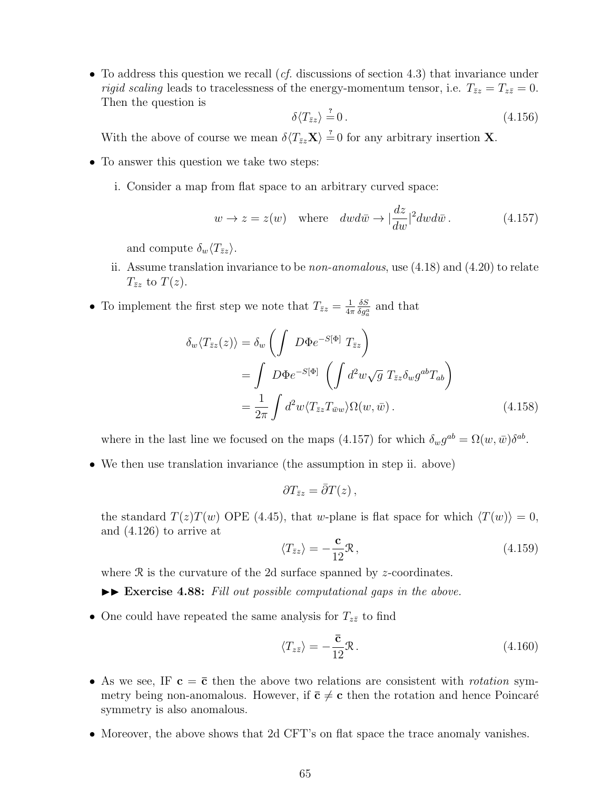• To address this question we recall (*cf.* discussions of section 4.3) that invariance under *rigid scaling* leads to tracelessness of the energy-momentum tensor, i.e.  $T_{\bar{z}z} = T_{z\bar{z}} = 0$ . Then the question is

$$
\delta \langle T_{\bar{z}z} \rangle \stackrel{?}{=} 0. \tag{4.156}
$$

With the above of course we mean  $\delta \langle T_{\bar{z}z} \mathbf{X} \rangle = 0$  for any arbitrary insertion **X**.

- To answer this question we take two steps:
	- i. Consider a map from flat space to an arbitrary curved space:

$$
w \to z = z(w) \quad \text{where} \quad dw d\bar{w} \to |\frac{dz}{dw}|^2 dw d\bar{w} \,. \tag{4.157}
$$

and compute  $\delta_w \langle T_{\bar{z}z} \rangle$ .

- ii. Assume translation invariance to be *non-anomalous*, use (4.18) and (4.20) to relate  $T_{\bar{z}z}$  to  $T(z)$ .
- To implement the first step we note that  $T_{\bar{z}z} = \frac{1}{4z}$ 4*π δS*  $\frac{\partial S}{\partial g_a^a}$  and that

$$
\delta_w \langle T_{\bar{z}z}(z) \rangle = \delta_w \left( \int D\Phi e^{-S[\Phi]} T_{\bar{z}z} \right)
$$
  
= 
$$
\int D\Phi e^{-S[\Phi]} \left( \int d^2w \sqrt{g} T_{\bar{z}z} \delta_w g^{ab} T_{ab} \right)
$$
  
= 
$$
\frac{1}{2\pi} \int d^2w \langle T_{\bar{z}z} T_{\bar{w}w} \rangle \Omega(w, \bar{w}).
$$
 (4.158)

where in the last line we focused on the maps (4.157) for which  $\delta_w g^{ab} = \Omega(w, \bar{w}) \delta^{ab}$ .

• We then use translation invariance (the assumption in step ii. above)

$$
\partial T_{\bar{z}z} = \bar{\partial}T(z)\,,
$$

the standard  $T(z)T(w)$  OPE (4.45), that *w*-plane is flat space for which  $\langle T(w) \rangle = 0$ , and (4.126) to arrive at

$$
\langle T_{\bar{z}z} \rangle = -\frac{\mathbf{c}}{12} \mathcal{R} \,, \tag{4.159}
$$

where R is the curvature of the 2d surface spanned by *z*-coordinates.

 $\blacktriangleright$  **Exercise 4.88:** Fill out possible computational gaps in the above.

• One could have repeated the same analysis for  $T_{z\bar{z}}$  to find

$$
\langle T_{z\bar{z}} \rangle = -\frac{\bar{\mathbf{c}}}{12} \mathcal{R} \,. \tag{4.160}
$$

- As we see, IF  $c = \bar{c}$  then the above two relations are consistent with *rotation* symmetry being non-anomalous. However, if  $\bar{c} \neq c$  then the rotation and hence Poincaré symmetry is also anomalous.
- Moreover, the above shows that 2d CFT's on flat space the trace anomaly vanishes.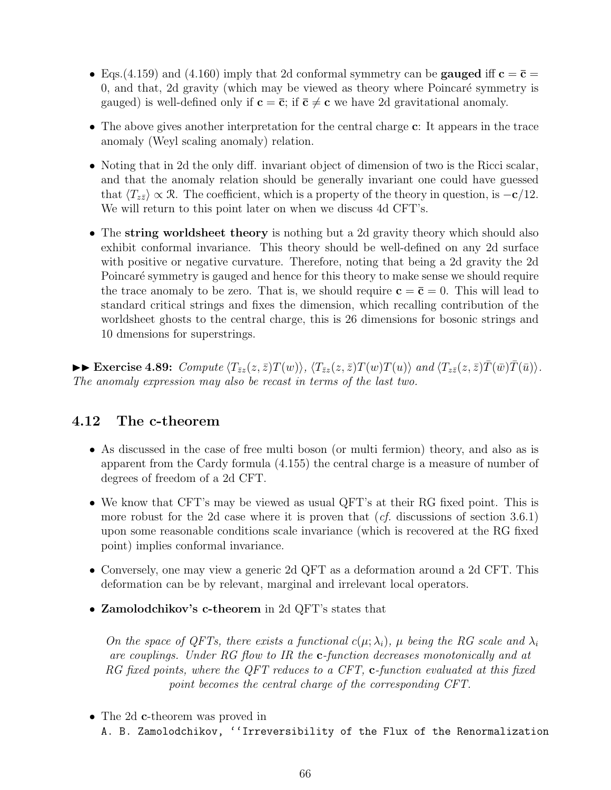- Eqs.(4.159) and (4.160) imply that 2d conformal symmetry can be **gauged** iff  $\mathbf{c} = \bar{\mathbf{c}} =$ 0, and that, 2d gravity (which may be viewed as theory where  $Poincaré symmetry$  is gauged) is well-defined only if  $\mathbf{c} = \bar{\mathbf{c}}$ ; if  $\bar{\mathbf{c}} \neq \mathbf{c}$  we have 2d gravitational anomaly.
- The above gives another interpretation for the central charge **c**: It appears in the trace anomaly (Weyl scaling anomaly) relation.
- Noting that in 2d the only diff. invariant object of dimension of two is the Ricci scalar, and that the anomaly relation should be generally invariant one could have guessed that  $\langle T_{z\bar{z}}\rangle \propto \mathcal{R}$ . The coefficient, which is a property of the theory in question, is  $-\mathbf{c}/12$ . We will return to this point later on when we discuss 4d CFT's.
- The **string worldsheet theory** is nothing but a 2d gravity theory which should also exhibit conformal invariance. This theory should be well-defined on any 2d surface with positive or negative curvature. Therefore, noting that being a 2d gravity the 2d Poincaré symmetry is gauged and hence for this theory to make sense we should require the trace anomaly to be zero. That is, we should require  $\mathbf{c} = \bar{\mathbf{c}} = 0$ . This will lead to standard critical strings and fixes the dimension, which recalling contribution of the worldsheet ghosts to the central charge, this is 26 dimensions for bosonic strings and 10 dmensions for superstrings.

 $\blacktriangleright\blacktriangleright$  Exercise 4.89: Compute  $\langle T_{\bar{z}z}(z,\bar{z})T(w)\rangle$ ,  $\langle T_{\bar{z}z}(z,\bar{z})T(w)T(u)\rangle$  and  $\langle T_{z\bar{z}}(z,\bar{z})T(\bar{w})T(\bar{u})\rangle$ . *The anomaly expression may also be recast in terms of the last two.*

# **4.12 The c-theorem**

- As discussed in the case of free multi boson (or multi fermion) theory, and also as is apparent from the Cardy formula (4.155) the central charge is a measure of number of degrees of freedom of a 2d CFT.
- We know that CFT's may be viewed as usual QFT's at their RG fixed point. This is more robust for the 2d case where it is proven that (*cf.* discussions of section 3.6.1) upon some reasonable conditions scale invariance (which is recovered at the RG fixed point) implies conformal invariance.
- Conversely, one may view a generic 2d QFT as a deformation around a 2d CFT. This deformation can be by relevant, marginal and irrelevant local operators.
- **Zamolodchikov's c-theorem** in 2d QFT's states that

*On the space of QFTs, there exists a functional*  $c(\mu; \lambda_i)$ ,  $\mu$  *being the RG scale and*  $\lambda_i$ *are couplings. Under RG flow to IR the* **c***-function decreases monotonically and at RG fixed points, where the QFT reduces to a CFT,* **c***-function evaluated at this fixed point becomes the central charge of the corresponding CFT.*

• The 2d **c**-theorem was proved in A. B. Zamolodchikov, ''Irreversibility of the Flux of the Renormalization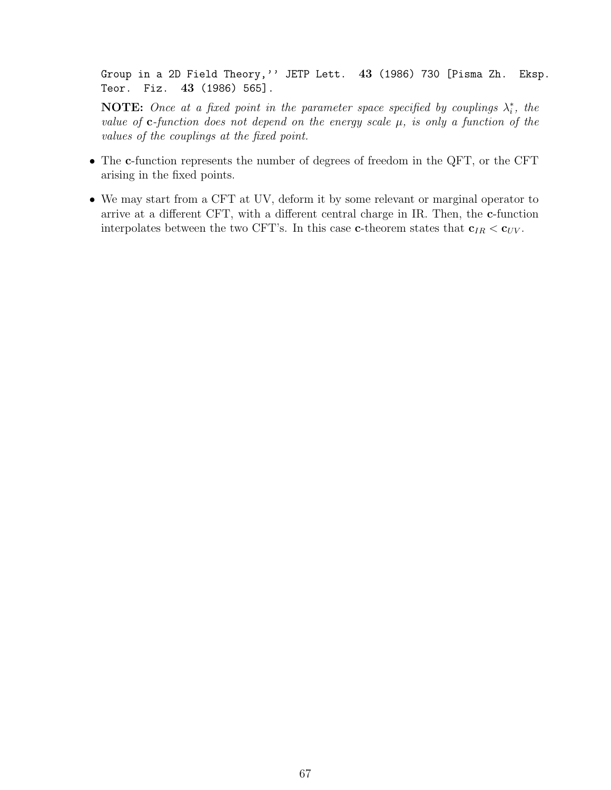Group in a 2D Field Theory,'' JETP Lett. **43** (1986) 730 [Pisma Zh. Eksp. Teor. Fiz. **43** (1986) 565].

**NOTE:** Once at a fixed point in the parameter space specified by couplings  $\lambda_i^*$ , the *value of* **c***-function does not depend on the energy scale µ, is only a function of the values of the couplings at the fixed point.*

- The **c**-function represents the number of degrees of freedom in the QFT, or the CFT arising in the fixed points.
- We may start from a CFT at UV, deform it by some relevant or marginal operator to arrive at a different CFT, with a different central charge in IR. Then, the **c**-function interpolates between the two CFT's. In this case **c**-theorem states that  $\mathbf{c}_{IR} < \mathbf{c}_{UV}$ .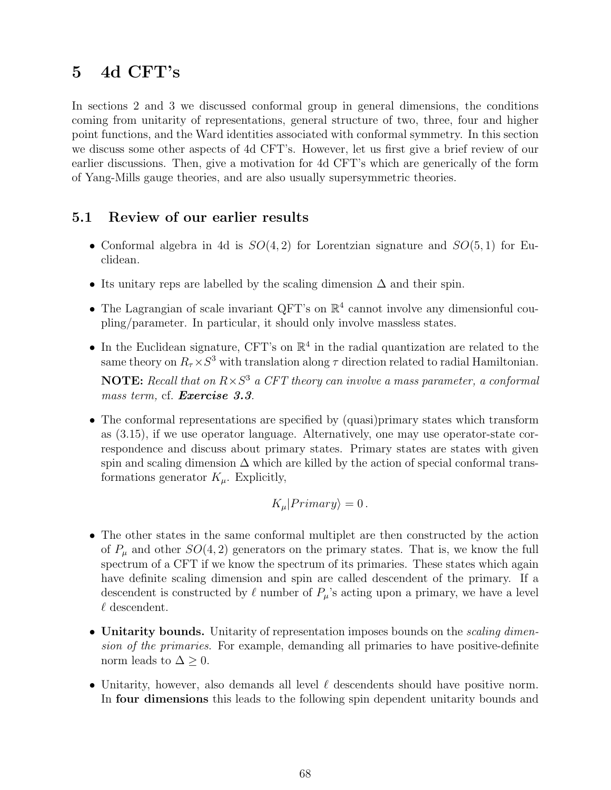# **5 4d CFT's**

In sections 2 and 3 we discussed conformal group in general dimensions, the conditions coming from unitarity of representations, general structure of two, three, four and higher point functions, and the Ward identities associated with conformal symmetry. In this section we discuss some other aspects of 4d CFT's. However, let us first give a brief review of our earlier discussions. Then, give a motivation for 4d CFT's which are generically of the form of Yang-Mills gauge theories, and are also usually supersymmetric theories.

# **5.1 Review of our earlier results**

- Conformal algebra in 4d is *SO*(4*,* 2) for Lorentzian signature and *SO*(5*,* 1) for Euclidean.
- Its unitary reps are labelled by the scaling dimension  $\Delta$  and their spin.
- The Lagrangian of scale invariant QFT's on  $\mathbb{R}^4$  cannot involve any dimensionful coupling/parameter. In particular, it should only involve massless states.
- In the Euclidean signature, CFT's on  $\mathbb{R}^4$  in the radial quantization are related to the same theory on  $R_{\tau} \times S^3$  with translation along  $\tau$  direction related to radial Hamiltonian.

**NOTE:** *Recall that on R×S* <sup>3</sup> *a CFT theory can involve a mass parameter, a conformal mass term,* cf. *Exercise 3.3.*

• The conformal representations are specified by (quasi)primary states which transform as (3.15), if we use operator language. Alternatively, one may use operator-state correspondence and discuss about primary states. Primary states are states with given spin and scaling dimension  $\Delta$  which are killed by the action of special conformal transformations generator  $K_\mu$ . Explicitly,

$$
K_{\mu}|Primary\rangle = 0.
$$

- The other states in the same conformal multiplet are then constructed by the action of  $P_\mu$  and other  $SO(4,2)$  generators on the primary states. That is, we know the full spectrum of a CFT if we know the spectrum of its primaries. These states which again have definite scaling dimension and spin are called descendent of the primary. If a descendent is constructed by  $\ell$  number of  $P_\mu$ 's acting upon a primary, we have a level *ℓ* descendent.
- **Unitarity bounds.** Unitarity of representation imposes bounds on the *scaling dimension of the primaries*. For example, demanding all primaries to have positive-definite norm leads to  $\Delta \geq 0$ .
- Unitarity, however, also demands all level *ℓ* descendents should have positive norm. In **four dimensions** this leads to the following spin dependent unitarity bounds and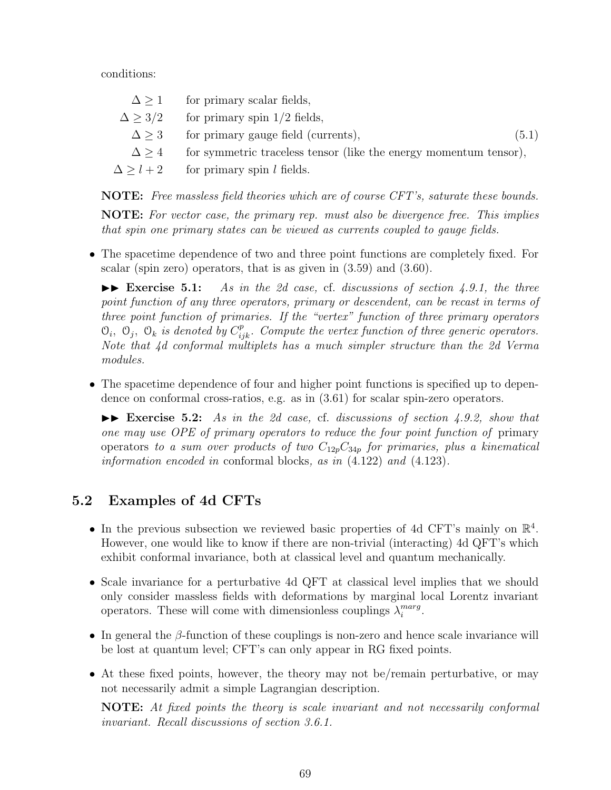conditions:

|                 | $\Delta > 1$ for primary scalar fields,                           |       |
|-----------------|-------------------------------------------------------------------|-------|
|                 | $\Delta > 3/2$ for primary spin 1/2 fields,                       |       |
| $\Delta \geq 3$ | for primary gauge field (currents),                               | (5.1) |
| $\Delta > 4$    | for symmetric traceless tensor (like the energy momentum tensor), |       |
|                 | $\Delta > l + 2$ for primary spin l fields.                       |       |
|                 |                                                                   |       |

**NOTE:** *Free massless field theories which are of course CFT's, saturate these bounds.* **NOTE:** *For vector case, the primary rep. must also be divergence free. This implies*

• The spacetime dependence of two and three point functions are completely fixed. For

*that spin one primary states can be viewed as currents coupled to gauge fields.*

scalar (spin zero) operators, that is as given in (3.59) and (3.60).

 $\blacktriangleright$  **Exercise 5.1:** As in the 2d case, cf. discussions of section 4.9.1, the three *point function of any three operators, primary or descendent, can be recast in terms of three point function of primaries. If the "vertex" function of three primary operators*  $\mathcal{O}_i$ ,  $\mathcal{O}_j$ ,  $\mathcal{O}_k$  *is denoted by*  $C_{ijk}^p$ *. Compute the vertex function of three generic operators. Note that 4d conformal multiplets has a much simpler structure than the 2d Verma modules.*

• The spacetime dependence of four and higher point functions is specified up to dependence on conformal cross-ratios, e.g. as in (3.61) for scalar spin-zero operators.

II **Exercise 5.2:** *As in the 2d case,* cf. *discussions of section 4.9.2, show that one may use OPE of primary operators to reduce the four point function of* primary operators *to a sum over products of two C*12*pC*34*<sup>p</sup> for primaries, plus a kinematical information encoded in* conformal blocks*, as in* (4.122) *and* (4.123)*.*

# **5.2 Examples of 4d CFTs**

- In the previous subsection we reviewed basic properties of 4d CFT's mainly on  $\mathbb{R}^4$ . However, one would like to know if there are non-trivial (interacting) 4d QFT's which exhibit conformal invariance, both at classical level and quantum mechanically.
- Scale invariance for a perturbative 4d QFT at classical level implies that we should only consider massless fields with deformations by marginal local Lorentz invariant operators. These will come with dimensionless couplings  $\lambda_i^{marg}$  $_{i}^{marg}.$
- In general the *β*-function of these couplings is non-zero and hence scale invariance will be lost at quantum level; CFT's can only appear in RG fixed points.
- At these fixed points, however, the theory may not be/remain perturbative, or may not necessarily admit a simple Lagrangian description.

**NOTE:** *At fixed points the theory is scale invariant and not necessarily conformal invariant. Recall discussions of section 3.6.1.*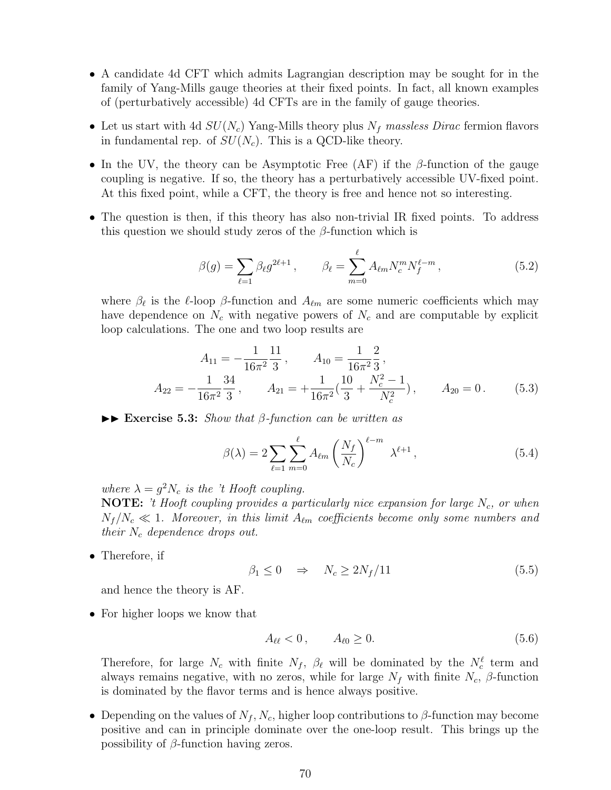- A candidate 4d CFT which admits Lagrangian description may be sought for in the family of Yang-Mills gauge theories at their fixed points. In fact, all known examples of (perturbatively accessible) 4d CFTs are in the family of gauge theories.
- Let us start with 4d *SU*(*Nc*) Yang-Mills theory plus *N<sup>f</sup> massless Dirac* fermion flavors in fundamental rep. of  $SU(N_c)$ . This is a QCD-like theory.
- In the UV, the theory can be Asymptotic Free (AF) if the *β*-function of the gauge coupling is negative. If so, the theory has a perturbatively accessible UV-fixed point. At this fixed point, while a CFT, the theory is free and hence not so interesting.
- The question is then, if this theory has also non-trivial IR fixed points. To address this question we should study zeros of the *β*-function which is

$$
\beta(g) = \sum_{\ell=1} \beta_{\ell} g^{2\ell+1}, \qquad \beta_{\ell} = \sum_{m=0}^{\ell} A_{\ell m} N_c^m N_f^{\ell-m}, \qquad (5.2)
$$

where *β<sup>ℓ</sup>* is the *ℓ*-loop *β*-function and *Aℓm* are some numeric coefficients which may have dependence on  $N_c$  with negative powers of  $N_c$  and are computable by explicit loop calculations. The one and two loop results are

$$
A_{11} = -\frac{1}{16\pi^2} \frac{11}{3}, \qquad A_{10} = \frac{1}{16\pi^2} \frac{2}{3},
$$
  
\n
$$
A_{22} = -\frac{1}{16\pi^2} \frac{34}{3}, \qquad A_{21} = +\frac{1}{16\pi^2} \left(\frac{10}{3} + \frac{N_c^2 - 1}{N_c^2}\right), \qquad A_{20} = 0.
$$
\n(5.3)

II **Exercise 5.3:** *Show that β-function can be written as*

$$
\beta(\lambda) = 2 \sum_{\ell=1}^{\infty} \sum_{m=0}^{\ell} A_{\ell m} \left( \frac{N_f}{N_c} \right)^{\ell-m} \lambda^{\ell+1}, \qquad (5.4)
$$

*where*  $\lambda = g^2 N_c$  *is the 't Hooft coupling.* 

**NOTE:** *'t Hooft coupling provides a particularly nice expansion for large Nc, or when*  $N_f/N_c \ll 1$ *. Moreover, in this limit*  $A_{\ell m}$  *coefficients become only some numbers and their N<sup>c</sup> dependence drops out.*

• Therefore, if

$$
\beta_1 \le 0 \quad \Rightarrow \quad N_c \ge 2N_f/11 \tag{5.5}
$$

and hence the theory is AF.

• For higher loops we know that

$$
A_{\ell\ell} < 0 \,, \qquad A_{\ell 0} \ge 0. \tag{5.6}
$$

Therefore, for large  $N_c$  with finite  $N_f$ ,  $\beta_{\ell}$  will be dominated by the  $N_c^{\ell}$  term and always remains negative, with no zeros, while for large  $N_f$  with finite  $N_c$ ,  $\beta$ -function is dominated by the flavor terms and is hence always positive.

• Depending on the values of  $N_f$ ,  $N_c$ , higher loop contributions to  $\beta$ -function may become positive and can in principle dominate over the one-loop result. This brings up the possibility of *β*-function having zeros.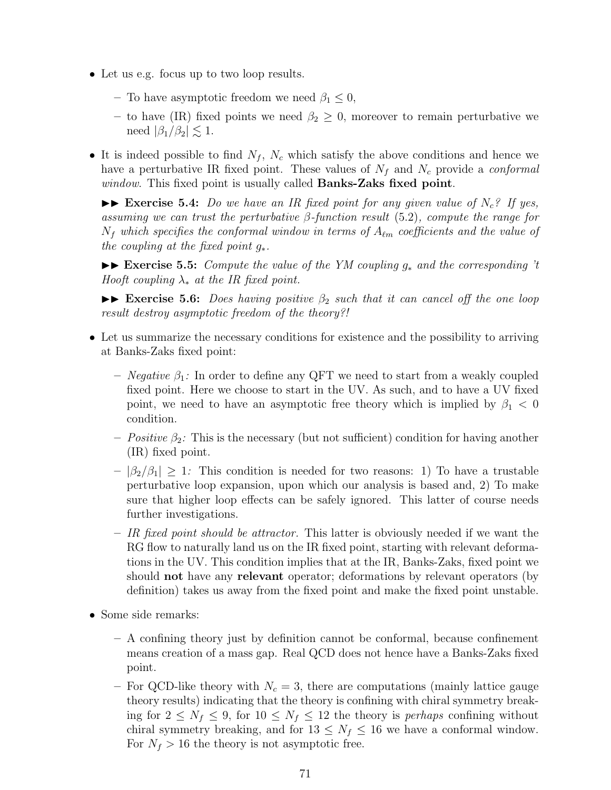- Let us e.g. focus up to two loop results.
	- **–** To have asymptotic freedom we need *β*<sup>1</sup> *≤* 0,
	- **–** to have (IR) fixed points we need *β*<sup>2</sup> *≥* 0, moreover to remain perturbative we need  $|\beta_1/\beta_2| \leq 1$ .
- It is indeed possible to find  $N_f$ ,  $N_c$  which satisfy the above conditions and hence we have a perturbative IR fixed point. These values of *N<sup>f</sup>* and *N<sup>c</sup>* provide a *conformal window*. This fixed point is usually called **Banks-Zaks fixed point**.

 $\triangleright$  **Exercise 5.4:** *Do we have an IR fixed point for any given value of*  $N_c$ ? If yes, *assuming we can trust the perturbative β-function result* (5.2)*, compute the range for N<sup>f</sup> which specifies the conformal window in terms of Aℓm coefficients and the value of the coupling at the fixed point g∗.*

II **Exercise 5.5:** *Compute the value of the YM coupling g<sup>∗</sup> and the corresponding 't Hooft coupling λ<sup>∗</sup> at the IR fixed point.*

 $\triangleright$  **Exercise 5.6:** *Does having positive*  $\beta_2$  *such that it can cancel off the one loop result destroy asymptotic freedom of the theory?!*

- Let us summarize the necessary conditions for existence and the possibility to arriving at Banks-Zaks fixed point:
	- **–** *Negative β*1*:* In order to define any QFT we need to start from a weakly coupled fixed point. Here we choose to start in the UV. As such, and to have a UV fixed point, we need to have an asymptotic free theory which is implied by  $\beta_1 < 0$ condition.
	- $–$  *Positive*  $\beta_2$ : This is the necessary (but not sufficient) condition for having another (IR) fixed point.
	- $|\beta_2/\beta_1| \geq 1$ : This condition is needed for two reasons: 1) To have a trustable perturbative loop expansion, upon which our analysis is based and, 2) To make sure that higher loop effects can be safely ignored. This latter of course needs further investigations.
	- **–** *IR fixed point should be attractor.* This latter is obviously needed if we want the RG flow to naturally land us on the IR fixed point, starting with relevant deformations in the UV. This condition implies that at the IR, Banks-Zaks, fixed point we should **not** have any **relevant** operator; deformations by relevant operators (by definition) takes us away from the fixed point and make the fixed point unstable.
- Some side remarks:
	- **–** A confining theory just by definition cannot be conformal, because confinement means creation of a mass gap. Real QCD does not hence have a Banks-Zaks fixed point.
	- **–** For QCD-like theory with *N<sup>c</sup>* = 3, there are computations (mainly lattice gauge theory results) indicating that the theory is confining with chiral symmetry breaking for  $2 \leq N_f \leq 9$ , for  $10 \leq N_f \leq 12$  the theory is *perhaps* confining without chiral symmetry breaking, and for  $13 \leq N_f \leq 16$  we have a conformal window. For  $N_f > 16$  the theory is not asymptotic free.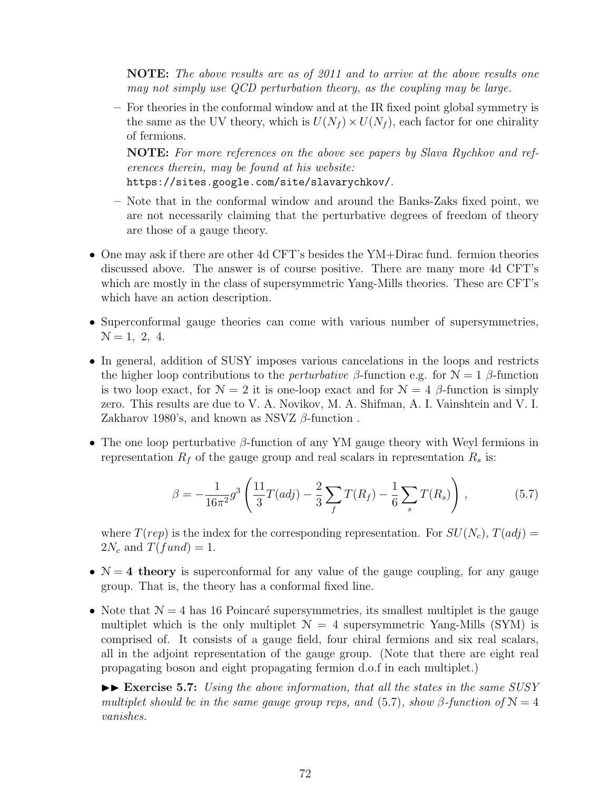**NOTE:** *The above results are as of 2011 and to arrive at the above results one may not simply use QCD perturbation theory, as the coupling may be large.*

**–** For theories in the conformal window and at the IR fixed point global symmetry is the same as the UV theory, which is  $U(N_f) \times U(N_f)$ , each factor for one chirality of fermions.

**NOTE:** *For more references on the above see papers by Slava Rychkov and references therein, may be found at his website:*

https://sites.google.com/site/slavarychkov/.

- **–** Note that in the conformal window and around the Banks-Zaks fixed point, we are not necessarily claiming that the perturbative degrees of freedom of theory are those of a gauge theory.
- One may ask if there are other 4d CFT's besides the YM+Dirac fund. fermion theories discussed above. The answer is of course positive. There are many more 4d CFT's which are mostly in the class of supersymmetric Yang-Mills theories. These are CFT's which have an action description.
- Superconformal gauge theories can come with various number of supersymmetries,  $N = 1, 2, 4.$
- In general, addition of SUSY imposes various cancelations in the loops and restricts the higher loop contributions to the *perturbative*  $\beta$ -function e.g. for  $\mathcal{N} = 1$   $\beta$ -function is two loop exact, for  $\mathcal{N} = 2$  it is one-loop exact and for  $\mathcal{N} = 4$  *β*-function is simply zero. This results are due to V. A. Novikov, M. A. Shifman, A. I. Vainshtein and V. I. Zakharov 1980's, and known as NSVZ *β*-function .
- The one loop perturbative *β*-function of any YM gauge theory with Weyl fermions in representation  $R_f$  of the gauge group and real scalars in representation  $R_s$  is:

$$
\beta = -\frac{1}{16\pi^2} g^3 \left( \frac{11}{3} T (adj) - \frac{2}{3} \sum_f T(R_f) - \frac{1}{6} \sum_s T(R_s) \right) , \qquad (5.7)
$$

where  $T(rep)$  is the index for the corresponding representation. For  $SU(N_c)$ ,  $T(adj)$  =  $2N_c$  and  $T(fund) = 1$ .

- $\mathcal{N} = 4$  theory is superconformal for any value of the gauge coupling, for any gauge group. That is, the theory has a conformal fixed line.
- Note that  $\mathcal{N} = 4$  has 16 Poincaré supersymmetries, its smallest multiplet is the gauge multiplet which is the only multiplet  $\mathcal{N} = 4$  supersymmetric Yang-Mills (SYM) is comprised of. It consists of a gauge field, four chiral fermions and six real scalars, all in the adjoint representation of the gauge group. (Note that there are eight real propagating boson and eight propagating fermion d.o.f in each multiplet.)

 $\blacktriangleright\blacktriangleright$  **Exercise 5.7:** *Using the above information, that all the states in the same SUSY multiplet should be in the same gauge group reps, and* (5.7)*, show*  $\beta$ -function of  $\mathcal{N} = 4$ *vanishes.*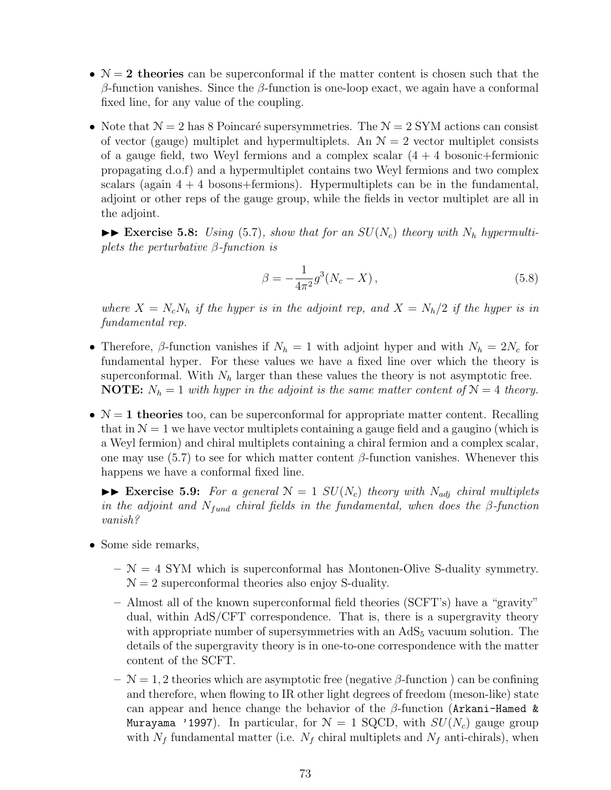- $\mathcal{N} = 2$  theories can be superconformal if the matter content is chosen such that the *β*-function vanishes. Since the *β*-function is one-loop exact, we again have a conformal fixed line, for any value of the coupling.
- Note that  $\mathcal{N} = 2$  has 8 Poincaré supersymmetries. The  $\mathcal{N} = 2$  SYM actions can consist of vector (gauge) multiplet and hypermultiplets. An  $\mathcal{N}=2$  vector multiplet consists of a gauge field, two Weyl fermions and a complex scalar  $(4 + 4)$  bosonic+fermionic propagating d.o.f) and a hypermultiplet contains two Weyl fermions and two complex scalars (again  $4 + 4$  bosons+fermions). Hypermultiplets can be in the fundamental, adjoint or other reps of the gauge group, while the fields in vector multiplet are all in the adjoint.

 $\blacktriangleright\blacktriangleright$  **Exercise 5.8:** *Using* (5.7)*, show that for an SU(N<sub>c</sub>) theory with*  $N_h$  *hypermultiplets the perturbative β-function is*

$$
\beta = -\frac{1}{4\pi^2} g^3 (N_c - X) \,, \tag{5.8}
$$

*where*  $X = N_c N_h$  *if the hyper is in the adjoint rep, and*  $X = N_h/2$  *if the hyper is in fundamental rep.*

- Therefore,  $\beta$ -function vanishes if  $N_h = 1$  with adjoint hyper and with  $N_h = 2N_c$  for fundamental hyper. For these values we have a fixed line over which the theory is superconformal. With  $N_h$  larger than these values the theory is not asymptotic free. **NOTE:**  $N_h = 1$  *with hyper in the adjoint is the same matter content of*  $N = 4$  *theory.*
- $\mathcal{N} = 1$  theories too, can be superconformal for appropriate matter content. Recalling that in  $\mathcal{N} = 1$  we have vector multiplets containing a gauge field and a gaugino (which is a Weyl fermion) and chiral multiplets containing a chiral fermion and a complex scalar, one may use (5.7) to see for which matter content *β*-function vanishes. Whenever this happens we have a conformal fixed line.

 $\triangleright$  **Exercise 5.9:** For a general  $N = 1$   $SU(N_c)$  theory with  $N_{adj}$  chiral multiplets *in the adjoint and*  $N_{fund}$  *chiral fields in the fundamental, when does the*  $\beta$ -function *vanish?*

- Some side remarks,
	- **–** N = 4 SYM which is superconformal has Montonen-Olive S-duality symmetry.  $\mathcal{N} = 2$  superconformal theories also enjoy S-duality.
	- **–** Almost all of the known superconformal field theories (SCFT's) have a "gravity" dual, within AdS/CFT correspondence. That is, there is a supergravity theory with appropriate number of supersymmetries with an  $AdS<sub>5</sub>$  vacuum solution. The details of the supergravity theory is in one-to-one correspondence with the matter content of the SCFT.
	- **–** N = 1*,* 2 theories which are asymptotic free (negative *β*-function ) can be confining and therefore, when flowing to IR other light degrees of freedom (meson-like) state can appear and hence change the behavior of the *β*-function (Arkani-Hamed & Murayama '1997). In particular, for  $\mathcal{N} = 1$  SQCD, with  $SU(N_c)$  gauge group with  $N_f$  fundamental matter (i.e.  $N_f$  chiral multiplets and  $N_f$  anti-chirals), when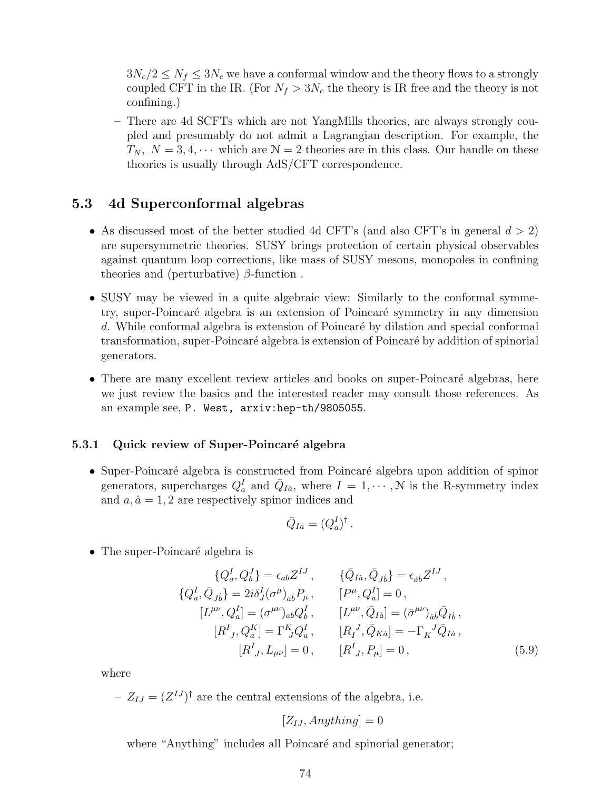$3N_c/2 \leq N_f \leq 3N_c$  we have a conformal window and the theory flows to a strongly coupled CFT in the IR. (For  $N_f > 3N_c$  the theory is IR free and the theory is not confining.)

**–** There are 4d SCFTs which are not YangMills theories, are always strongly coupled and presumably do not admit a Lagrangian description. For example, the  $T_N$ ,  $N = 3, 4, \cdots$  which are  $N = 2$  theories are in this class. Our handle on these theories is usually through AdS/CFT correspondence.

#### **5.3 4d Superconformal algebras**

- As discussed most of the better studied 4d CFT's (and also CFT's in general *d >* 2) are supersymmetric theories. SUSY brings protection of certain physical observables against quantum loop corrections, like mass of SUSY mesons, monopoles in confining theories and (perturbative) *β*-function .
- SUSY may be viewed in a quite algebraic view: Similarly to the conformal symmetry, super-Poincar´e algebra is an extension of Poincar´e symmetry in any dimension d. While conformal algebra is extension of Poincaré by dilation and special conformal transformation, super-Poincaré algebra is extension of Poincaré by addition of spinorial generators.
- There are many excellent review articles and books on super-Poincaré algebras, here we just review the basics and the interested reader may consult those references. As an example see, P. West, arxiv:hep-th/9805055.

#### **5.3.1 Quick review of Super-Poincaré algebra**

• Super-Poincaré algebra is constructed from Poincaré algebra upon addition of spinor generators, supercharges  $Q_a^I$  and  $\overline{Q}_{I\dot{a}}$ , where  $I = 1, \dots, N$  is the R-symmetry index and  $a, \dot{a} = 1, 2$  are respectively spinor indices and

$$
\bar{Q}_{I\dot{a}}=(Q_a^I)^\dagger
$$

 $\bullet$  The super-Poincaré algebra is

$$
\{Q_a^I, Q_b^J\} = \epsilon_{ab} Z^{IJ}, \qquad \{\bar{Q}_{I\dot{a}}, \bar{Q}_{J\dot{b}}\} = \epsilon_{\dot{a}\dot{b}} Z^{IJ},
$$
  
\n
$$
\{Q_a^I, \bar{Q}_{J\dot{b}}\} = 2i\delta_J^I (\sigma^\mu)_{a\dot{b}} P_\mu, \qquad [P^\mu, Q_a^I] = 0,
$$
  
\n
$$
[L^{\mu\nu}, Q_a^I] = (\sigma^{\mu\nu})_{ab} Q_b^I, \qquad [L^{\mu\nu}, \bar{Q}_{I\dot{a}}] = (\bar{\sigma}^{\mu\nu})_{\dot{a}\dot{b}} \bar{Q}_{I\dot{b}},
$$
  
\n
$$
[R^I{}_J, Q_a^K] = \Gamma^K{}_J Q_a^I, \qquad [R_I^J, \bar{Q}_{K\dot{a}}] = -\Gamma_K^J \bar{Q}_{I\dot{a}},
$$
  
\n
$$
[R^I{}_J, L_{\mu\nu}] = 0, \qquad [R^I{}_J, P_\mu] = 0,
$$
\n(5.9)

*.*

where

 $Z_{IJ} = (Z^{IJ})^{\dagger}$  are the central extensions of the algebra, i.e.

$$
[Z_{IJ}, Anything] = 0
$$

where "Anything" includes all Poincaré and spinorial generator;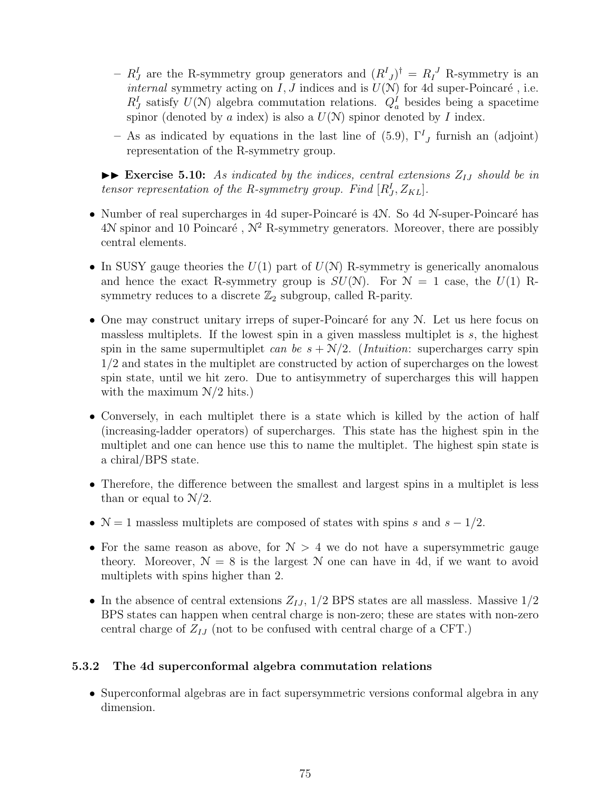- $R_J^I$  are the R-symmetry group generators and  $(R^I{}_J)^{\dagger} = R_I^J$  R-symmetry is an *internal* symmetry acting on  $I, J$  indices and is  $U(\mathcal{N})$  for 4d super-Poincaré, i.e.  $R_J^I$  satisfy  $U(N)$  algebra commutation relations.  $Q_a^I$  besides being a spacetime spinor (denoted by  $a$  index) is also a  $U(\mathcal{N})$  spinor denoted by  $I$  index.
- **–** As as indicated by equations in the last line of (5.9), Γ*<sup>I</sup> J* furnish an (adjoint) representation of the R-symmetry group.

 $\triangleright$  **Exercise 5.10:** *As indicated by the indices, central extensions*  $Z_{IJ}$  *should be in tensor representation of the R-symmetry group. Find*  $[R_J^I, Z_{KL}]$ .

- Number of real supercharges in 4d super-Poincaré is 4N. So 4d N-super-Poincaré has 4N spinor and 10 Poincaré,  $\mathcal{N}^2$  R-symmetry generators. Moreover, there are possibly central elements.
- In SUSY gauge theories the  $U(1)$  part of  $U(N)$  R-symmetry is generically anomalous and hence the exact R-symmetry group is  $SU(N)$ . For  $N = 1$  case, the  $U(1)$  Rsymmetry reduces to a discrete  $\mathbb{Z}_2$  subgroup, called R-parity.
- One may construct unitary irreps of super-Poincaré for any  $N$ . Let us here focus on massless multiplets. If the lowest spin in a given massless multiplet is *s*, the highest spin in the same supermultiplet *can be*  $s + N/2$ . (*Intuition*: supercharges carry spin 1/2 and states in the multiplet are constructed by action of supercharges on the lowest spin state, until we hit zero. Due to antisymmetry of supercharges this will happen with the maximum N*/*2 hits.)
- Conversely, in each multiplet there is a state which is killed by the action of half (increasing-ladder operators) of supercharges. This state has the highest spin in the multiplet and one can hence use this to name the multiplet. The highest spin state is a chiral/BPS state.
- Therefore, the difference between the smallest and largest spins in a multiplet is less than or equal to N*/*2.
- N = 1 massless multiplets are composed of states with spins *s* and *s −* 1*/*2.
- For the same reason as above, for  $N > 4$  we do not have a supersymmetric gauge theory. Moreover,  $N = 8$  is the largest N one can have in 4d, if we want to avoid multiplets with spins higher than 2.
- In the absence of central extensions  $Z_{IJ}$ ,  $1/2$  BPS states are all massless. Massive  $1/2$ BPS states can happen when central charge is non-zero; these are states with non-zero central charge of *ZIJ* (not to be confused with central charge of a CFT.)

## **5.3.2 The 4d superconformal algebra commutation relations**

• Superconformal algebras are in fact supersymmetric versions conformal algebra in any dimension.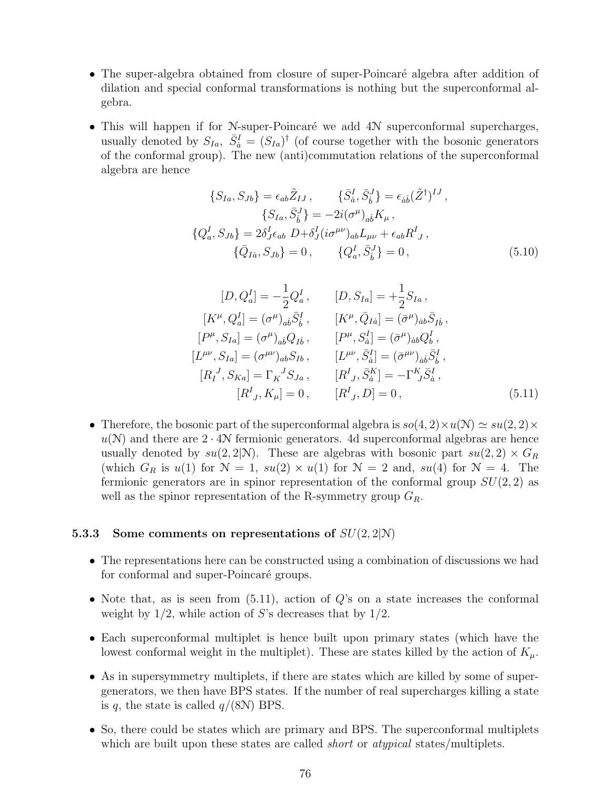- The super-algebra obtained from closure of super-Poincaré algebra after addition of dilation and special conformal transformations is nothing but the superconformal algebra.
- This will happen if for N-super-Poincaré we add  $4N$  superconformal supercharges, usually denoted by  $S_{Ia}$ ,  $\bar{S}^I_{\dot{a}} = (S_{Ia})^{\dagger}$  (of course together with the bosonic generators of the conformal group). The new (anti)commutation relations of the superconformal algebra are hence

$$
\{S_{Ia}, S_{Jb}\} = \epsilon_{ab} \tilde{Z}_{IJ}, \qquad \{\bar{S}_a^I, \bar{S}_b^J\} = \epsilon_{\dot{a}\dot{b}} (\tilde{Z}^{\dagger})^{IJ},
$$
  
\n
$$
\{S_{Ia}, \bar{S}_b^J\} = -2i(\sigma^{\mu})_{a\dot{b}} K_{\mu},
$$
  
\n
$$
\{Q_a^I, S_{Jb}\} = 2\delta^I_J \epsilon_{ab} D + \delta^I_J (i\sigma^{\mu\nu})_{ab} L_{\mu\nu} + \epsilon_{ab} R^I_J,
$$
  
\n
$$
\{\bar{Q}_{I\dot{a}}, S_{Jb}\} = 0, \qquad \{Q_a^I, \bar{S}_b^J\} = 0,
$$
\n(5.10)

$$
[D, Q_a^I] = -\frac{1}{2} Q_a^I, \t [D, S_{Ia}] = +\frac{1}{2} S_{Ia},
$$
  
\n
$$
[K^{\mu}, Q_a^I] = (\sigma^{\mu})_{ab} \bar{S}_b^I, \t [K^{\mu}, \bar{Q}_{Ia}] = (\bar{\sigma}^{\mu})_{\dot{a}b} \bar{S}_{Ib},
$$
  
\n
$$
[P^{\mu}, S_{Ia}] = (\sigma^{\mu})_{ab} Q_{Ib}, \t [P^{\mu}, S_a^I] = (\bar{\sigma}^{\mu})_{\dot{a}b} Q_b^I,
$$
  
\n
$$
[L^{\mu\nu}, S_{Ia}] = (\sigma^{\mu\nu})_{ab} S_{Ib}, \t [L^{\mu\nu}, \bar{S}_a^I] = (\bar{\sigma}^{\mu\nu})_{\dot{a}b} \bar{S}_b^I,
$$
  
\n
$$
[R_I^J, S_{Ka}] = \Gamma_K^J S_{Ja}, \t [R_J^I, \bar{S}_a^K] = -\Gamma_{J}^K \bar{S}_a^I,
$$
  
\n
$$
[R_J^I, K_\mu] = 0, \t [R_J^I, D] = 0,
$$
\n(5.11)

• Therefore, the bosonic part of the superconformal algebra is  $so(4, 2) \times u(\mathcal{N}) \simeq su(2, 2) \times$  $u(N)$  and there are  $2 \cdot 4N$  fermionic generators. 4d superconformal algebras are hence usually denoted by  $su(2, 2|\mathcal{N})$ . These are algebras with bosonic part  $su(2, 2) \times G_R$ (which  $G_R$  is  $u(1)$  for  $N = 1$ ,  $su(2) \times u(1)$  for  $N = 2$  and,  $su(4)$  for  $N = 4$ . The fermionic generators are in spinor representation of the conformal group *SU*(2*,* 2) as well as the spinor representation of the R-symmetry group *GR*.

#### **5.3.3 Some comments on representations of** *SU*(2*,* 2*|*N)

- The representations here can be constructed using a combination of discussions we had for conformal and super-Poincaré groups.
- Note that, as is seen from (5.11), action of *Q*'s on a state increases the conformal weight by 1/2, while action of *S*'s decreases that by 1/2.
- Each superconformal multiplet is hence built upon primary states (which have the lowest conformal weight in the multiplet). These are states killed by the action of *Kµ*.
- As in supersymmetry multiplets, if there are states which are killed by some of supergenerators, we then have BPS states. If the number of real supercharges killing a state is *q*, the state is called  $q/(8N)$  BPS.
- So, there could be states which are primary and BPS. The superconformal multiplets which are built upon these states are called *short* or *atypical* states/multiplets.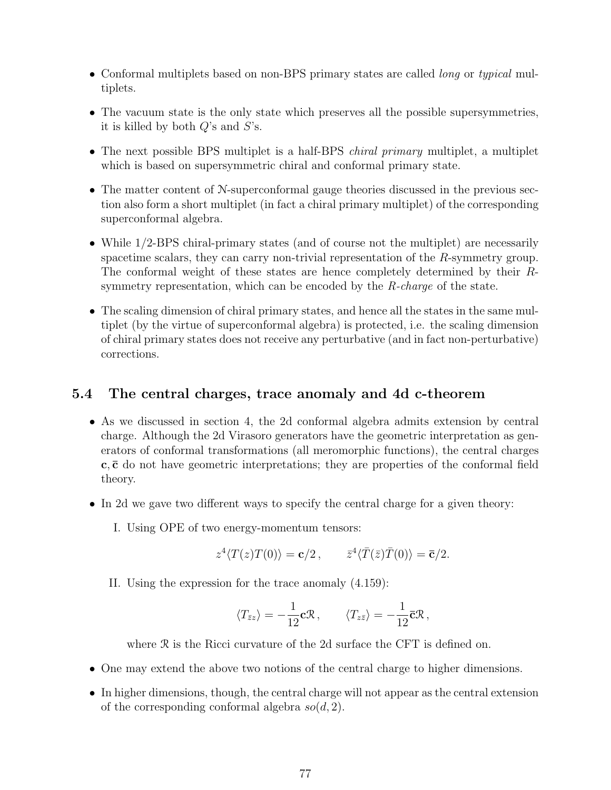- Conformal multiplets based on non-BPS primary states are called *long* or *typical* multiplets.
- The vacuum state is the only state which preserves all the possible supersymmetries, it is killed by both *Q*'s and *S*'s.
- The next possible BPS multiplet is a half-BPS *chiral primary* multiplet, a multiplet which is based on supersymmetric chiral and conformal primary state.
- The matter content of N-superconformal gauge theories discussed in the previous section also form a short multiplet (in fact a chiral primary multiplet) of the corresponding superconformal algebra.
- While 1/2-BPS chiral-primary states (and of course not the multiplet) are necessarily spacetime scalars, they can carry non-trivial representation of the *R*-symmetry group. The conformal weight of these states are hence completely determined by their *R*symmetry representation, which can be encoded by the *R-charge* of the state.
- The scaling dimension of chiral primary states, and hence all the states in the same multiplet (by the virtue of superconformal algebra) is protected, i.e. the scaling dimension of chiral primary states does not receive any perturbative (and in fact non-perturbative) corrections.

# **5.4 The central charges, trace anomaly and 4d c-theorem**

- As we discussed in section 4, the 2d conformal algebra admits extension by central charge. Although the 2d Virasoro generators have the geometric interpretation as generators of conformal transformations (all meromorphic functions), the central charges **c***,***¯c** do not have geometric interpretations; they are properties of the conformal field theory.
- In 2d we gave two different ways to specify the central charge for a given theory:
	- I. Using OPE of two energy-momentum tensors:

$$
z^4 \langle T(z)T(0) \rangle = \mathbf{c}/2 \,, \qquad \overline{z}^4 \langle \overline{T}(\overline{z})\overline{T}(0) \rangle = \overline{\mathbf{c}}/2.
$$

II. Using the expression for the trace anomaly (4.159):

$$
\langle T_{\bar{z}z} \rangle = -\frac{1}{12} \mathbf{c} \mathcal{R} \,, \qquad \langle T_{z\bar{z}} \rangle = -\frac{1}{12} \mathbf{\bar{c}} \mathcal{R} \,,
$$

where R is the Ricci curvature of the 2d surface the CFT is defined on.

- One may extend the above two notions of the central charge to higher dimensions.
- In higher dimensions, though, the central charge will not appear as the central extension of the corresponding conformal algebra *so*(*d,* 2).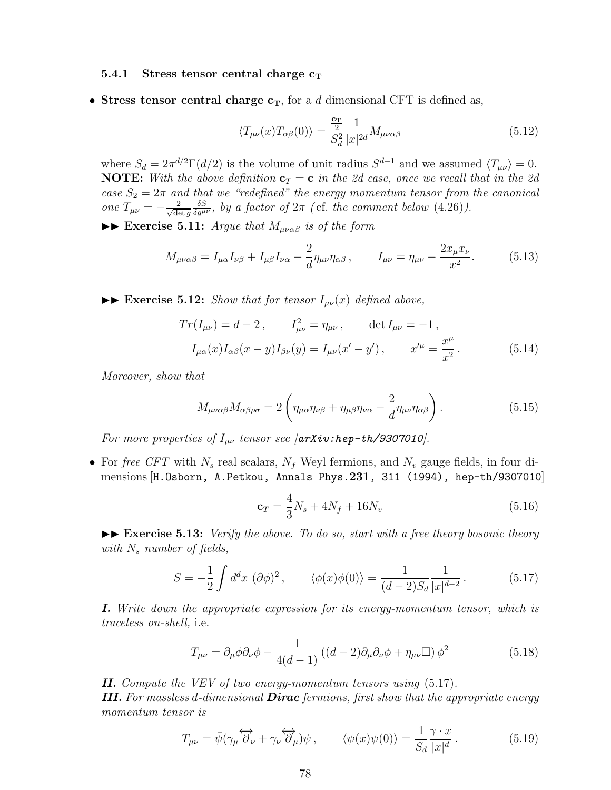#### **5.4.1** Stress tensor central charge  $c_T$

• Stress tensor central charge  $c_T$ , for a *d* dimensional CFT is defined as,

$$
\langle T_{\mu\nu}(x)T_{\alpha\beta}(0)\rangle = \frac{\frac{\mathbf{c_T}}{2}}{S_d^2} \frac{1}{|x|^{2d}} M_{\mu\nu\alpha\beta} \tag{5.12}
$$

where  $S_d = 2\pi^{d/2}\Gamma(d/2)$  is the volume of unit radius  $S^{d-1}$  and we assumed  $\langle T_{\mu\nu} \rangle = 0$ . **NOTE:** With the above definition  $\mathbf{c}_T = \mathbf{c}$  in the 2d case, once we recall that in the 2d *case*  $S_2 = 2\pi$  *and that we "redefined" the energy momentum tensor from the canonical one*  $T_{\mu\nu} = -\frac{2}{\sqrt{d\epsilon}}$ det *g*  $\frac{\delta S}{\delta g^{\mu\nu}}$ , by a factor of  $2\pi$  (cf. the comment below (4.26)).

 $\blacktriangleright\blacktriangleright$  **Exercise 5.11:** *Argue that*  $M_{\mu\nu\alpha\beta}$  *is of the form* 

$$
M_{\mu\nu\alpha\beta} = I_{\mu\alpha}I_{\nu\beta} + I_{\mu\beta}I_{\nu\alpha} - \frac{2}{d}\eta_{\mu\nu}\eta_{\alpha\beta}, \qquad I_{\mu\nu} = \eta_{\mu\nu} - \frac{2x_{\mu}x_{\nu}}{x^2}.
$$
 (5.13)

 $\blacktriangleright$  **Exercise 5.12:** *Show that for tensor*  $I_{\mu\nu}(x)$  *defined above,* 

$$
Tr(I_{\mu\nu}) = d - 2, \qquad I_{\mu\nu}^2 = \eta_{\mu\nu}, \qquad \det I_{\mu\nu} = -1,
$$
  

$$
I_{\mu\alpha}(x)I_{\alpha\beta}(x - y)I_{\beta\nu}(y) = I_{\mu\nu}(x' - y'), \qquad x'^{\mu} = \frac{x^{\mu}}{x^2}.
$$
 (5.14)

*Moreover, show that*

$$
M_{\mu\nu\alpha\beta}M_{\alpha\beta\rho\sigma} = 2\left(\eta_{\mu\alpha}\eta_{\nu\beta} + \eta_{\mu\beta}\eta_{\nu\alpha} - \frac{2}{d}\eta_{\mu\nu}\eta_{\alpha\beta}\right). \tag{5.15}
$$

*For more properties of*  $I_{\mu\nu}$  *tensor see*  $\int$  $arXiv:hep-th/9307010$ *]*.

• For *free CFT* with *N<sup>s</sup>* real scalars, *N<sup>f</sup>* Weyl fermions, and *N<sup>v</sup>* gauge fields, in four dimensions [H.Osborn, A.Petkou, Annals Phys.**231**, 311 (1994), hep-th/9307010]

$$
\mathbf{c}_T = \frac{4}{3}N_s + 4N_f + 16N_v \tag{5.16}
$$

 $\blacktriangleright\blacktriangleright$  **Exercise 5.13:** *Verify the above. To do so, start with a free theory bosonic theory with N<sup>s</sup> number of fields,*

$$
S = -\frac{1}{2} \int d^d x \, (\partial \phi)^2 \,, \qquad \langle \phi(x)\phi(0) \rangle = \frac{1}{(d-2)S_d} \frac{1}{|x|^{d-2}} \,. \tag{5.17}
$$

*I. Write down the appropriate expression for its energy-momentum tensor, which is traceless on-shell,* i.e.

$$
T_{\mu\nu} = \partial_{\mu}\phi\partial_{\nu}\phi - \frac{1}{4(d-1)}\left((d-2)\partial_{\mu}\partial_{\nu}\phi + \eta_{\mu\nu}\Box\right)\phi^2\tag{5.18}
$$

*II. Compute the VEV of two energy-momentum tensors using* (5.17)*.*

*III. For massless d-dimensional Dirac fermions, first show that the appropriate energy momentum tensor is*

$$
T_{\mu\nu} = \bar{\psi}(\gamma_{\mu}\overleftrightarrow{\partial}_{\nu} + \gamma_{\nu}\overleftrightarrow{\partial}_{\mu})\psi, \qquad \langle\psi(x)\psi(0)\rangle = \frac{1}{S_d} \frac{\gamma \cdot x}{|x|^d}.
$$
 (5.19)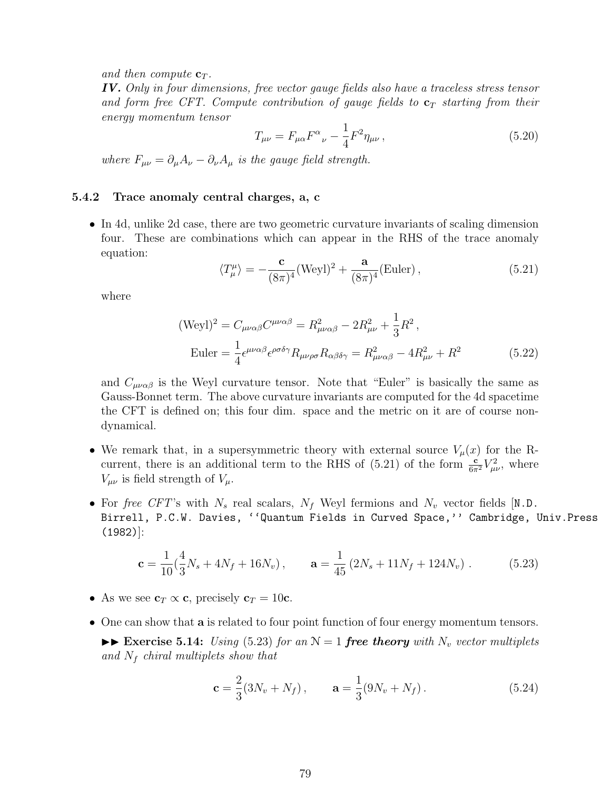and then compute  $\mathbf{c}_T$ .

*IV. Only in four dimensions, free vector gauge fields also have a traceless stress tensor and form free CFT. Compute contribution of gauge fields to* **c***<sup>T</sup> starting from their energy momentum tensor*

$$
T_{\mu\nu} = F_{\mu\alpha} F^{\alpha}{}_{\nu} - \frac{1}{4} F^2 \eta_{\mu\nu} , \qquad (5.20)
$$

*where*  $F_{\mu\nu} = \partial_{\mu}A_{\nu} - \partial_{\nu}A_{\mu}$  *is the gauge field strength.* 

#### **5.4.2 Trace anomaly central charges, a, c**

• In 4d, unlike 2d case, there are two geometric curvature invariants of scaling dimension four. These are combinations which can appear in the RHS of the trace anomaly equation:

$$
\langle T_{\mu}^{\mu} \rangle = -\frac{\mathbf{c}}{(8\pi)^4} (\text{Weyl})^2 + \frac{\mathbf{a}}{(8\pi)^4} (\text{Euler}), \qquad (5.21)
$$

where

$$
(\text{Weyl})^2 = C_{\mu\nu\alpha\beta}C^{\mu\nu\alpha\beta} = R_{\mu\nu\alpha\beta}^2 - 2R_{\mu\nu}^2 + \frac{1}{3}R^2,
$$
  
Euler = 
$$
\frac{1}{4}\epsilon^{\mu\nu\alpha\beta}\epsilon^{\rho\sigma\delta\gamma}R_{\mu\nu\rho\sigma}R_{\alpha\beta\delta\gamma} = R_{\mu\nu\alpha\beta}^2 - 4R_{\mu\nu}^2 + R^2
$$
 (5.22)

and  $C_{\mu\nu\alpha\beta}$  is the Weyl curvature tensor. Note that "Euler" is basically the same as Gauss-Bonnet term. The above curvature invariants are computed for the 4d spacetime the CFT is defined on; this four dim. space and the metric on it are of course nondynamical.

- We remark that, in a supersymmetric theory with external source  $V_\mu(x)$  for the Rcurrent, there is an additional term to the RHS of (5.21) of the form  $\frac{c}{6\pi^2}V_{\mu\nu}^2$ , where *V*<sub> $\mu\nu$ </sub> is field strength of *V*<sub> $\mu$ </sub>.
- For *free CFT*'s with  $N_s$  real scalars,  $N_f$  Weyl fermions and  $N_v$  vector fields [N.D. Birrell, P.C.W. Davies, ''Quantum Fields in Curved Space,'' Cambridge, Univ.Press (1982)]:

$$
\mathbf{c} = \frac{1}{10} \left( \frac{4}{3} N_s + 4N_f + 16N_v \right), \qquad \mathbf{a} = \frac{1}{45} \left( 2N_s + 11N_f + 124N_v \right). \tag{5.23}
$$

- As we see  $\mathbf{c}_T \propto \mathbf{c}$ , precisely  $\mathbf{c}_T = 10\mathbf{c}$ .
- One can show that **a** is related to four point function of four energy momentum tensors.

 $\blacktriangleright\blacktriangleright$  **Exercise 5.14:** *Using* (5.23) *for an*  $\mathcal{N} = 1$  *free theory with*  $N_v$  *vector multiplets and N<sup>f</sup> chiral multiplets show that*

$$
\mathbf{c} = \frac{2}{3}(3N_v + N_f), \qquad \mathbf{a} = \frac{1}{3}(9N_v + N_f). \tag{5.24}
$$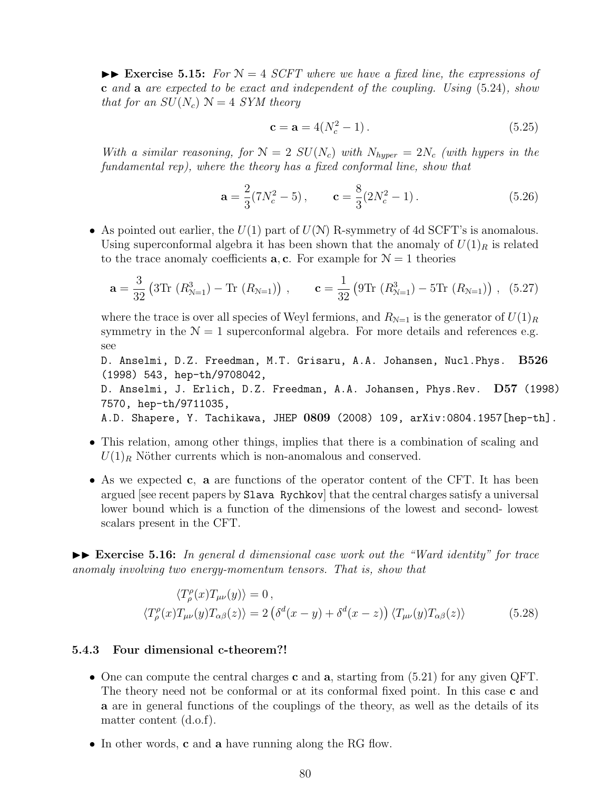$\blacktriangleright\blacktriangleright$  **Exercise 5.15:** For  $\mathcal{N}=4$  *SCFT where we have a fixed line, the expressions of* **c** *and* **a** *are expected to be exact and independent of the coupling. Using* (5.24)*, show that for an*  $SU(N_c)$   $\mathcal{N}=4$  *SYM theory* 

$$
c = a = 4(N_c^2 - 1). \tag{5.25}
$$

*With a similar reasoning, for*  $N = 2$   $SU(N_c)$  *with*  $N_{hyper} = 2N_c$  *(with hypers in the fundamental rep), where the theory has a fixed conformal line, show that*

$$
\mathbf{a} = \frac{2}{3}(7N_c^2 - 5), \qquad \mathbf{c} = \frac{8}{3}(2N_c^2 - 1). \tag{5.26}
$$

• As pointed out earlier, the  $U(1)$  part of  $U(N)$  R-symmetry of 4d SCFT's is anomalous. Using superconformal algebra it has been shown that the anomaly of  $U(1)_R$  is related to the trace anomaly coefficients **a**, **c**. For example for  $\mathcal{N} = 1$  theories

$$
\mathbf{a} = \frac{3}{32} \left( 3 \text{Tr} \left( R_{\mathcal{N}=1}^3 \right) - \text{Tr} \left( R_{\mathcal{N}=1} \right) \right) , \qquad \mathbf{c} = \frac{1}{32} \left( 9 \text{Tr} \left( R_{\mathcal{N}=1}^3 \right) - 5 \text{Tr} \left( R_{\mathcal{N}=1} \right) \right) , \tag{5.27}
$$

where the trace is over all species of Weyl fermions, and  $R_{N=1}$  is the generator of  $U(1)_R$ symmetry in the  $\mathcal{N} = 1$  superconformal algebra. For more details and references e.g. see

D. Anselmi, D.Z. Freedman, M.T. Grisaru, A.A. Johansen, Nucl.Phys. **B526** (1998) 543, hep-th/9708042, D. Anselmi, J. Erlich, D.Z. Freedman, A.A. Johansen, Phys.Rev. **D57** (1998) 7570, hep-th/9711035, A.D. Shapere, Y. Tachikawa, JHEP **0809** (2008) 109, arXiv:0804.1957[hep-th].

- This relation, among other things, implies that there is a combination of scaling and  $U(1)_R$  Nöther currents which is non-anomalous and conserved.
- As we expected **c***,* **a** are functions of the operator content of the CFT. It has been argued [see recent papers by Slava Rychkov] that the central charges satisfy a universal lower bound which is a function of the dimensions of the lowest and second- lowest scalars present in the CFT.

II **Exercise 5.16:** *In general d dimensional case work out the "Ward identity" for trace anomaly involving two energy-momentum tensors. That is, show that*

$$
\langle T^{\rho}_{\rho}(x)T_{\mu\nu}(y)\rangle = 0, \langle T^{\rho}_{\rho}(x)T_{\mu\nu}(y)T_{\alpha\beta}(z)\rangle = 2\left(\delta^{d}(x-y) + \delta^{d}(x-z)\right)\langle T_{\mu\nu}(y)T_{\alpha\beta}(z)\rangle
$$
\n(5.28)

#### **5.4.3 Four dimensional c-theorem?!**

- One can compute the central charges **c** and **a**, starting from (5.21) for any given QFT. The theory need not be conformal or at its conformal fixed point. In this case **c** and **a** are in general functions of the couplings of the theory, as well as the details of its matter content (d.o.f).
- In other words, **c** and **a** have running along the RG flow.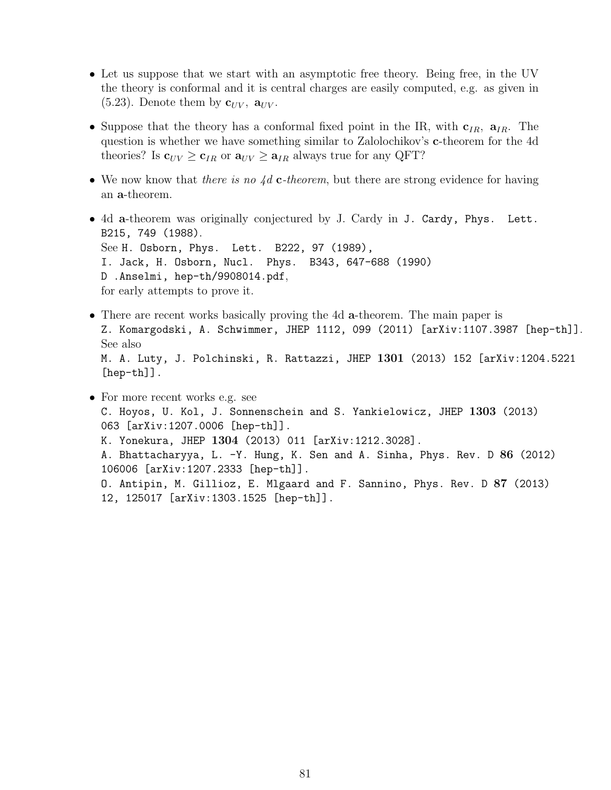- Let us suppose that we start with an asymptotic free theory. Being free, in the UV the theory is conformal and it is central charges are easily computed, e.g. as given in  $(5.23)$ . Denote them by  $\mathbf{c}_{UV}$ ,  $\mathbf{a}_{UV}$ .
- Suppose that the theory has a conformal fixed point in the IR, with **c***IR,* **a***IR*. The question is whether we have something similar to Zalolochikov's **c**-theorem for the 4d theories? Is  $\mathbf{c}_{UV} \geq \mathbf{c}_{IR}$  or  $\mathbf{a}_{UV} \geq \mathbf{a}_{IR}$  always true for any QFT?
- We now know that *there is no 4d* **c***-theorem*, but there are strong evidence for having an **a**-theorem.
- 4d **a**-theorem was originally conjectured by J. Cardy in J. Cardy, Phys. Lett. B215, 749 (1988). See H. Osborn, Phys. Lett. B222, 97 (1989), I. Jack, H. Osborn, Nucl. Phys. B343, 647-688 (1990) D .Anselmi, hep-th/9908014.pdf, for early attempts to prove it.
- There are recent works basically proving the 4d **a**-theorem. The main paper is Z. Komargodski, A. Schwimmer, JHEP 1112, 099 (2011) [arXiv:1107.3987 [hep-th]]. See also M. A. Luty, J. Polchinski, R. Rattazzi, JHEP **1301** (2013) 152 [arXiv:1204.5221 [hep-th]].
- For more recent works e.g. see C. Hoyos, U. Kol, J. Sonnenschein and S. Yankielowicz, JHEP **1303** (2013) 063 [arXiv:1207.0006 [hep-th]]. K. Yonekura, JHEP **1304** (2013) 011 [arXiv:1212.3028]. A. Bhattacharyya, L. -Y. Hung, K. Sen and A. Sinha, Phys. Rev. D **86** (2012) 106006 [arXiv:1207.2333 [hep-th]]. O. Antipin, M. Gillioz, E. Mlgaard and F. Sannino, Phys. Rev. D **87** (2013) 12, 125017 [arXiv:1303.1525 [hep-th]].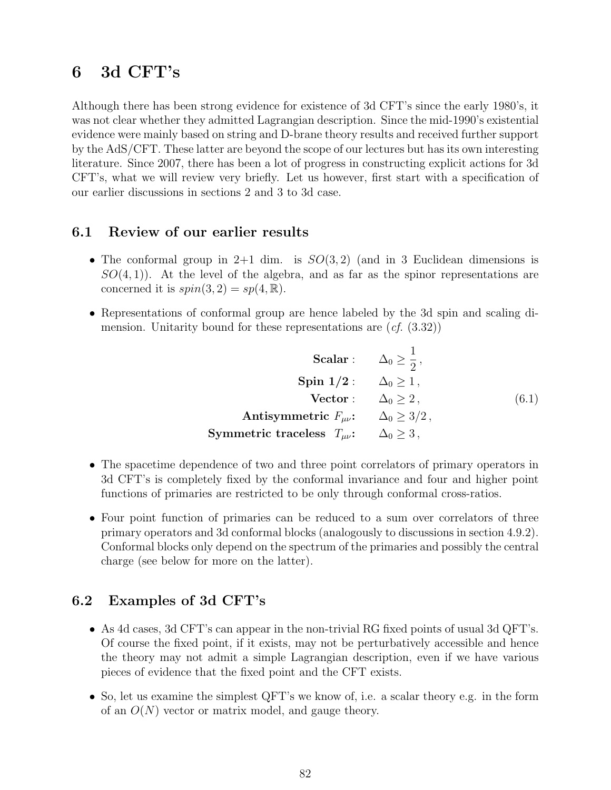# **6 3d CFT's**

Although there has been strong evidence for existence of 3d CFT's since the early 1980's, it was not clear whether they admitted Lagrangian description. Since the mid-1990's existential evidence were mainly based on string and D-brane theory results and received further support by the AdS/CFT. These latter are beyond the scope of our lectures but has its own interesting literature. Since 2007, there has been a lot of progress in constructing explicit actions for 3d CFT's, what we will review very briefly. Let us however, first start with a specification of our earlier discussions in sections 2 and 3 to 3d case.

## **6.1 Review of our earlier results**

- The conformal group in  $2+1$  dim. is  $SO(3,2)$  (and in 3 Euclidean dimensions is *SO*(4*,* 1)). At the level of the algebra, and as far as the spinor representations are concerned it is  $spin(3, 2) = sp(4, \mathbb{R}).$
- Representations of conformal group are hence labeled by the 3d spin and scaling dimension. Unitarity bound for these representations are (*cf.* (3.32))

| <b>Scalar</b> : $\Delta_0 \geq \frac{1}{2}$ ,      |                     |       |
|----------------------------------------------------|---------------------|-------|
| Spin $1/2$ : $\Delta_0 \geq 1$ ,                   |                     |       |
| Vector: $\Delta_0 > 2$ ,                           |                     | (6.1) |
| Antisymmetric $F_{\mu\nu}$ : $\Delta_0 \geq 3/2$ , |                     |       |
| Symmetric traceless $T_{\mu\nu}$ :                 | $\Delta_0 \geq 3$ , |       |

- The spacetime dependence of two and three point correlators of primary operators in 3d CFT's is completely fixed by the conformal invariance and four and higher point functions of primaries are restricted to be only through conformal cross-ratios.
- Four point function of primaries can be reduced to a sum over correlators of three primary operators and 3d conformal blocks (analogously to discussions in section 4.9.2). Conformal blocks only depend on the spectrum of the primaries and possibly the central charge (see below for more on the latter).

## **6.2 Examples of 3d CFT's**

- As 4d cases, 3d CFT's can appear in the non-trivial RG fixed points of usual 3d QFT's. Of course the fixed point, if it exists, may not be perturbatively accessible and hence the theory may not admit a simple Lagrangian description, even if we have various pieces of evidence that the fixed point and the CFT exists.
- So, let us examine the simplest QFT's we know of, i.e. a scalar theory e.g. in the form of an *O*(*N*) vector or matrix model, and gauge theory.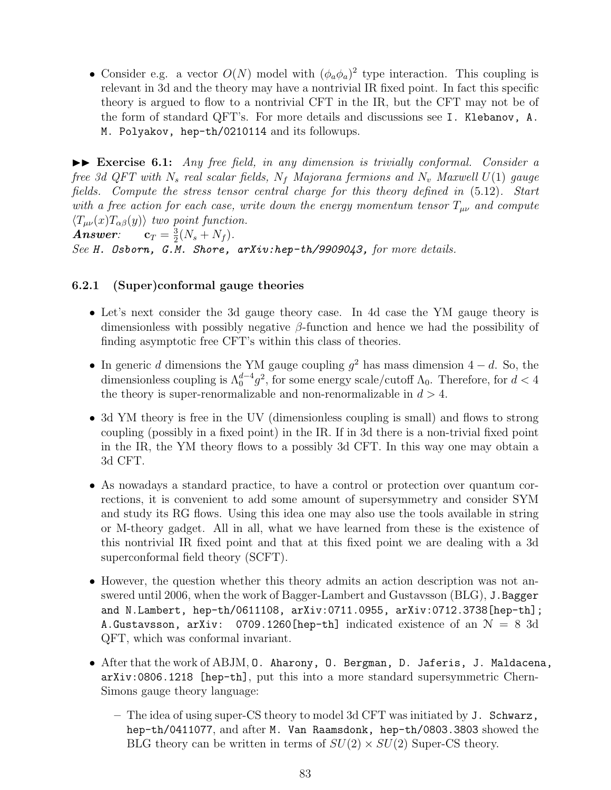• Consider e.g. a vector  $O(N)$  model with  $(\phi_a \phi_a)^2$  type interaction. This coupling is relevant in 3d and the theory may have a nontrivial IR fixed point. In fact this specific theory is argued to flow to a nontrivial CFT in the IR, but the CFT may not be of the form of standard QFT's. For more details and discussions see I. Klebanov, A. M. Polyakov, hep-th/0210114 and its followups.

II **Exercise 6.1:** *Any free field, in any dimension is trivially conformal. Consider a free 3d QFT with N<sup>s</sup> real scalar fields, N<sup>f</sup> Majorana fermions and N<sup>v</sup> Maxwell U*(1) *gauge fields. Compute the stress tensor central charge for this theory defined in* (5.12)*. Start with a free action for each case, write down the energy momentum tensor*  $T_{\mu\nu}$  *and compute*  $\langle T_{\mu\nu}(x) T_{\alpha\beta}(y) \rangle$  *two point function.* 

 $$ 3  $\frac{3}{2}(N_s+N_f)$ . *See H. Osborn, G.M. Shore, arXiv:hep-th/9909043, for more details.*

### **6.2.1 (Super)conformal gauge theories**

- Let's next consider the 3d gauge theory case. In 4d case the YM gauge theory is dimensionless with possibly negative *β*-function and hence we had the possibility of finding asymptotic free CFT's within this class of theories.
- In generic *d* dimensions the YM gauge coupling *g* <sup>2</sup> has mass dimension 4 *− d*. So, the dimensionless coupling is  $\Lambda_0^{d-4} g^2$ , for some energy scale/cutoff  $\Lambda_0$ . Therefore, for  $d < 4$ the theory is super-renormalizable and non-renormalizable in  $d > 4$ .
- 3d YM theory is free in the UV (dimensionless coupling is small) and flows to strong coupling (possibly in a fixed point) in the IR. If in 3d there is a non-trivial fixed point in the IR, the YM theory flows to a possibly 3d CFT. In this way one may obtain a 3d CFT.
- As nowadays a standard practice, to have a control or protection over quantum corrections, it is convenient to add some amount of supersymmetry and consider SYM and study its RG flows. Using this idea one may also use the tools available in string or M-theory gadget. All in all, what we have learned from these is the existence of this nontrivial IR fixed point and that at this fixed point we are dealing with a 3d superconformal field theory (SCFT).
- However, the question whether this theory admits an action description was not answered until 2006, when the work of Bagger-Lambert and Gustavsson (BLG), J.Bagger and N.Lambert, hep-th/0611108, arXiv:0711.0955, arXiv:0712.3738[hep-th]; A.Gustavsson, arXiv: 0709.1260 [hep-th] indicated existence of an  $\mathcal{N} = 8$  3d QFT, which was conformal invariant.
- After that the work of ABJM, O. Aharony, O. Bergman, D. Jaferis, J. Maldacena, arXiv:0806.1218 [hep-th], put this into a more standard supersymmetric Chern-Simons gauge theory language:
	- **–** The idea of using super-CS theory to model 3d CFT was initiated by J. Schwarz, hep-th/0411077, and after M. Van Raamsdonk, hep-th/0803.3803 showed the BLG theory can be written in terms of  $SU(2) \times SU(2)$  Super-CS theory.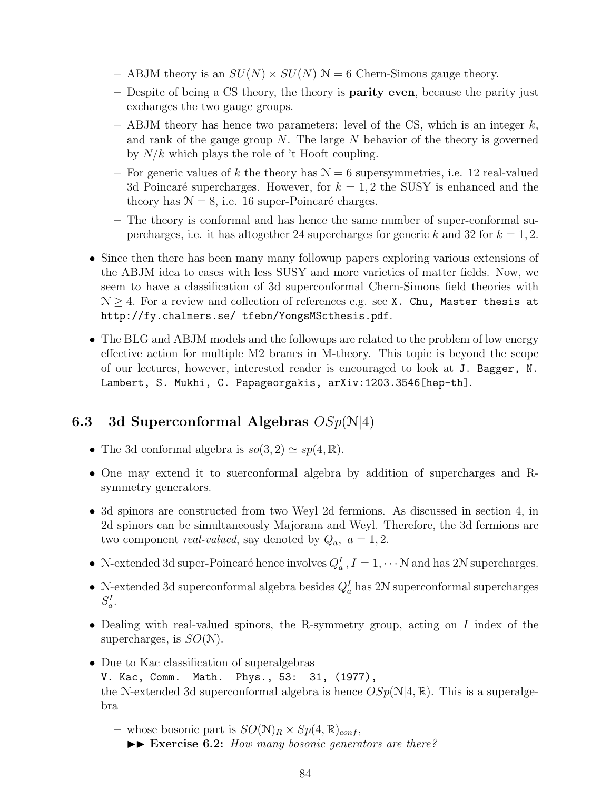- $-$  ABJM theory is an  $SU(N) \times SU(N)$   $\mathcal{N}=6$  Chern-Simons gauge theory.
- **–** Despite of being a CS theory, the theory is **parity even**, because the parity just exchanges the two gauge groups.
- **–** ABJM theory has hence two parameters: level of the CS, which is an integer *k*, and rank of the gauge group *N*. The large *N* behavior of the theory is governed by *N/k* which plays the role of 't Hooft coupling.
- For generic values of k the theory has  $N = 6$  supersymmetries, i.e. 12 real-valued 3d Poincaré supercharges. However, for  $k = 1, 2$  the SUSY is enhanced and the theory has  $N = 8$ , i.e. 16 super-Poincaré charges.
- **–** The theory is conformal and has hence the same number of super-conformal supercharges, i.e. it has altogether 24 supercharges for generic  $k$  and 32 for  $k = 1, 2$ .
- Since then there has been many many followup papers exploring various extensions of the ABJM idea to cases with less SUSY and more varieties of matter fields. Now, we seem to have a classification of 3d superconformal Chern-Simons field theories with N *≥* 4. For a review and collection of references e.g. see X. Chu, Master thesis at http://fy.chalmers.se/ tfebn/YongsMScthesis.pdf.
- The BLG and ABJM models and the followups are related to the problem of low energy effective action for multiple M2 branes in M-theory. This topic is beyond the scope of our lectures, however, interested reader is encouraged to look at J. Bagger, N. Lambert, S. Mukhi, C. Papageorgakis, arXiv:1203.3546[hep-th].

# **6.3 3d Superconformal Algebras** *OSp*(N*|*4)

- The 3d conformal algebra is  $so(3, 2) \simeq sp(4, \mathbb{R})$ .
- One may extend it to suerconformal algebra by addition of supercharges and Rsymmetry generators.
- 3d spinors are constructed from two Weyl 2d fermions. As discussed in section 4, in 2d spinors can be simultaneously Majorana and Weyl. Therefore, the 3d fermions are two component *real-valued*, say denoted by  $Q_a$ ,  $a = 1, 2$ .
- N-extended 3d super-Poincaré hence involves  $Q_a^I$ ,  $I = 1, \cdots$  N and has 2N supercharges.
- N-extended 3d superconformal algebra besides  $Q_a^I$  has 2N superconformal supercharges  $S_a^I$ .
- Dealing with real-valued spinors, the R-symmetry group, acting on *I* index of the supercharges, is *SO*(N).
- Due to Kac classification of superalgebras V. Kac, Comm. Math. Phys., 53: 31, (1977), the N-extended 3d superconformal algebra is hence  $OSp(N|4, \mathbb{R})$ . This is a superalgebra
	- $-$  whose bosonic part is  $SO(N)_R \times Sp(4, \mathbb{R})_{conf}$ ,  $\triangleright$  **Exercise 6.2:** *How many bosonic generators are there?*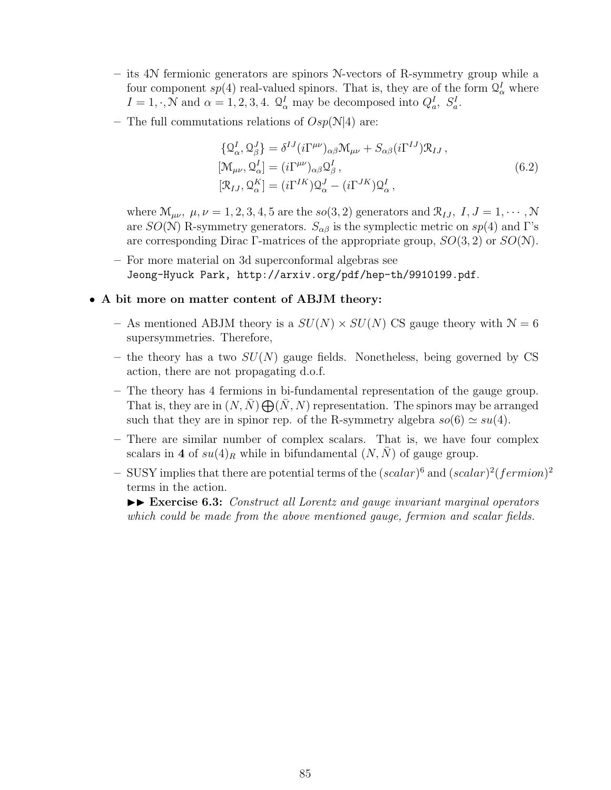- **–** its 4N fermionic generators are spinors N-vectors of R-symmetry group while a four component  $sp(4)$  real-valued spinors. That is, they are of the form  $\mathcal{Q}^I_\alpha$  where  $I = 1, \cdot, \mathcal{N}$  and  $\alpha = 1, 2, 3, 4$ .  $\mathcal{Q}_{\alpha}^{I}$  may be decomposed into  $Q_{a}^{I}, S_{a}^{I}$ .
- **–** The full commutations relations of *Osp*(N*|*4) are:

$$
\{Q_{\alpha}^{I}, Q_{\beta}^{J}\} = \delta^{IJ} (i\Gamma^{\mu\nu})_{\alpha\beta} \mathcal{M}_{\mu\nu} + S_{\alpha\beta} (i\Gamma^{IJ}) \mathcal{R}_{IJ},
$$
  
\n
$$
[\mathcal{M}_{\mu\nu}, Q_{\alpha}^{I}] = (i\Gamma^{\mu\nu})_{\alpha\beta} Q_{\beta}^{I},
$$
  
\n
$$
[\mathcal{R}_{IJ}, Q_{\alpha}^{K}] = (i\Gamma^{IK}) Q_{\alpha}^{J} - (i\Gamma^{JK}) Q_{\alpha}^{I},
$$
\n(6.2)

where  $\mathcal{M}_{\mu\nu}$ ,  $\mu, \nu = 1, 2, 3, 4, 5$  are the *so*(3*,* 2) generators and  $\mathcal{R}_{IJ}$ ,  $I, J = 1, \cdots, \mathcal{N}$ are *SO*(N) R-symmetry generators.  $S_{\alpha\beta}$  is the symplectic metric on *sp*(4) and Γ's are corresponding Dirac Γ-matrices of the appropriate group, *SO*(3*,* 2) or *SO*(N).

**–** For more material on 3d superconformal algebras see Jeong-Hyuck Park, http://arxiv.org/pdf/hep-th/9910199.pdf.

#### • **A bit more on matter content of ABJM theory:**

- As mentioned ABJM theory is a  $SU(N) \times SU(N)$  CS gauge theory with  $N = 6$ supersymmetries. Therefore,
- **–** the theory has a two *SU*(*N*) gauge fields. Nonetheless, being governed by CS action, there are not propagating d.o.f.
- **–** The theory has 4 fermions in bi-fundamental representation of the gauge group. That is, they are in  $(N, \bar{N}) \bigoplus (\bar{N}, N)$  representation. The spinors may be arranged such that they are in spinor rep. of the R-symmetry algebra  $so(6) \simeq su(4)$ .
- **–** There are similar number of complex scalars. That is, we have four complex scalars in 4 of  $su(4)_R$  while in bifundamental  $(N, N)$  of gauge group.
- **–** SUSY implies that there are potential terms of the (*scalar*) <sup>6</sup> and (*scalar*) 2 (*fermion*) 2 terms in the action.

II **Exercise 6.3:** *Construct all Lorentz and gauge invariant marginal operators which could be made from the above mentioned gauge, fermion and scalar fields.*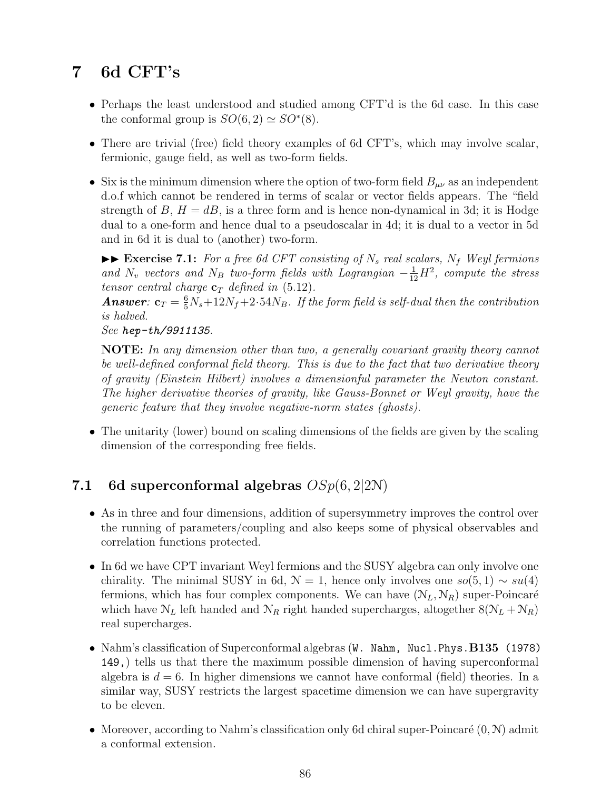# **7 6d CFT's**

- Perhaps the least understood and studied among CFT'd is the 6d case. In this case the conformal group is  $SO(6, 2) \simeq SO^*(8)$ .
- There are trivial (free) field theory examples of 6d CFT's, which may involve scalar, fermionic, gauge field, as well as two-form fields.
- Six is the minimum dimension where the option of two-form field  $B_{\mu\nu}$  as an independent d.o.f which cannot be rendered in terms of scalar or vector fields appears. The "field strength of  $B, H = dB$ , is a three form and is hence non-dynamical in 3d; it is Hodge dual to a one-form and hence dual to a pseudoscalar in 4d; it is dual to a vector in 5d and in 6d it is dual to (another) two-form.

 $\blacktriangleright \blacktriangleright$  **Exercise 7.1:** For a free 6d CFT consisting of  $N_s$  real scalars,  $N_f$  Weyl fermions *and*  $N_v$  *vectors and*  $N_B$  *two-form fields with Lagrangian*  $-\frac{1}{12}H^2$ , *compute the stress tensor central charge*  $\mathbf{c}_T$  *defined in* (5.12).

*Answer*:  $\mathbf{c}_T = \frac{6}{5}N_s + 12N_f + 2 \cdot 54N_B$ . If the form field is self-dual then the contribution *is halved.*

*See hep-th/9911135.*

**NOTE:** *In any dimension other than two, a generally covariant gravity theory cannot be well-defined conformal field theory. This is due to the fact that two derivative theory of gravity (Einstein Hilbert) involves a dimensionful parameter the Newton constant. The higher derivative theories of gravity, like Gauss-Bonnet or Weyl gravity, have the generic feature that they involve negative-norm states (ghosts).*

• The unitarity (lower) bound on scaling dimensions of the fields are given by the scaling dimension of the corresponding free fields.

# **7.1 6d superconformal algebras** *OSp*(6*,* 2*|*2N)

- As in three and four dimensions, addition of supersymmetry improves the control over the running of parameters/coupling and also keeps some of physical observables and correlation functions protected.
- In 6d we have CPT invariant Weyl fermions and the SUSY algebra can only involve one chirality. The minimal SUSY in 6d,  $\mathcal{N} = 1$ , hence only involves one  $so(5, 1) \sim su(4)$ fermions, which has four complex components. We can have  $(N_L, N_R)$  super-Poincaré which have  $N_L$  left handed and  $N_R$  right handed supercharges, altogether  $8(N_L + N_R)$ real supercharges.
- Nahm's classification of Superconformal algebras (W. Nahm, Nucl.Phys.**B135** (1978) 149,) tells us that there the maximum possible dimension of having superconformal algebra is  $d = 6$ . In higher dimensions we cannot have conformal (field) theories. In a similar way, SUSY restricts the largest spacetime dimension we can have supergravity to be eleven.
- Moreover, according to Nahm's classification only 6d chiral super-Poincaré  $(0, N)$  admit a conformal extension.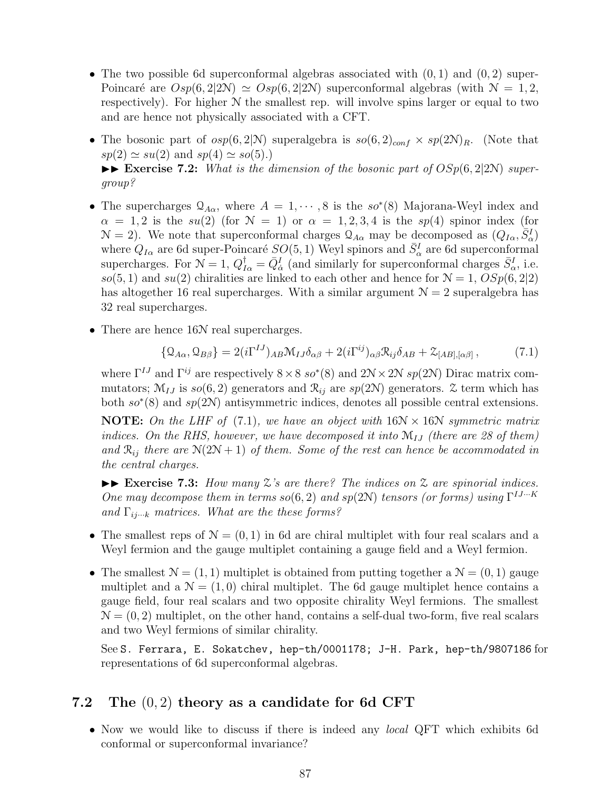- The two possible 6d superconformal algebras associated with (0*,* 1) and (0*,* 2) super-Poincaré are  $Osp(6, 2|2N) \simeq Osp(6, 2|2N)$  superconformal algebras (with  $N = 1, 2$ , respectively). For higher  $N$  the smallest rep. will involve spins larger or equal to two and are hence not physically associated with a CFT.
- The bosonic part of  $osp(6,2|\mathcal{N})$  superalgebra is  $so(6,2)_{conf} \times sp(2\mathcal{N})_R$ . (Note that  $sp(2) \simeq su(2)$  and  $sp(4) \simeq so(5)$ .  $\blacktriangleright\blacktriangleright$  **Exercise 7.2:** *What is the dimension of the bosonic part of*  $OSp(6, 2|2N)$  *supergroup?*
- The supercharges  $\mathcal{Q}_{A\alpha}$ , where  $A = 1, \dots, 8$  is the  $so^*(8)$  Majorana-Weyl index and  $\alpha = 1, 2$  is the *su*(2) (for  $\mathcal{N} = 1$ ) or  $\alpha = 1, 2, 3, 4$  is the *sp*(4) spinor index (for  $N = 2$ ). We note that superconformal charges  $\mathcal{Q}_{A\alpha}$  may be decomposed as  $(Q_{I\alpha}, \overline{S}^I_{\alpha})$ where  $Q_{I\alpha}$  are 6d super-Poincaré  $SO(5, 1)$  Weyl spinors and  $\bar{S}^I_\alpha$  are 6d superconformal supercharges. For  $\mathcal{N} = 1$ ,  $Q_{I\alpha}^{\dagger} = \bar{Q}_{\dot{\alpha}}^I$  (and similarly for superconformal charges  $\bar{S}_{\alpha}^I$ , i.e.  $so(5, 1)$  and  $su(2)$  chiralities are linked to each other and hence for  $\mathcal{N} = 1$ ,  $OSp(6, 2|2)$ has altogether 16 real supercharges. With a similar argument  $N = 2$  superalgebra has 32 real supercharges.
- There are hence 16N real supercharges.

$$
\{Q_{A\alpha}, Q_{B\beta}\} = 2(i\Gamma^{IJ})_{AB} \mathcal{M}_{IJ}\delta_{\alpha\beta} + 2(i\Gamma^{ij})_{\alpha\beta} \mathcal{R}_{ij}\delta_{AB} + \mathcal{Z}_{[AB],[\alpha\beta]},\tag{7.1}
$$

where Γ *IJ* and Γ*ij* are respectively 8*×*8 *so<sup>∗</sup>* (8) and 2N*×*2N *sp*(2N) Dirac matrix commutators;  $\mathcal{M}_{IJ}$  is  $so(6, 2)$  generators and  $\mathcal{R}_{ij}$  are  $sp(2\mathcal{N})$  generators. Z term which has both *so<sup>∗</sup>* (8) and *sp*(2N) antisymmetric indices, denotes all possible central extensions.

**NOTE:** *On the LHF of* (7.1)*, we have an object with* 16N *×* 16N *symmetric matrix indices. On the RHS, however, we have decomposed it into* M*IJ (there are 28 of them)* and  $\mathcal{R}_{ij}$  *there are*  $N(2N+1)$  *of them. Some of the rest can hence be accommodated in the central charges.*

 $\blacktriangleright\blacktriangleright$  **Exercise 7.3:** How many  $\chi$ 's are there? The indices on  $\chi$  are spinorial indices. *One may decompose them in terms*  $so(6, 2)$  *and*  $sp(2N)$  *tensors (or forms) using*  $\Gamma^{IJ...K}$ *and* Γ*ij···<sup>k</sup> matrices. What are the these forms?*

- The smallest reps of  $\mathcal{N} = (0, 1)$  in 6d are chiral multiplet with four real scalars and a Weyl fermion and the gauge multiplet containing a gauge field and a Weyl fermion.
- The smallest  $\mathcal{N} = (1, 1)$  multiplet is obtained from putting together a  $\mathcal{N} = (0, 1)$  gauge multiplet and a  $\mathcal{N} = (1,0)$  chiral multiplet. The 6d gauge multiplet hence contains a gauge field, four real scalars and two opposite chirality Weyl fermions. The smallest  $\mathcal{N} = (0, 2)$  multiplet, on the other hand, contains a self-dual two-form, five real scalars and two Weyl fermions of similar chirality.

See S. Ferrara, E. Sokatchev, hep-th/0001178; J-H. Park, hep-th/9807186 for representations of 6d superconformal algebras.

## **7.2 The** (0*,* 2) **theory as a candidate for 6d CFT**

• Now we would like to discuss if there is indeed any *local* QFT which exhibits 6d conformal or superconformal invariance?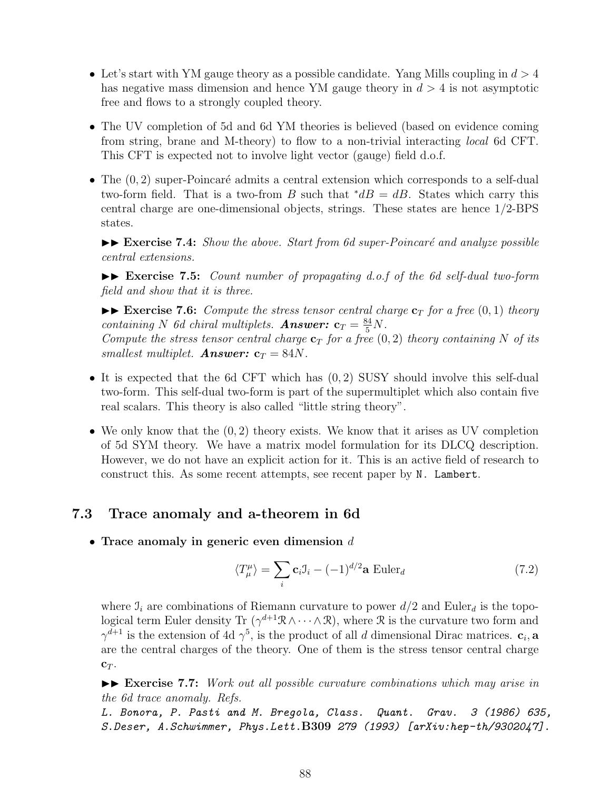- Let's start with YM gauge theory as a possible candidate. Yang Mills coupling in *d >* 4 has negative mass dimension and hence YM gauge theory in *d >* 4 is not asymptotic free and flows to a strongly coupled theory.
- The UV completion of 5d and 6d YM theories is believed (based on evidence coming from string, brane and M-theory) to flow to a non-trivial interacting *local* 6d CFT. This CFT is expected not to involve light vector (gauge) field d.o.f.
- The  $(0, 2)$  super-Poincaré admits a central extension which corresponds to a self-dual two-form field. That is a two-from *B* such that  $\dot{\phi}$  *dB* = *dB*. States which carry this central charge are one-dimensional objects, strings. These states are hence 1/2-BPS states.

 $\blacktriangleright\blacktriangleright$  **Exercise 7.4:** *Show the above. Start from 6d super-Poincaré and analyze possible central extensions.*

II **Exercise 7.5:** *Count number of propagating d.o.f of the 6d self-dual two-form field and show that it is three.*

 $\blacktriangleright\blacktriangleright$  **Exercise 7.6:** *Compute the stress tensor central charge*  $\mathbf{c}_T$  *for a free*  $(0,1)$  *theory containing N 6d chiral multiplets. Answer:*  $\mathbf{c}_T = \frac{84}{5}N$ . *Compute the stress tensor central charge*  $c_T$  *for a free*  $(0, 2)$  *theory containing*  $N$  *of its smallest multiplet. Answer:*  $\mathbf{c}_T = 84N$ *.* 

- It is expected that the 6d CFT which has (0*,* 2) SUSY should involve this self-dual two-form. This self-dual two-form is part of the supermultiplet which also contain five real scalars. This theory is also called "little string theory".
- We only know that the (0*,* 2) theory exists. We know that it arises as UV completion of 5d SYM theory. We have a matrix model formulation for its DLCQ description. However, we do not have an explicit action for it. This is an active field of research to construct this. As some recent attempts, see recent paper by N. Lambert.

## **7.3 Trace anomaly and a-theorem in 6d**

• **Trace anomaly in generic even dimension** *d*

$$
\langle T_{\mu}^{\mu} \rangle = \sum_{i} \mathbf{c}_{i} \mathbf{J}_{i} - (-1)^{d/2} \mathbf{a} \operatorname{Euler}_{d} \tag{7.2}
$$

where  $\mathcal{I}_i$  are combinations of Riemann curvature to power  $d/2$  and Euler<sub>d</sub> is the topological term Euler density Tr  $(\gamma^{d+1}R \wedge \cdots \wedge R)$ , where R is the curvature two form and  $\gamma^{d+1}$  is the extension of 4d  $\gamma^5$ , is the product of all *d* dimensional Dirac matrices.  $\mathbf{c}_i$ , a are the central charges of the theory. One of them is the stress tensor central charge **c***<sup>T</sup>* .

II **Exercise 7.7:** *Work out all possible curvature combinations which may arise in the 6d trace anomaly. Refs.*

*L. Bonora, P. Pasti and M. Bregola, Class. Quant. Grav. 3 (1986) 635, S.Deser, A.Schwimmer, Phys.Lett.***B309** *279 (1993) [arXiv:hep-th/9302047].*